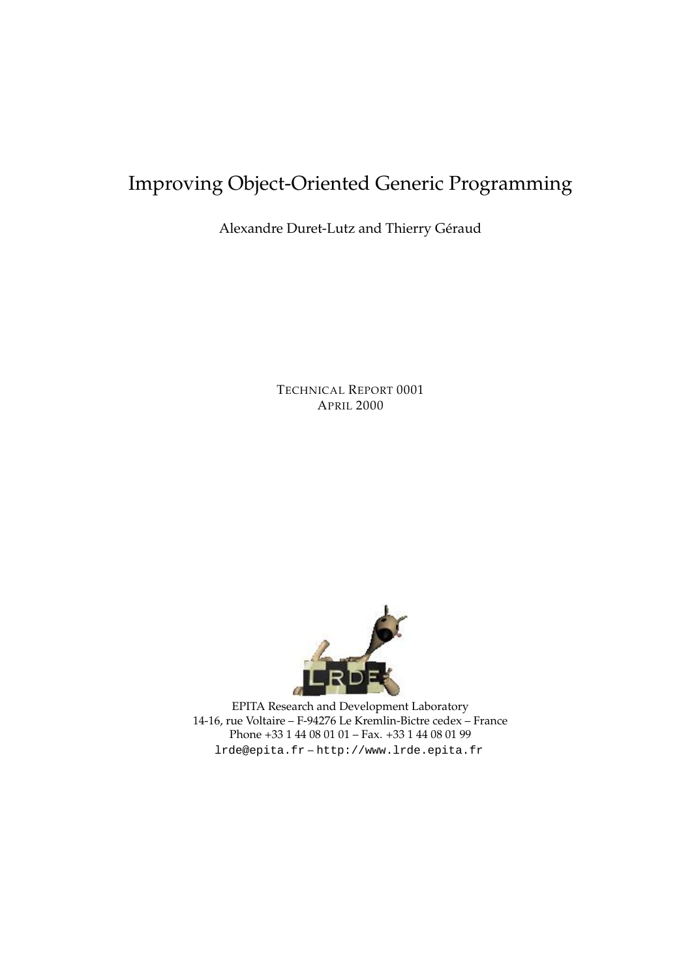Alexandre Duret-Lutz and Thierry Geraud ´

TECHNICAL REPORT 0001 APRIL 2000



EPITA Research and Development Laboratory 14-16, rue Voltaire – F-94276 Le Kremlin-Bictre cedex – France Phone +33 1 44 08 01 01 – Fax. +33 1 44 08 01 99 lrde@epita.fr – http://www.lrde.epita.fr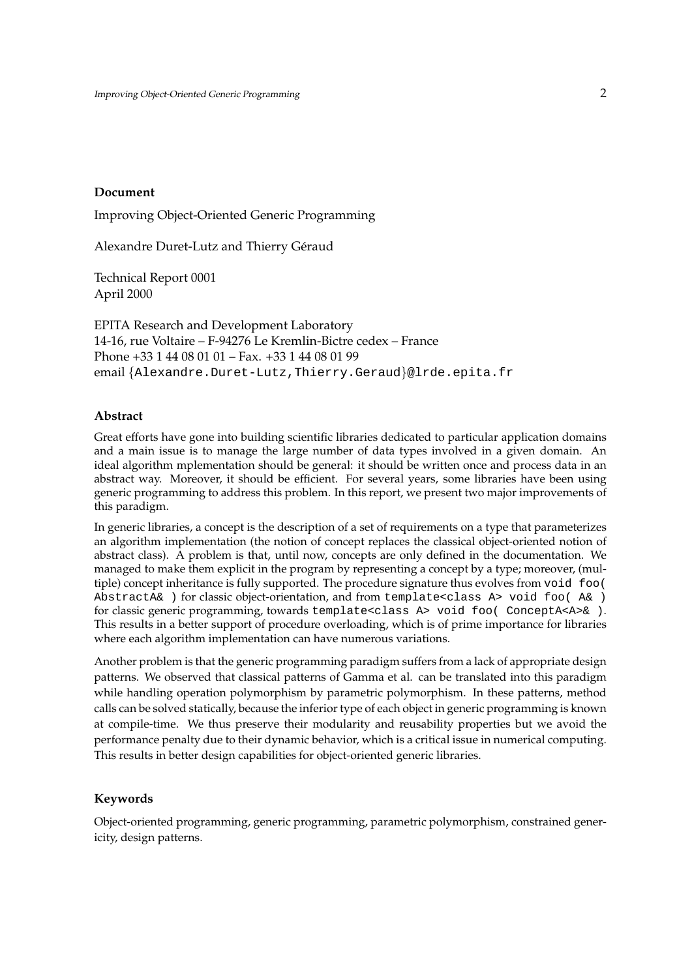#### **Document**

Improving Object-Oriented Generic Programming

Alexandre Duret-Lutz and Thierry Géraud

Technical Report 0001 April 2000

EPITA Research and Development Laboratory 14-16, rue Voltaire – F-94276 Le Kremlin-Bictre cedex – France Phone +33 1 44 08 01 01 – Fax. +33 1 44 08 01 99 email {Alexandre.Duret-Lutz,Thierry.Geraud}@lrde.epita.fr

#### **Abstract**

Great efforts have gone into building scientific libraries dedicated to particular application domains and a main issue is to manage the large number of data types involved in a given domain. An ideal algorithm mplementation should be general: it should be written once and process data in an abstract way. Moreover, it should be efficient. For several years, some libraries have been using generic programming to address this problem. In this report, we present two major improvements of this paradigm.

In generic libraries, a concept is the description of a set of requirements on a type that parameterizes an algorithm implementation (the notion of concept replaces the classical object-oriented notion of abstract class). A problem is that, until now, concepts are only defined in the documentation. We managed to make them explicit in the program by representing a concept by a type; moreover, (multiple) concept inheritance is fully supported. The procedure signature thus evolves from void foo( AbstractA& ) for classic object-orientation, and from template<class A> void foo( A& ) for classic generic programming, towards template<class A> void foo( ConceptA<A>& ). This results in a better support of procedure overloading, which is of prime importance for libraries where each algorithm implementation can have numerous variations.

Another problem is that the generic programming paradigm suffers from a lack of appropriate design patterns. We observed that classical patterns of Gamma et al. can be translated into this paradigm while handling operation polymorphism by parametric polymorphism. In these patterns, method calls can be solved statically, because the inferior type of each object in generic programming is known at compile-time. We thus preserve their modularity and reusability properties but we avoid the performance penalty due to their dynamic behavior, which is a critical issue in numerical computing. This results in better design capabilities for object-oriented generic libraries.

#### **Keywords**

Object-oriented programming, generic programming, parametric polymorphism, constrained genericity, design patterns.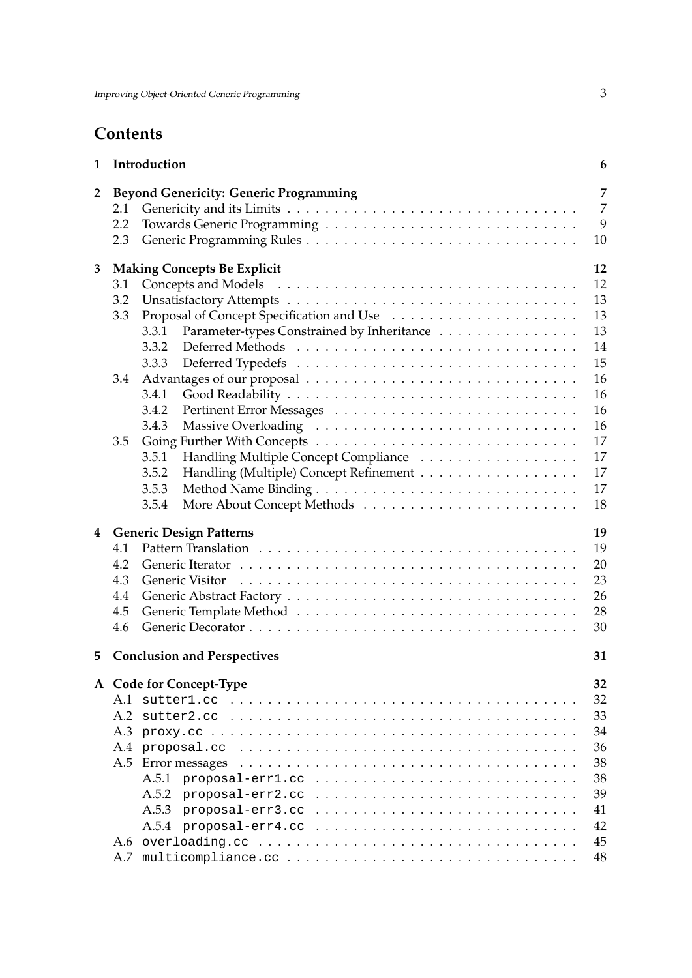# **Contents**

| $\mathbf{1}$   |     | Introduction                                        | 6                   |
|----------------|-----|-----------------------------------------------------|---------------------|
| $\overline{2}$ | 2.1 | <b>Beyond Genericity: Generic Programming</b>       | 7<br>$\overline{7}$ |
|                | 2.2 |                                                     | 9                   |
|                | 2.3 |                                                     | 10                  |
| 3              |     | <b>Making Concepts Be Explicit</b>                  | 12                  |
|                | 3.1 |                                                     | 12                  |
|                | 3.2 |                                                     | 13                  |
|                | 3.3 |                                                     | 13                  |
|                |     | Parameter-types Constrained by Inheritance<br>3.3.1 | 13                  |
|                |     | 3.3.2                                               | 14                  |
|                |     | 3.3.3                                               | 15                  |
|                | 3.4 |                                                     | 16                  |
|                |     | 3.4.1                                               | 16                  |
|                |     | 3.4.2                                               | 16                  |
|                |     | 3.4.3                                               | 16                  |
|                | 3.5 |                                                     | 17                  |
|                |     | Handling Multiple Concept Compliance<br>3.5.1       | 17                  |
|                |     | Handling (Multiple) Concept Refinement<br>3.5.2     | 17                  |
|                |     | 3.5.3                                               | 17                  |
|                |     | 3.5.4                                               | 18                  |
| 4              |     | <b>Generic Design Patterns</b>                      | 19                  |
|                | 4.1 |                                                     | 19                  |
|                | 4.2 |                                                     | 20                  |
|                | 4.3 | Generic Visitor                                     | 23                  |
|                | 4.4 |                                                     | 26                  |
|                | 4.5 |                                                     | 28                  |
|                | 4.6 |                                                     | 30                  |
|                |     |                                                     |                     |
| 5              |     | <b>Conclusion and Perspectives</b>                  | 31                  |
|                |     | A Code for Concept-Type                             | 32                  |
|                | A.1 |                                                     | 32                  |
|                | A.2 |                                                     | 33                  |
|                | A.3 |                                                     | 34                  |
|                | A.4 |                                                     | 36                  |
|                |     |                                                     | 38                  |
|                |     | A.5.1 proposal-errl.cc                              | 38                  |
|                |     | A.5.2<br>proposal-err2.cc                           | 39                  |
|                |     | A.5.3<br>proposal-err3.cc                           | 41                  |
|                |     | A.5.4 proposal-err4.cc                              | 42                  |
|                |     |                                                     | 45                  |
|                | A.7 |                                                     | 48                  |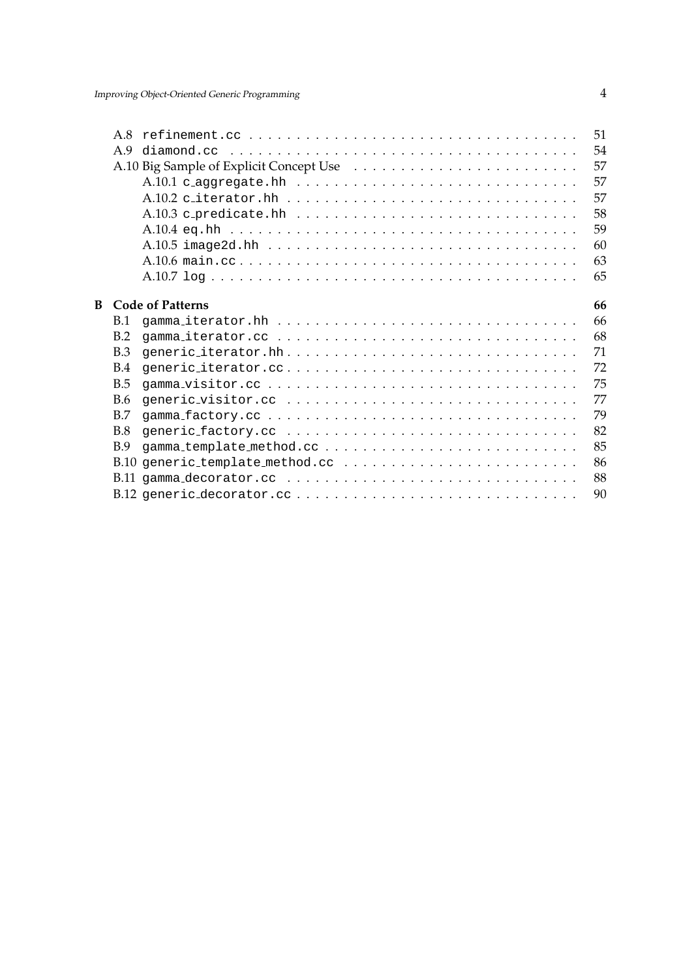|   |            |                                 | 51 |
|---|------------|---------------------------------|----|
|   |            |                                 | 54 |
|   |            |                                 | 57 |
|   |            |                                 | 57 |
|   |            |                                 | 57 |
|   |            |                                 | 58 |
|   |            |                                 | 59 |
|   |            |                                 | 60 |
|   |            |                                 | 63 |
|   |            |                                 | 65 |
|   |            |                                 |    |
| B |            | <b>Code of Patterns</b>         | 66 |
|   | B.1        |                                 | 66 |
|   | B.2        |                                 | 68 |
|   | B.3        | generic_iterator.hh             | 71 |
|   | B.4        |                                 | 72 |
|   | <b>B.5</b> |                                 | 75 |
|   | <b>B.6</b> |                                 | 77 |
|   | B.7        |                                 | 79 |
|   | <b>B.8</b> | generic factory.cc              | 82 |
|   | <b>B.9</b> |                                 | 85 |
|   |            | B.10 generic_template_method.cc | 86 |
|   |            |                                 | 88 |
|   |            |                                 | 90 |
|   |            |                                 |    |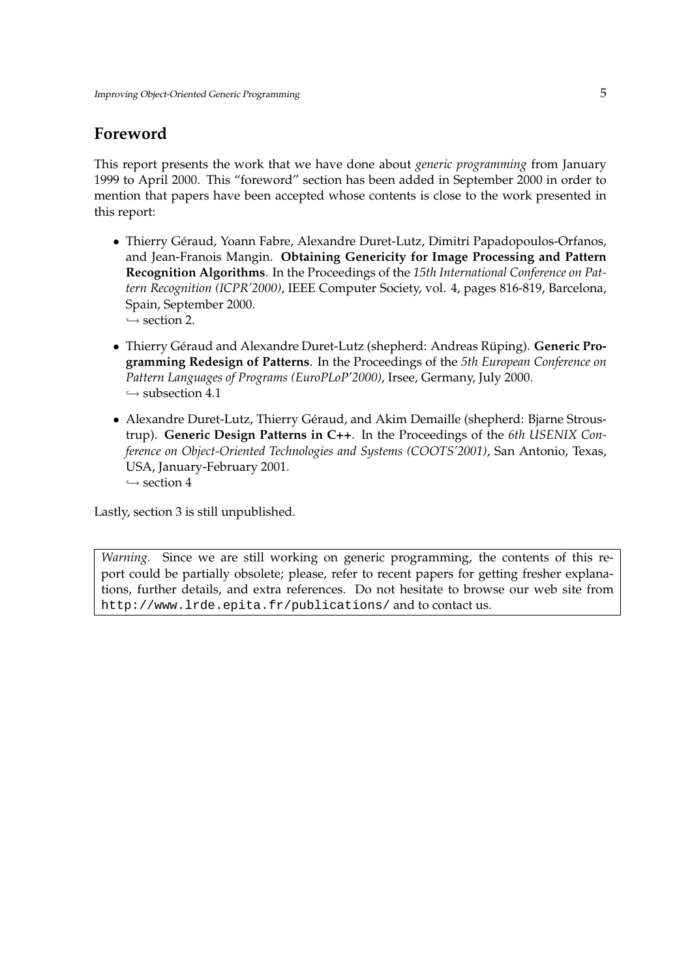# **Foreword**

This report presents the work that we have done about *generic programming* from January 1999 to April 2000. This "foreword" section has been added in September 2000 in order to mention that papers have been accepted whose contents is close to the work presented in this report:

- Thierry Géraud, Yoann Fabre, Alexandre Duret-Lutz, Dimitri Papadopoulos-Orfanos, and Jean-Franois Mangin. **Obtaining Genericity for Image Processing and Pattern Recognition Algorithms**. In the Proceedings of the *15th International Conference on Pattern Recognition (ICPR'2000)*, IEEE Computer Society, vol. 4, pages 816-819, Barcelona, Spain, September 2000.  $\hookrightarrow$  section 2.
- Thierry Géraud and Alexandre Duret-Lutz (shepherd: Andreas Rüping). Generic Pro**gramming Redesign of Patterns**. In the Proceedings of the *5th European Conference on Pattern Languages of Programs (EuroPLoP'2000)*, Irsee, Germany, July 2000.  $\hookrightarrow$  subsection 4.1
- Alexandre Duret-Lutz, Thierry Géraud, and Akim Demaille (shepherd: Bjarne Stroustrup). **Generic Design Patterns in C++**. In the Proceedings of the *6th USENIX Conference on Object-Oriented Technologies and Systems (COOTS'2001)*, San Antonio, Texas, USA, January-February 2001.  $\hookrightarrow$  section 4

Lastly, section 3 is still unpublished.

*Warning.* Since we are still working on generic programming, the contents of this report could be partially obsolete; please, refer to recent papers for getting fresher explanations, further details, and extra references. Do not hesitate to browse our web site from http://www.lrde.epita.fr/publications/ and to contact us.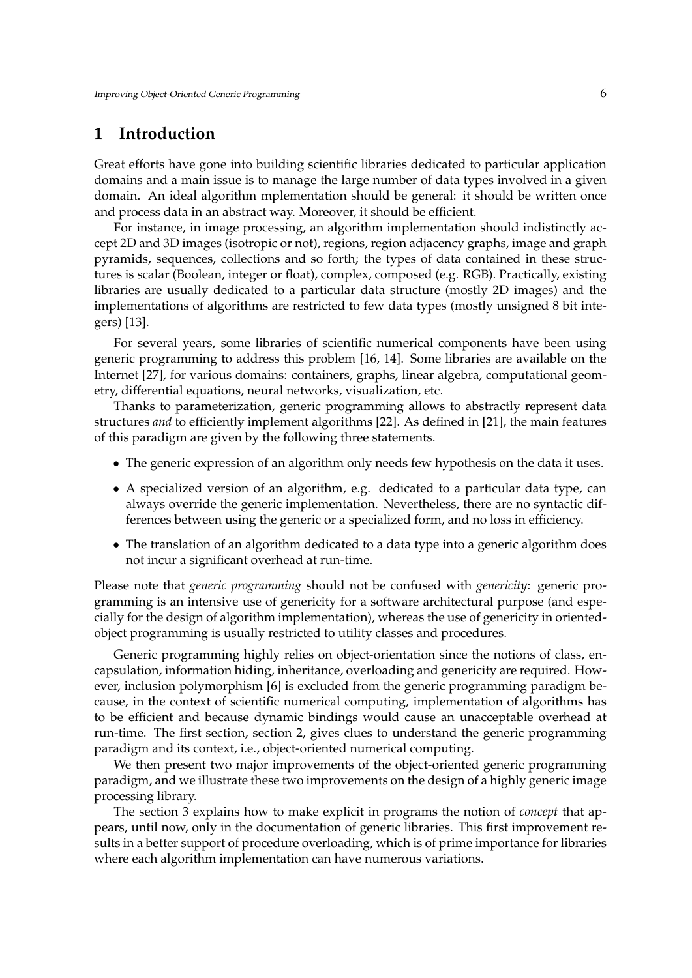# **1 Introduction**

Great efforts have gone into building scientific libraries dedicated to particular application domains and a main issue is to manage the large number of data types involved in a given domain. An ideal algorithm mplementation should be general: it should be written once and process data in an abstract way. Moreover, it should be efficient.

For instance, in image processing, an algorithm implementation should indistinctly accept 2D and 3D images (isotropic or not), regions, region adjacency graphs, image and graph pyramids, sequences, collections and so forth; the types of data contained in these structures is scalar (Boolean, integer or float), complex, composed (e.g. RGB). Practically, existing libraries are usually dedicated to a particular data structure (mostly 2D images) and the implementations of algorithms are restricted to few data types (mostly unsigned 8 bit integers) [13].

For several years, some libraries of scientific numerical components have been using generic programming to address this problem [16, 14]. Some libraries are available on the Internet [27], for various domains: containers, graphs, linear algebra, computational geometry, differential equations, neural networks, visualization, etc.

Thanks to parameterization, generic programming allows to abstractly represent data structures *and* to efficiently implement algorithms [22]. As defined in [21], the main features of this paradigm are given by the following three statements.

- The generic expression of an algorithm only needs few hypothesis on the data it uses.
- A specialized version of an algorithm, e.g. dedicated to a particular data type, can always override the generic implementation. Nevertheless, there are no syntactic differences between using the generic or a specialized form, and no loss in efficiency.
- The translation of an algorithm dedicated to a data type into a generic algorithm does not incur a significant overhead at run-time.

Please note that *generic programming* should not be confused with *genericity*: generic programming is an intensive use of genericity for a software architectural purpose (and especially for the design of algorithm implementation), whereas the use of genericity in orientedobject programming is usually restricted to utility classes and procedures.

Generic programming highly relies on object-orientation since the notions of class, encapsulation, information hiding, inheritance, overloading and genericity are required. However, inclusion polymorphism [6] is excluded from the generic programming paradigm because, in the context of scientific numerical computing, implementation of algorithms has to be efficient and because dynamic bindings would cause an unacceptable overhead at run-time. The first section, section 2, gives clues to understand the generic programming paradigm and its context, i.e., object-oriented numerical computing.

We then present two major improvements of the object-oriented generic programming paradigm, and we illustrate these two improvements on the design of a highly generic image processing library.

The section 3 explains how to make explicit in programs the notion of *concept* that appears, until now, only in the documentation of generic libraries. This first improvement results in a better support of procedure overloading, which is of prime importance for libraries where each algorithm implementation can have numerous variations.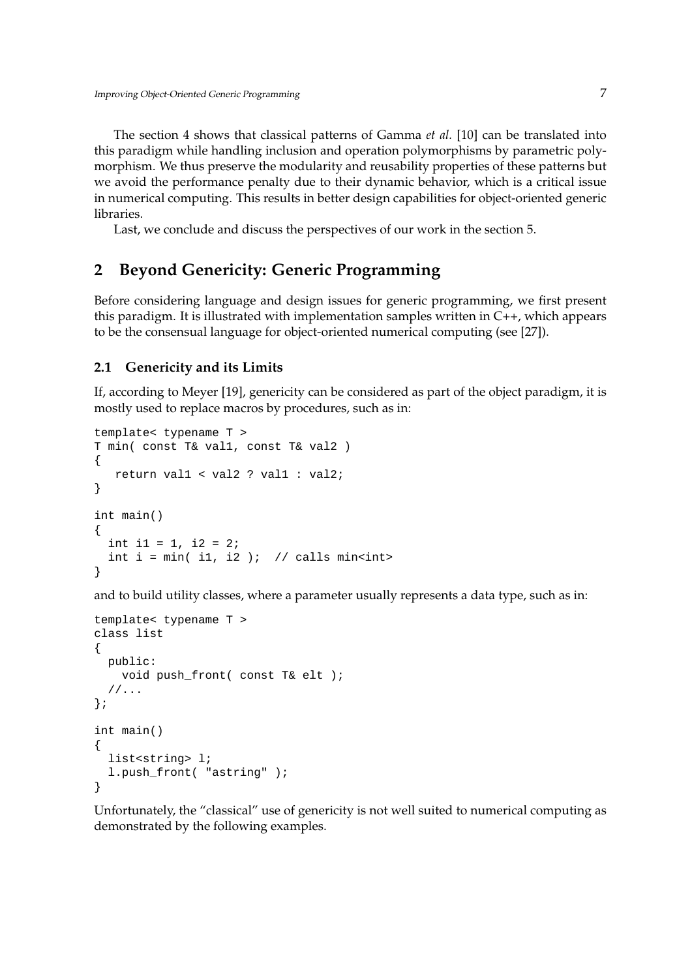The section 4 shows that classical patterns of Gamma *et al.* [10] can be translated into this paradigm while handling inclusion and operation polymorphisms by parametric polymorphism. We thus preserve the modularity and reusability properties of these patterns but we avoid the performance penalty due to their dynamic behavior, which is a critical issue in numerical computing. This results in better design capabilities for object-oriented generic libraries.

Last, we conclude and discuss the perspectives of our work in the section 5.

# **2 Beyond Genericity: Generic Programming**

Before considering language and design issues for generic programming, we first present this paradigm. It is illustrated with implementation samples written in C++, which appears to be the consensual language for object-oriented numerical computing (see [27]).

# **2.1 Genericity and its Limits**

If, according to Meyer [19], genericity can be considered as part of the object paradigm, it is mostly used to replace macros by procedures, such as in:

```
template< typename T >
T min( const T& val1, const T& val2 )
{
   return val1 < val2 ? val1 : val2;
}
int main()
{
 int i1 = 1, i2 = 2;
 int i = min( i1, i2 ); // calls min<int>
}
```
and to build utility classes, where a parameter usually represents a data type, such as in:

```
template< typename T >
class list
{
 public:
   void push_front( const T& elt );
  //...};
int main()
{
 list<string> l;
 l.push_front( "astring" );
}
```
Unfortunately, the "classical" use of genericity is not well suited to numerical computing as demonstrated by the following examples.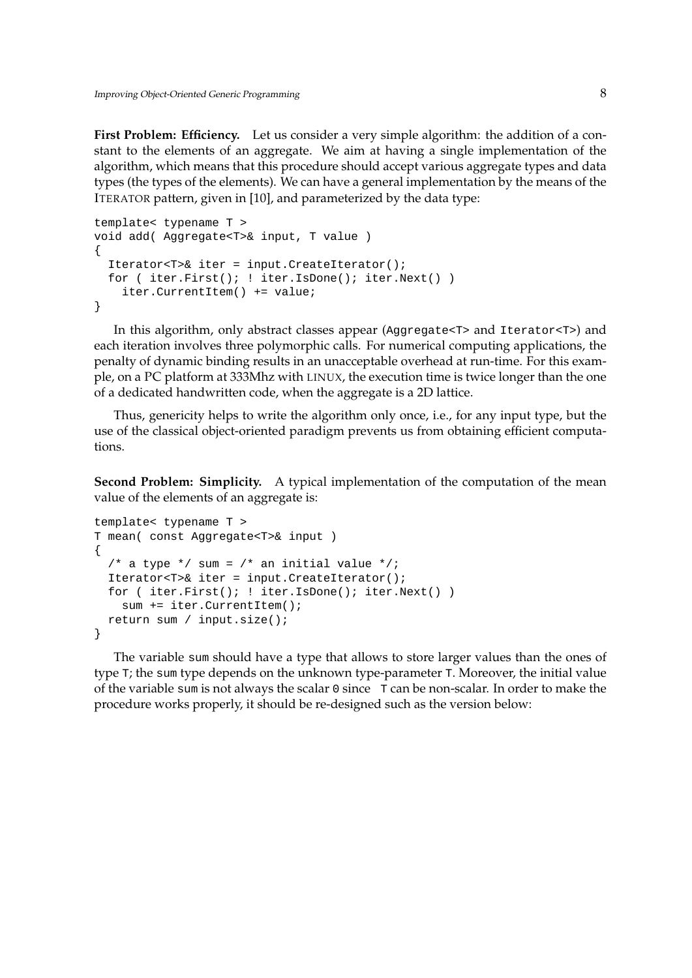First Problem: Efficiency. Let us consider a very simple algorithm: the addition of a constant to the elements of an aggregate. We aim at having a single implementation of the algorithm, which means that this procedure should accept various aggregate types and data types (the types of the elements). We can have a general implementation by the means of the ITERATOR pattern, given in [10], and parameterized by the data type:

```
template< typename T >
void add( Aggregate<T>& input, T value )
{
 Iterator<T>& iter = input.CreateIterator();
 for ( iter.First(); ! iter.IsDone(); iter.Next() )
    iter.CurrentItem() += value;
}
```
In this algorithm, only abstract classes appear (Aggregate<T> and Iterator<T>) and each iteration involves three polymorphic calls. For numerical computing applications, the penalty of dynamic binding results in an unacceptable overhead at run-time. For this example, on a PC platform at 333Mhz with LINUX, the execution time is twice longer than the one of a dedicated handwritten code, when the aggregate is a 2D lattice.

Thus, genericity helps to write the algorithm only once, i.e., for any input type, but the use of the classical object-oriented paradigm prevents us from obtaining efficient computations.

**Second Problem: Simplicity.** A typical implementation of the computation of the mean value of the elements of an aggregate is:

```
template< typename T >
T mean( const Aggregate<T>& input )
{
  /* a type */ sum = /* an initial value */;
 Iterator<T>& iter = input.CreateIterator();
  for ( iter.First(); ! iter.IsDone(); iter.Next() )
    sum += iter.CurrentItem();
 return sum / input.size();
}
```
The variable sum should have a type that allows to store larger values than the ones of type T; the sum type depends on the unknown type-parameter T. Moreover, the initial value of the variable sum is not always the scalar  $0$  since  $T$  can be non-scalar. In order to make the procedure works properly, it should be re-designed such as the version below: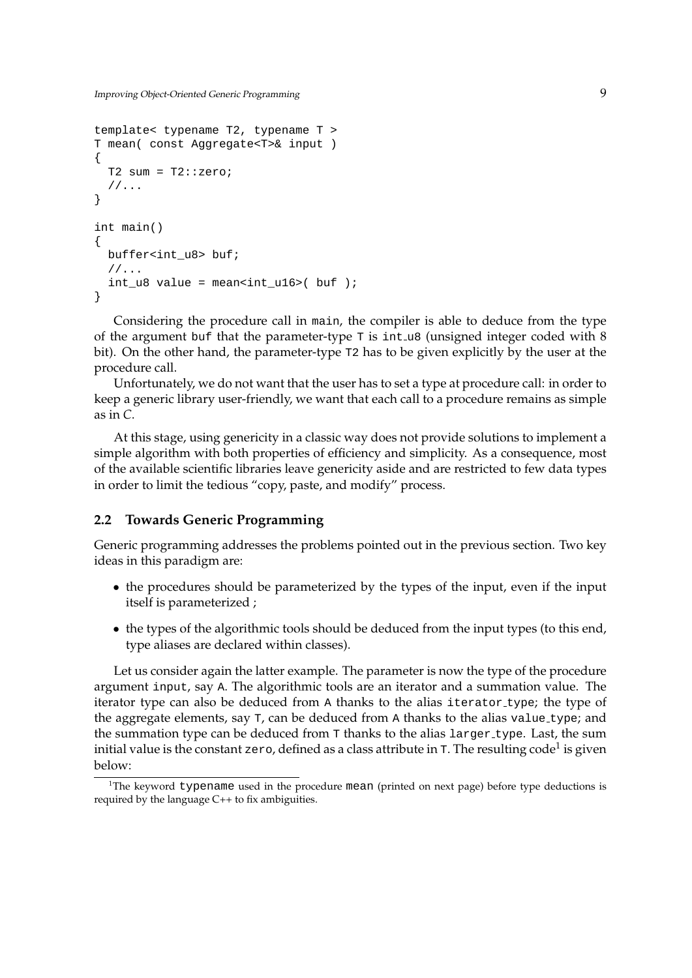```
template< typename T2, typename T >
T mean( const Aggregate<T>& input )
{
 T2 sum = T2: zero;
 1/\ldots}
int main()
{
 buffer<int_u8> buf;
 //...
 int_u8 value = mean<int_u16>( buf );
}
```
Considering the procedure call in main, the compiler is able to deduce from the type of the argument buf that the parameter-type  $T$  is int  $\alpha$ 8 (unsigned integer coded with 8 bit). On the other hand, the parameter-type T2 has to be given explicitly by the user at the procedure call.

Unfortunately, we do not want that the user has to set a type at procedure call: in order to keep a generic library user-friendly, we want that each call to a procedure remains as simple as in *C*.

At this stage, using genericity in a classic way does not provide solutions to implement a simple algorithm with both properties of efficiency and simplicity. As a consequence, most of the available scientific libraries leave genericity aside and are restricted to few data types in order to limit the tedious "copy, paste, and modify" process.

# **2.2 Towards Generic Programming**

Generic programming addresses the problems pointed out in the previous section. Two key ideas in this paradigm are:

- the procedures should be parameterized by the types of the input, even if the input itself is parameterized ;
- the types of the algorithmic tools should be deduced from the input types (to this end, type aliases are declared within classes).

Let us consider again the latter example. The parameter is now the type of the procedure argument input, say A. The algorithmic tools are an iterator and a summation value. The iterator type can also be deduced from A thanks to the alias iterator type; the type of the aggregate elements, say T, can be deduced from A thanks to the alias value type; and the summation type can be deduced from  $T$  thanks to the alias  $l$  arger type. Last, the sum initial value is the constant zero, defined as a class attribute in  $\scriptstyle\rm T.$  The resulting code $^1$  is given below:

<sup>&</sup>lt;sup>1</sup>The keyword typename used in the procedure mean (printed on next page) before type deductions is required by the language C++ to fix ambiguities.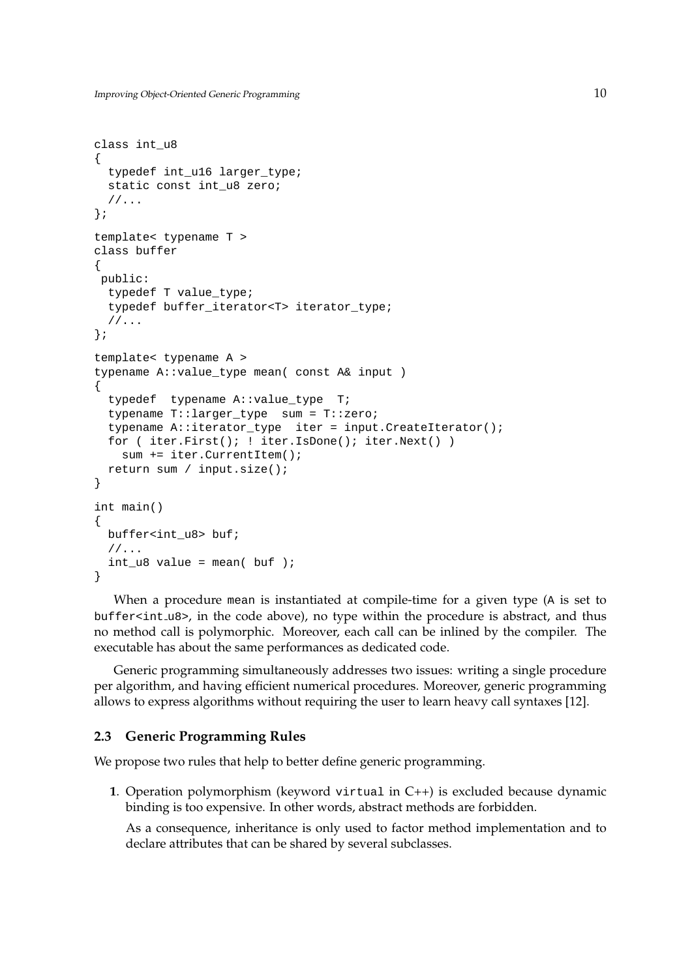```
class int_u8
{
  typedef int_u16 larger_type;
  static const int u8 zero;
  //...
};
template< typename T >
class buffer
{
 public:
  typedef T value_type;
  typedef buffer iterator<T> iterator type;
  //...
};
template< typename A >
typename A::value type mean( const A& input )
{
  typedef typename A::value_type T;
  typename T::larger_type sum = T::zero;
  typename A::iterator type iter = input.CreateIterator();
  for ( iter.First(); ! iter.IsDone(); iter.Next() )
   sum += iter.CurrentItem();
  return sum / input.size();
}
int main()
\{buffer<int u8> buf;
  //...
  int_u8 value = mean( buf );
}
```
When a procedure mean is instantiated at compile-time for a given type (A is set to  $buffer  $\text{int\_u8>}$ , in the code above), no type within the procedure is abstract, and thus$ no method call is polymorphic. Moreover, each call can be inlined by the compiler. The executable has about the same performances as dedicated code.

Generic programming simultaneously addresses two issues: writing a single procedure per algorithm, and having efficient numerical procedures. Moreover, generic programming allows to express algorithms without requiring the user to learn heavy call syntaxes [12].

#### **2.3 Generic Programming Rules**

We propose two rules that help to better define generic programming.

**1**. Operation polymorphism (keyword virtual in C++) is excluded because dynamic binding is too expensive. In other words, abstract methods are forbidden.

As a consequence, inheritance is only used to factor method implementation and to declare attributes that can be shared by several subclasses.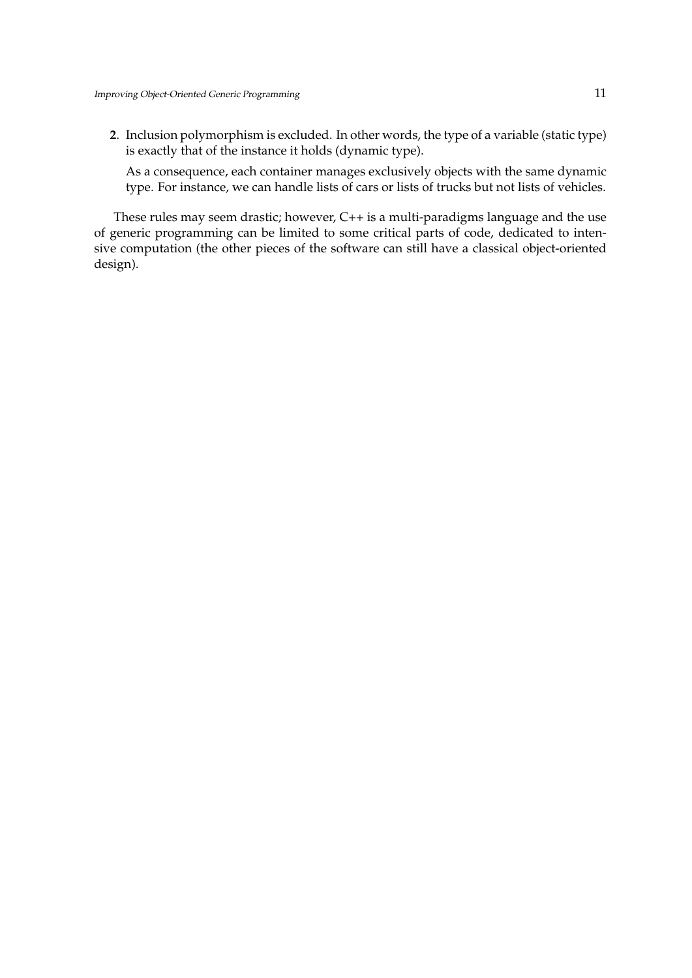**2**. Inclusion polymorphism is excluded. In other words, the type of a variable (static type) is exactly that of the instance it holds (dynamic type).

As a consequence, each container manages exclusively objects with the same dynamic type. For instance, we can handle lists of cars or lists of trucks but not lists of vehicles.

These rules may seem drastic; however, C++ is a multi-paradigms language and the use of generic programming can be limited to some critical parts of code, dedicated to intensive computation (the other pieces of the software can still have a classical object-oriented design).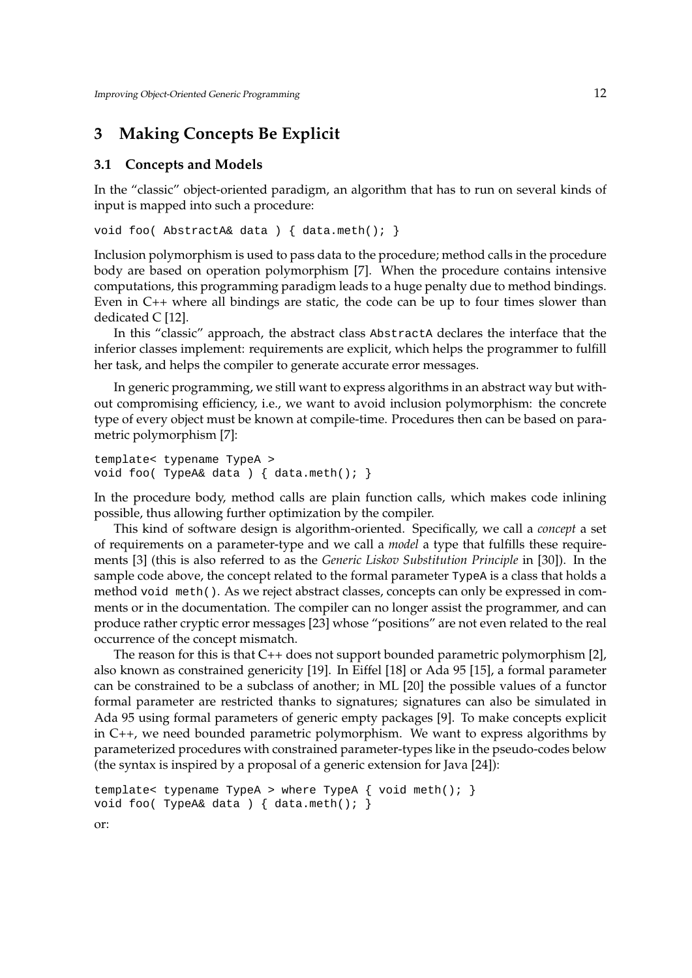# **3 Making Concepts Be Explicit**

#### **3.1 Concepts and Models**

In the "classic" object-oriented paradigm, an algorithm that has to run on several kinds of input is mapped into such a procedure:

void foo( AbstractA& data ) { data.meth(); }

Inclusion polymorphism is used to pass data to the procedure; method calls in the procedure body are based on operation polymorphism [7]. When the procedure contains intensive computations, this programming paradigm leads to a huge penalty due to method bindings. Even in C++ where all bindings are static, the code can be up to four times slower than dedicated C [12].

In this "classic" approach, the abstract class AbstractA declares the interface that the inferior classes implement: requirements are explicit, which helps the programmer to fulfill her task, and helps the compiler to generate accurate error messages.

In generic programming, we still want to express algorithms in an abstract way but without compromising efficiency, i.e., we want to avoid inclusion polymorphism: the concrete type of every object must be known at compile-time. Procedures then can be based on parametric polymorphism [7]:

```
template< typename TypeA >
void foo( TypeA& data ) { data.meth(); }
```
In the procedure body, method calls are plain function calls, which makes code inlining possible, thus allowing further optimization by the compiler.

This kind of software design is algorithm-oriented. Specifically, we call a *concept* a set of requirements on a parameter-type and we call a *model* a type that fulfills these requirements [3] (this is also referred to as the *Generic Liskov Substitution Principle* in [30]). In the sample code above, the concept related to the formal parameter TypeA is a class that holds a method void meth(). As we reject abstract classes, concepts can only be expressed in comments or in the documentation. The compiler can no longer assist the programmer, and can produce rather cryptic error messages [23] whose "positions" are not even related to the real occurrence of the concept mismatch.

The reason for this is that C++ does not support bounded parametric polymorphism [2], also known as constrained genericity [19]. In Eiffel [18] or Ada 95 [15], a formal parameter can be constrained to be a subclass of another; in ML [20] the possible values of a functor formal parameter are restricted thanks to signatures; signatures can also be simulated in Ada 95 using formal parameters of generic empty packages [9]. To make concepts explicit in C++, we need bounded parametric polymorphism. We want to express algorithms by parameterized procedures with constrained parameter-types like in the pseudo-codes below (the syntax is inspired by a proposal of a generic extension for Java [24]):

```
template< typename TypeA > where TypeA { void meth(); }
void foo( TypeA& data ) { data.meth(); }
```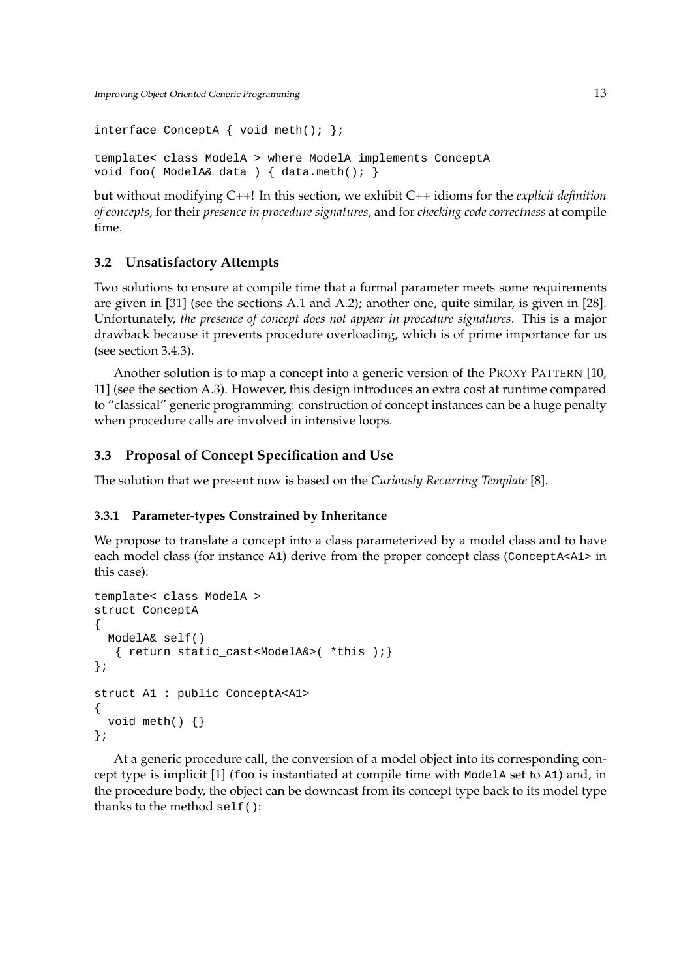```
interface ConceptA { void meth(); };
template< class ModelA > where ModelA implements ConceptA
void foo( ModelA& data ) { data.meth(); }
```
but without modifying C++! In this section, we exhibit C++ idioms for the *explicit definition of concepts*, for their *presence in procedure signatures*, and for *checking code correctness* at compile time.

# **3.2 Unsatisfactory Attempts**

Two solutions to ensure at compile time that a formal parameter meets some requirements are given in [31] (see the sections A.1 and A.2); another one, quite similar, is given in [28]. Unfortunately, *the presence of concept does not appear in procedure signatures*. This is a major drawback because it prevents procedure overloading, which is of prime importance for us (see section 3.4.3).

Another solution is to map a concept into a generic version of the PROXY PATTERN [10, 11] (see the section A.3). However, this design introduces an extra cost at runtime compared to "classical" generic programming: construction of concept instances can be a huge penalty when procedure calls are involved in intensive loops.

# **3.3 Proposal of Concept Specification and Use**

The solution that we present now is based on the *Curiously Recurring Template* [8].

# **3.3.1 Parameter-types Constrained by Inheritance**

We propose to translate a concept into a class parameterized by a model class and to have each model class (for instance A1) derive from the proper concept class (ConceptA<A1> in this case):

```
template< class ModelA >
struct ConceptA
{
 ModelA& self()
   { return static_cast<ModelA&>( *this );}
};
struct A1 : public ConceptA<A1>
{
 void meth() {}
};
```
At a generic procedure call, the conversion of a model object into its corresponding concept type is implicit [1] (foo is instantiated at compile time with ModelA set to A1) and, in the procedure body, the object can be downcast from its concept type back to its model type thanks to the method self():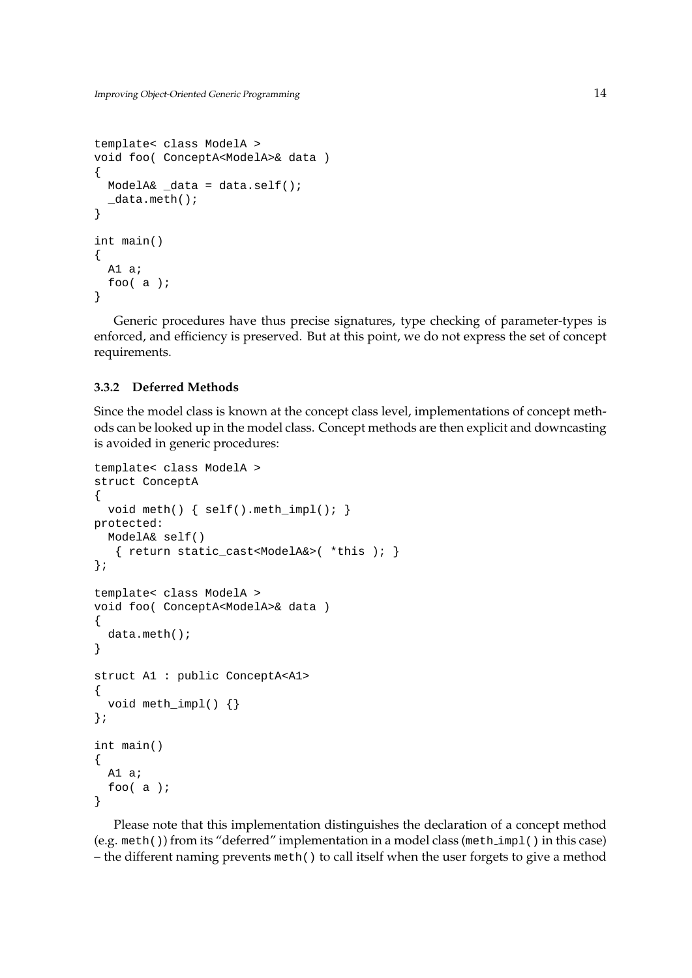```
template< class ModelA >
void foo( ConceptA<ModelA>& data )
{
 ModelA& data = data.setf();
  data.meth();
}
int main()
{
 A1 a;
  foo( a );
}
```
Generic procedures have thus precise signatures, type checking of parameter-types is enforced, and efficiency is preserved. But at this point, we do not express the set of concept requirements.

#### **3.3.2 Deferred Methods**

Since the model class is known at the concept class level, implementations of concept methods can be looked up in the model class. Concept methods are then explicit and downcasting is avoided in generic procedures:

```
template< class ModelA >
struct ConceptA
{
  void meth() { self().meth_impl(); }
protected:
  ModelA& self()
   { return static_cast<ModelA&>( *this ); }
};
template< class ModelA >
void foo( ConceptA<ModelA>& data )
{
  data.meth();
}
struct A1 : public ConceptA<A1>
\left\{ \right.void meth_impl() {}
};
int main()
{
 A1 a;
  foo( a );
}
```
Please note that this implementation distinguishes the declaration of a concept method (e.g. meth()) from its "deferred" implementation in a model class (meth impl() in this case) – the different naming prevents meth() to call itself when the user forgets to give a method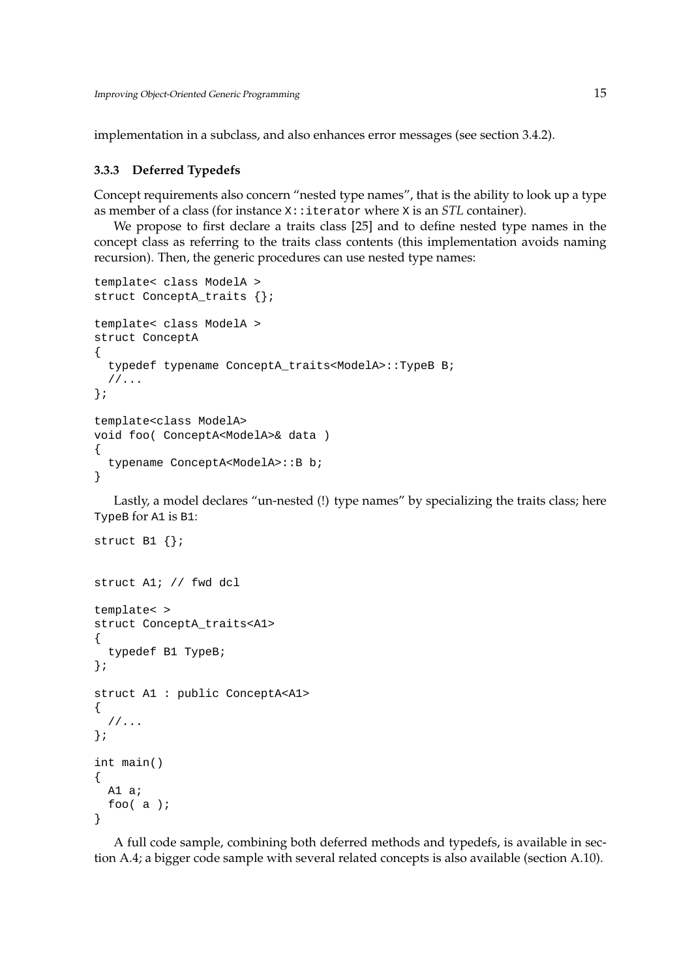implementation in a subclass, and also enhances error messages (see section 3.4.2).

#### **3.3.3 Deferred Typedefs**

Concept requirements also concern "nested type names", that is the ability to look up a type as member of a class (for instance X::iterator where X is an *STL* container).

We propose to first declare a traits class [25] and to define nested type names in the concept class as referring to the traits class contents (this implementation avoids naming recursion). Then, the generic procedures can use nested type names:

```
template< class ModelA >
struct ConceptA_traits {};
template< class ModelA >
struct ConceptA
\left\{ \right.typedef typename ConceptA_traits<ModelA>::TypeB B;
  //...
};
template<class ModelA>
void foo( ConceptA<ModelA>& data )
{
  typename ConceptA<ModelA>::B b;
}
```
Lastly, a model declares "un-nested (!) type names" by specializing the traits class; here TypeB for A1 is B1:

```
struct B1 {};
struct A1; // fwd dcl
template< >
struct ConceptA_traits<A1>
\left\{ \right.typedef B1 TypeB;
};
struct A1 : public ConceptA<A1>
{
  //...
};
int main()
{
  A1 a;
  foo( a );
}
```
A full code sample, combining both deferred methods and typedefs, is available in section A.4; a bigger code sample with several related concepts is also available (section A.10).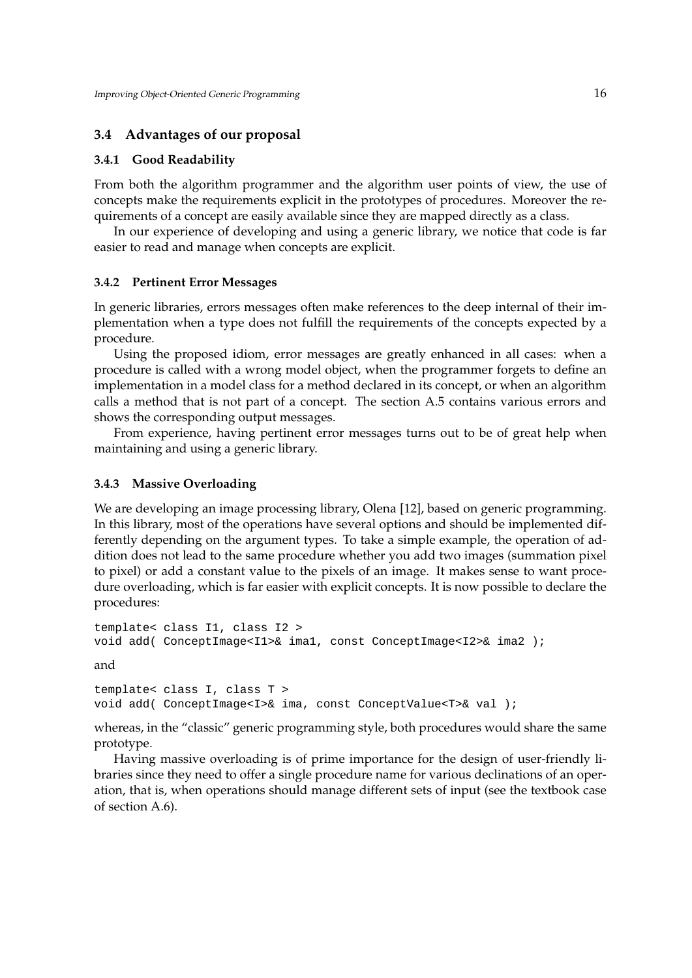### **3.4 Advantages of our proposal**

#### **3.4.1 Good Readability**

From both the algorithm programmer and the algorithm user points of view, the use of concepts make the requirements explicit in the prototypes of procedures. Moreover the requirements of a concept are easily available since they are mapped directly as a class.

In our experience of developing and using a generic library, we notice that code is far easier to read and manage when concepts are explicit.

#### **3.4.2 Pertinent Error Messages**

In generic libraries, errors messages often make references to the deep internal of their implementation when a type does not fulfill the requirements of the concepts expected by a procedure.

Using the proposed idiom, error messages are greatly enhanced in all cases: when a procedure is called with a wrong model object, when the programmer forgets to define an implementation in a model class for a method declared in its concept, or when an algorithm calls a method that is not part of a concept. The section A.5 contains various errors and shows the corresponding output messages.

From experience, having pertinent error messages turns out to be of great help when maintaining and using a generic library.

#### **3.4.3 Massive Overloading**

We are developing an image processing library, Olena [12], based on generic programming. In this library, most of the operations have several options and should be implemented differently depending on the argument types. To take a simple example, the operation of addition does not lead to the same procedure whether you add two images (summation pixel to pixel) or add a constant value to the pixels of an image. It makes sense to want procedure overloading, which is far easier with explicit concepts. It is now possible to declare the procedures:

```
template< class I1, class I2 >
void add( ConceptImage<I1>& ima1, const ConceptImage<I2>& ima2 );
and
template< class I, class T >
```
void add( ConceptImage<I>& ima, const ConceptValue<T>& val );

whereas, in the "classic" generic programming style, both procedures would share the same prototype.

Having massive overloading is of prime importance for the design of user-friendly libraries since they need to offer a single procedure name for various declinations of an operation, that is, when operations should manage different sets of input (see the textbook case of section A.6).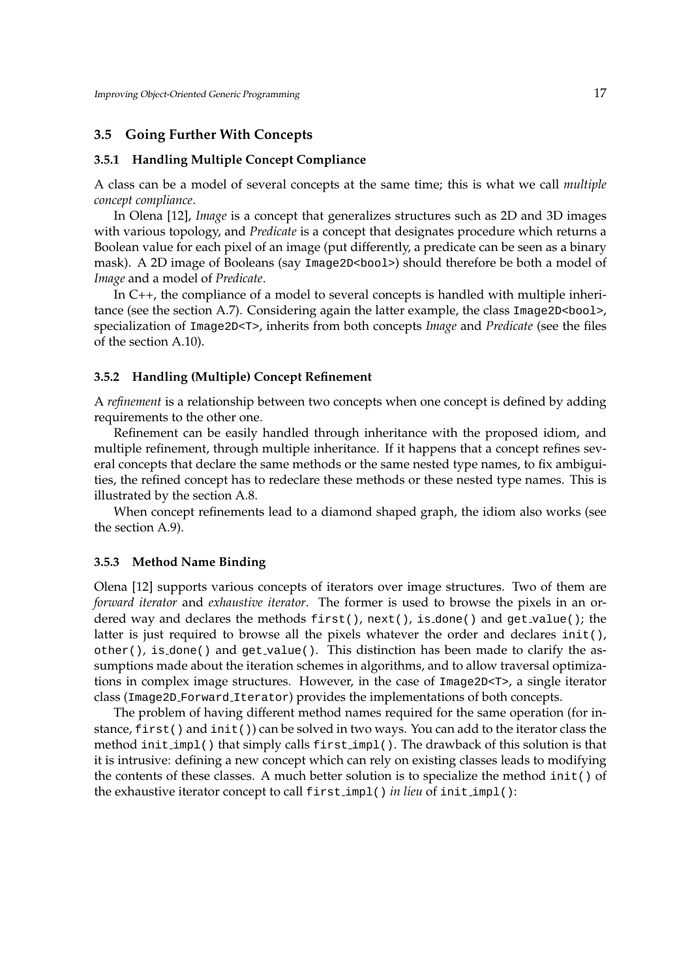#### **3.5 Going Further With Concepts**

### **3.5.1 Handling Multiple Concept Compliance**

A class can be a model of several concepts at the same time; this is what we call *multiple concept compliance*.

In Olena [12], *Image* is a concept that generalizes structures such as 2D and 3D images with various topology, and *Predicate* is a concept that designates procedure which returns a Boolean value for each pixel of an image (put differently, a predicate can be seen as a binary mask). A 2D image of Booleans (say Image2D<br/>bool>) should therefore be both a model of *Image* and a model of *Predicate*.

In C++, the compliance of a model to several concepts is handled with multiple inheritance (see the section A.7). Considering again the latter example, the class Image2D<br/>bool>, specialization of Image2D<T>, inherits from both concepts *Image* and *Predicate* (see the files of the section A.10).

#### **3.5.2 Handling (Multiple) Concept Refinement**

A *refinement* is a relationship between two concepts when one concept is defined by adding requirements to the other one.

Refinement can be easily handled through inheritance with the proposed idiom, and multiple refinement, through multiple inheritance. If it happens that a concept refines several concepts that declare the same methods or the same nested type names, to fix ambiguities, the refined concept has to redeclare these methods or these nested type names. This is illustrated by the section A.8.

When concept refinements lead to a diamond shaped graph, the idiom also works (see the section A.9).

#### **3.5.3 Method Name Binding**

Olena [12] supports various concepts of iterators over image structures. Two of them are *forward iterator* and *exhaustive iterator*. The former is used to browse the pixels in an ordered way and declares the methods first(), next(), is done() and get value(); the latter is just required to browse all the pixels whatever the order and declares init(), other(), is done() and get value(). This distinction has been made to clarify the assumptions made about the iteration schemes in algorithms, and to allow traversal optimizations in complex image structures. However, in the case of Image2D<T>, a single iterator class (Image2D Forward Iterator) provides the implementations of both concepts.

The problem of having different method names required for the same operation (for instance, first() and init()) can be solved in two ways. You can add to the iterator class the method init impl() that simply calls first impl(). The drawback of this solution is that it is intrusive: defining a new concept which can rely on existing classes leads to modifying the contents of these classes. A much better solution is to specialize the method init() of the exhaustive iterator concept to call first impl() *in lieu* of init impl():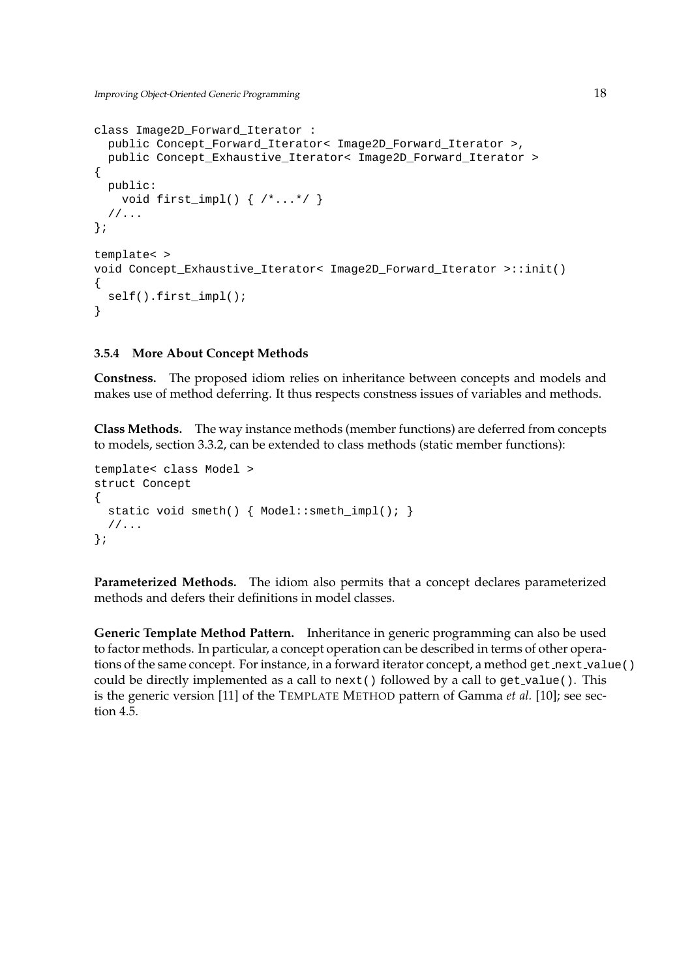```
class Image2D_Forward_Iterator :
 public Concept_Forward_Iterator< Image2D_Forward_Iterator >,
 public Concept_Exhaustive_Iterator< Image2D_Forward_Iterator >
{
 public:
   void first impl() { /*...*/ }
  //...
};
template< >
void Concept_Exhaustive_Iterator< Image2D_Forward_Iterator >::init()
{
 self().first_impl();
}
```
# **3.5.4 More About Concept Methods**

**Constness.** The proposed idiom relies on inheritance between concepts and models and makes use of method deferring. It thus respects constness issues of variables and methods.

**Class Methods.** The way instance methods (member functions) are deferred from concepts to models, section 3.3.2, can be extended to class methods (static member functions):

```
template< class Model >
struct Concept
{
  static void smeth() { Model::smeth_impl(); }
  //\ldots};
```
**Parameterized Methods.** The idiom also permits that a concept declares parameterized methods and defers their definitions in model classes.

**Generic Template Method Pattern.** Inheritance in generic programming can also be used to factor methods. In particular, a concept operation can be described in terms of other operations of the same concept. For instance, in a forward iterator concept, a method get next value() could be directly implemented as a call to next() followed by a call to get value(). This is the generic version [11] of the TEMPLATE METHOD pattern of Gamma *et al.* [10]; see section 4.5.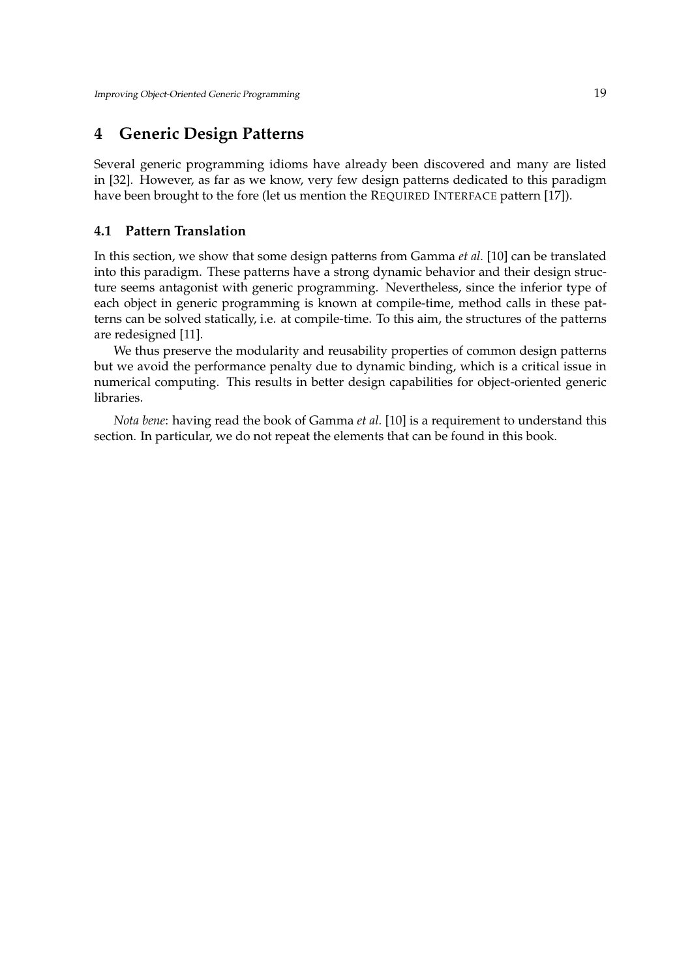# **4 Generic Design Patterns**

Several generic programming idioms have already been discovered and many are listed in [32]. However, as far as we know, very few design patterns dedicated to this paradigm have been brought to the fore (let us mention the REQUIRED INTERFACE pattern [17]).

### **4.1 Pattern Translation**

In this section, we show that some design patterns from Gamma *et al.* [10] can be translated into this paradigm. These patterns have a strong dynamic behavior and their design structure seems antagonist with generic programming. Nevertheless, since the inferior type of each object in generic programming is known at compile-time, method calls in these patterns can be solved statically, i.e. at compile-time. To this aim, the structures of the patterns are redesigned [11].

We thus preserve the modularity and reusability properties of common design patterns but we avoid the performance penalty due to dynamic binding, which is a critical issue in numerical computing. This results in better design capabilities for object-oriented generic libraries.

*Nota bene*: having read the book of Gamma *et al.* [10] is a requirement to understand this section. In particular, we do not repeat the elements that can be found in this book.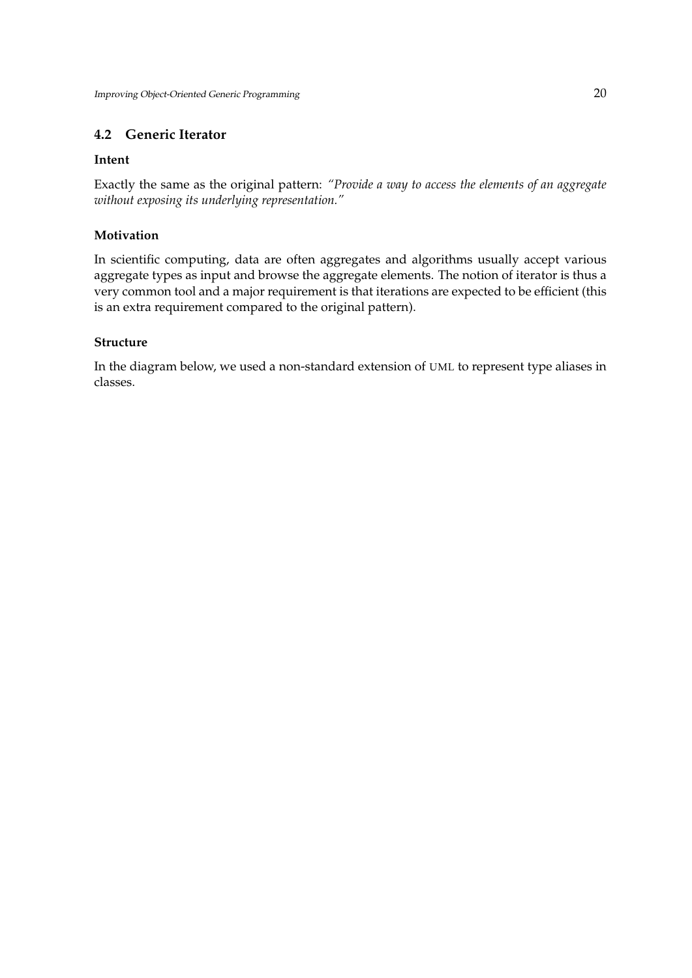# **4.2 Generic Iterator**

#### **Intent**

Exactly the same as the original pattern: *"Provide a way to access the elements of an aggregate without exposing its underlying representation."*

### **Motivation**

In scientific computing, data are often aggregates and algorithms usually accept various aggregate types as input and browse the aggregate elements. The notion of iterator is thus a very common tool and a major requirement is that iterations are expected to be efficient (this is an extra requirement compared to the original pattern).

#### **Structure**

In the diagram below, we used a non-standard extension of UML to represent type aliases in classes.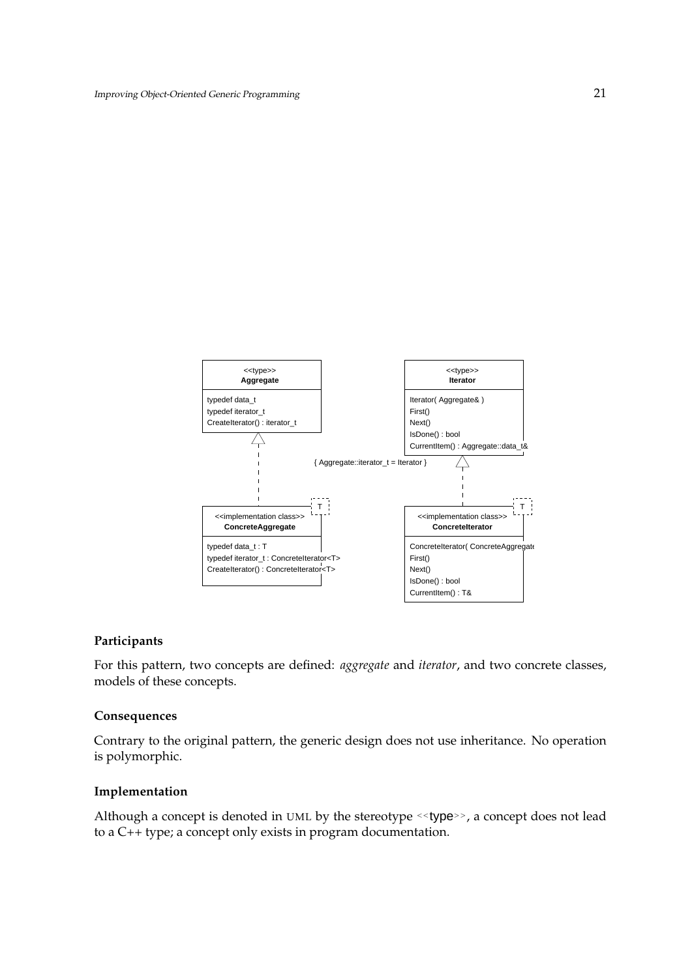

#### **Participants**

For this pattern, two concepts are defined: *aggregate* and *iterator*, and two concrete classes, models of these concepts.

#### **Consequences**

Contrary to the original pattern, the generic design does not use inheritance. No operation is polymorphic.

#### **Implementation**

Although a concept is denoted in UML by the stereotype << type>>, a concept does not lead to a C++ type; a concept only exists in program documentation.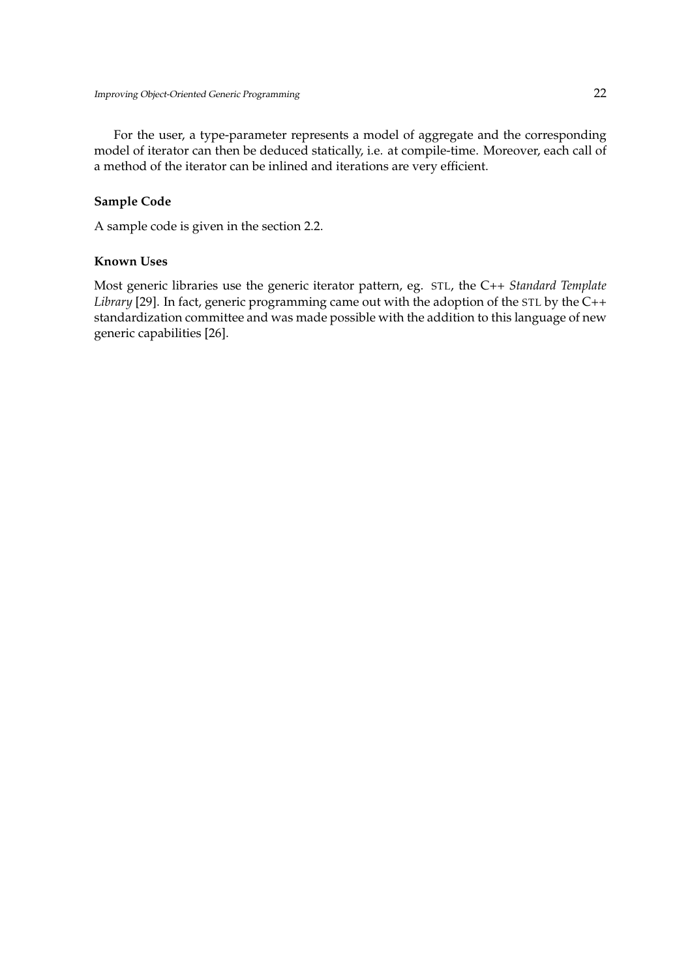For the user, a type-parameter represents a model of aggregate and the corresponding model of iterator can then be deduced statically, i.e. at compile-time. Moreover, each call of a method of the iterator can be inlined and iterations are very efficient.

#### **Sample Code**

A sample code is given in the section 2.2.

#### **Known Uses**

Most generic libraries use the generic iterator pattern, eg. STL, the C++ *Standard Template Library* [29]. In fact, generic programming came out with the adoption of the STL by the C++ standardization committee and was made possible with the addition to this language of new generic capabilities [26].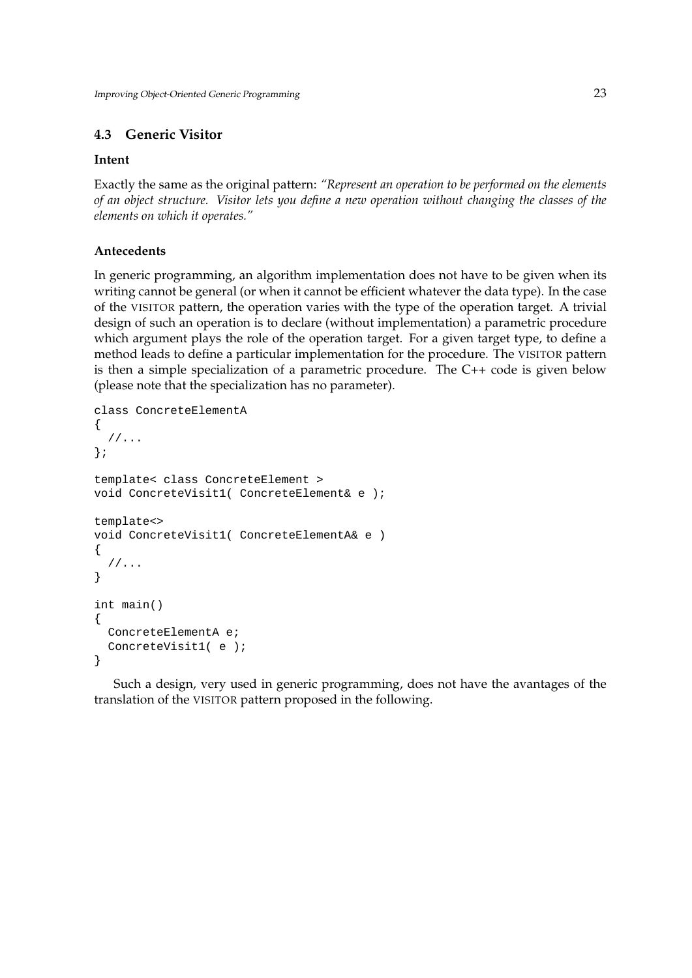# **4.3 Generic Visitor**

### **Intent**

Exactly the same as the original pattern: *"Represent an operation to be performed on the elements of an object structure. Visitor lets you define a new operation without changing the classes of the elements on which it operates."*

# **Antecedents**

In generic programming, an algorithm implementation does not have to be given when its writing cannot be general (or when it cannot be efficient whatever the data type). In the case of the VISITOR pattern, the operation varies with the type of the operation target. A trivial design of such an operation is to declare (without implementation) a parametric procedure which argument plays the role of the operation target. For a given target type, to define a method leads to define a particular implementation for the procedure. The VISITOR pattern is then a simple specialization of a parametric procedure. The C++ code is given below (please note that the specialization has no parameter).

```
class ConcreteElementA
```

```
{
  //...
};
template< class ConcreteElement >
void ConcreteVisit1( ConcreteElement& e );
template<>
void ConcreteVisit1( ConcreteElementA& e )
{
  //...
}
int main()
\left\{ \right.ConcreteElementA e;
  ConcreteVisit1( e );
}
```
Such a design, very used in generic programming, does not have the avantages of the translation of the VISITOR pattern proposed in the following.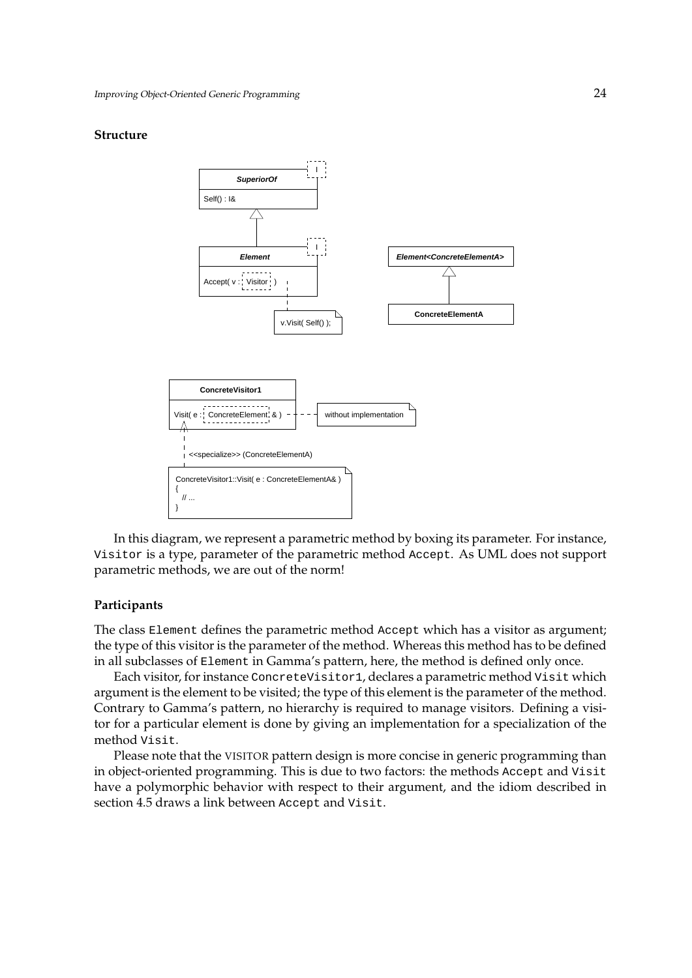#### **Structure**



In this diagram, we represent a parametric method by boxing its parameter. For instance, Visitor is a type, parameter of the parametric method Accept. As UML does not support parametric methods, we are out of the norm!

#### **Participants**

The class Element defines the parametric method Accept which has a visitor as argument; the type of this visitor is the parameter of the method. Whereas this method has to be defined in all subclasses of Element in Gamma's pattern, here, the method is defined only once.

Each visitor, for instance ConcreteVisitor1, declares a parametric method Visit which argument is the element to be visited; the type of this element is the parameter of the method. Contrary to Gamma's pattern, no hierarchy is required to manage visitors. Defining a visitor for a particular element is done by giving an implementation for a specialization of the method Visit.

Please note that the VISITOR pattern design is more concise in generic programming than in object-oriented programming. This is due to two factors: the methods Accept and Visit have a polymorphic behavior with respect to their argument, and the idiom described in section 4.5 draws a link between Accept and Visit.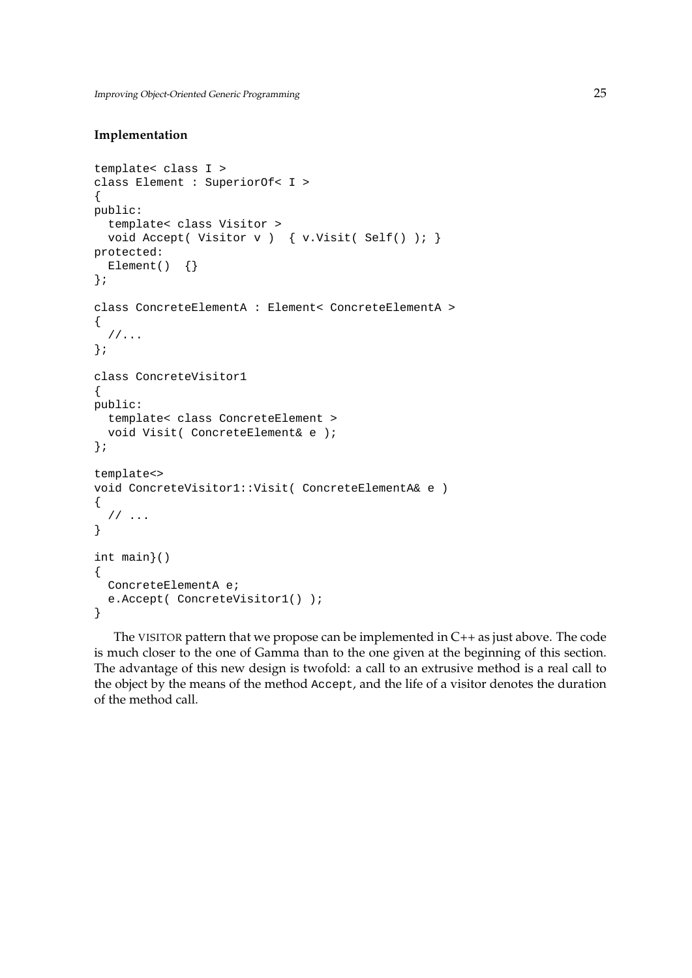#### **Implementation**

```
template< class I >
class Element : SuperiorOf< I >
\{public:
 template< class Visitor >
 void Accept( Visitor v ) { v.Visit( Self() ); }
protected:
  Element() \{\}};
class ConcreteElementA : Element< ConcreteElementA >
{
  //...
};
class ConcreteVisitor1
{
public:
 template< class ConcreteElement >
 void Visit( ConcreteElement& e );
};
template<>
void ConcreteVisitor1::Visit( ConcreteElementA& e )
{
 // ...
}
int main}()
{
  ConcreteElementA e;
  e.Accept( ConcreteVisitor1() );
}
```
The VISITOR pattern that we propose can be implemented in C++ as just above. The code is much closer to the one of Gamma than to the one given at the beginning of this section. The advantage of this new design is twofold: a call to an extrusive method is a real call to the object by the means of the method Accept, and the life of a visitor denotes the duration of the method call.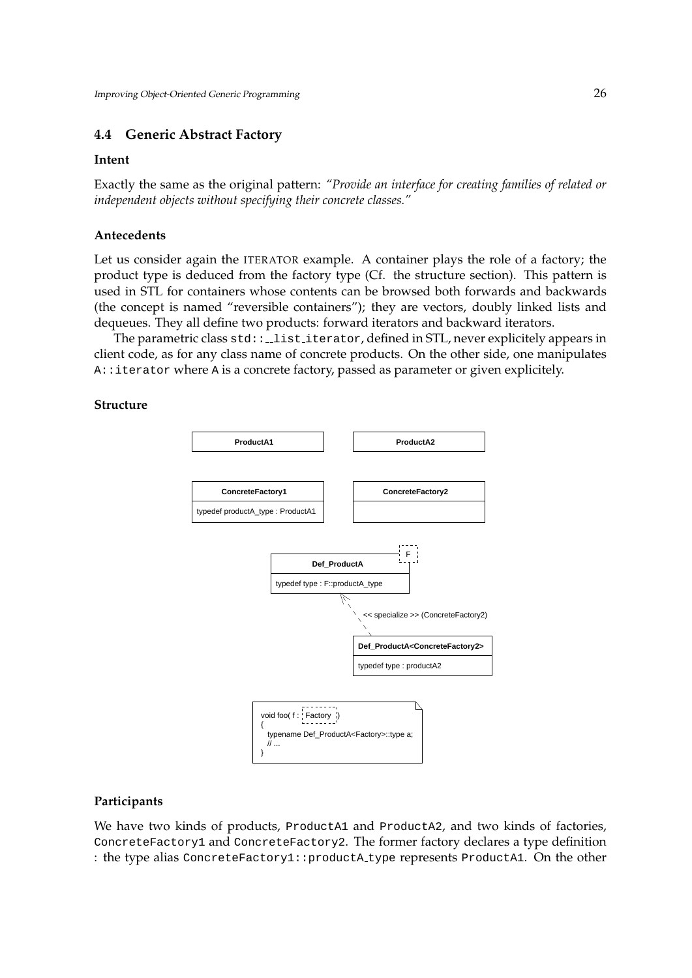### **4.4 Generic Abstract Factory**

#### **Intent**

Exactly the same as the original pattern: *"Provide an interface for creating families of related or independent objects without specifying their concrete classes."*

#### **Antecedents**

Let us consider again the ITERATOR example. A container plays the role of a factory; the product type is deduced from the factory type (Cf. the structure section). This pattern is used in STL for containers whose contents can be browsed both forwards and backwards (the concept is named "reversible containers"); they are vectors, doubly linked lists and dequeues. They all define two products: forward iterators and backward iterators.

The parametric class  $\text{std}$ :: list iterator, defined in STL, never explicitely appears in client code, as for any class name of concrete products. On the other side, one manipulates A::iterator where A is a concrete factory, passed as parameter or given explicitely.

### **Structure**



#### **Participants**

We have two kinds of products, ProductA1 and ProductA2, and two kinds of factories, ConcreteFactory1 and ConcreteFactory2. The former factory declares a type definition : the type alias ConcreteFactory1::productA type represents ProductA1. On the other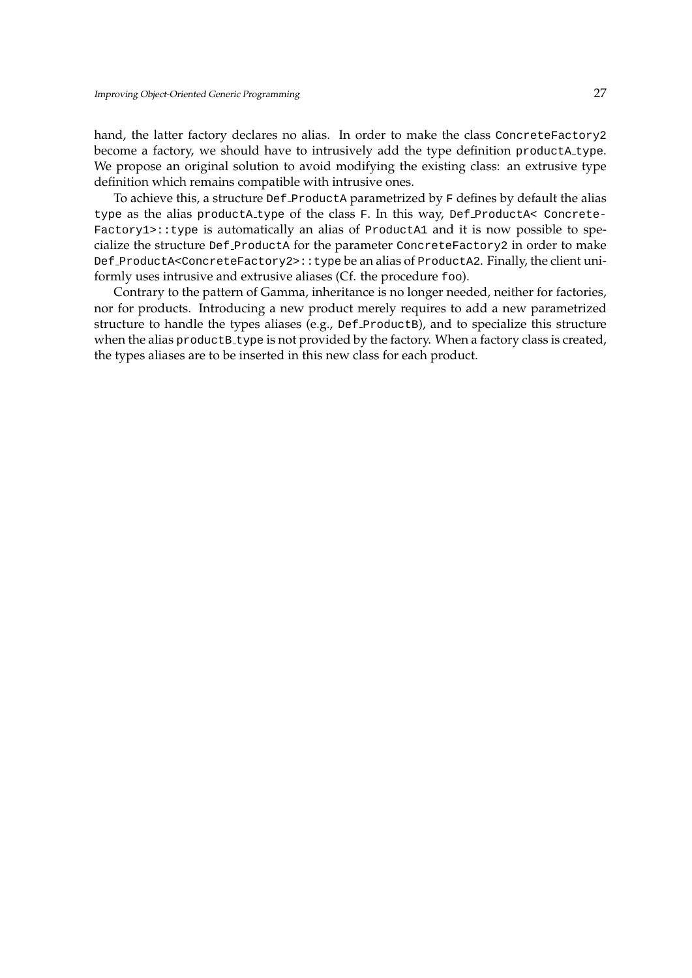hand, the latter factory declares no alias. In order to make the class ConcreteFactory2 become a factory, we should have to intrusively add the type definition productA type. We propose an original solution to avoid modifying the existing class: an extrusive type definition which remains compatible with intrusive ones.

To achieve this, a structure Def ProductA parametrized by F defines by default the alias type as the alias productA type of the class F. In this way, Def ProductA< Concrete-Factory1>::type is automatically an alias of ProductA1 and it is now possible to specialize the structure Def ProductA for the parameter ConcreteFactory2 in order to make Def ProductA<ConcreteFactory2>::type be an alias of ProductA2. Finally, the client uniformly uses intrusive and extrusive aliases (Cf. the procedure foo).

Contrary to the pattern of Gamma, inheritance is no longer needed, neither for factories, nor for products. Introducing a new product merely requires to add a new parametrized structure to handle the types aliases (e.g., Def ProductB), and to specialize this structure when the alias product B type is not provided by the factory. When a factory class is created, the types aliases are to be inserted in this new class for each product.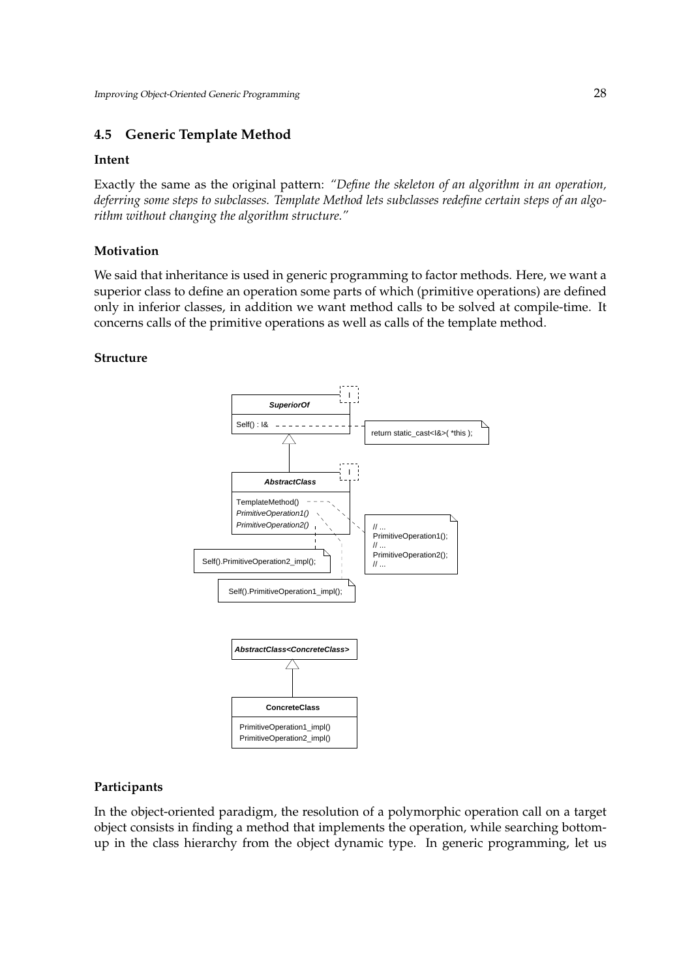### **4.5 Generic Template Method**

#### **Intent**

Exactly the same as the original pattern: *"Define the skeleton of an algorithm in an operation, deferring some steps to subclasses. Template Method lets subclasses redefine certain steps of an algorithm without changing the algorithm structure."*

#### **Motivation**

We said that inheritance is used in generic programming to factor methods. Here, we want a superior class to define an operation some parts of which (primitive operations) are defined only in inferior classes, in addition we want method calls to be solved at compile-time. It concerns calls of the primitive operations as well as calls of the template method.

#### **Structure**



#### **Participants**

In the object-oriented paradigm, the resolution of a polymorphic operation call on a target object consists in finding a method that implements the operation, while searching bottomup in the class hierarchy from the object dynamic type. In generic programming, let us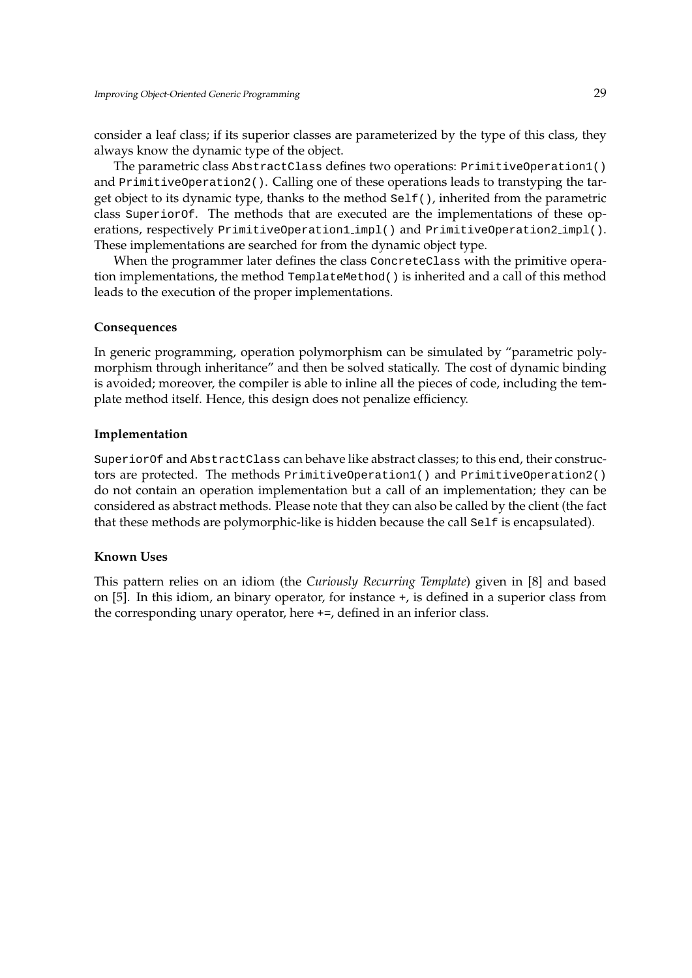consider a leaf class; if its superior classes are parameterized by the type of this class, they always know the dynamic type of the object.

The parametric class AbstractClass defines two operations: PrimitiveOperation1() and PrimitiveOperation2(). Calling one of these operations leads to transtyping the target object to its dynamic type, thanks to the method Self(), inherited from the parametric class SuperiorOf. The methods that are executed are the implementations of these operations, respectively PrimitiveOperation1\_impl() and PrimitiveOperation2\_impl(). These implementations are searched for from the dynamic object type.

When the programmer later defines the class ConcreteClass with the primitive operation implementations, the method TemplateMethod() is inherited and a call of this method leads to the execution of the proper implementations.

#### **Consequences**

In generic programming, operation polymorphism can be simulated by "parametric polymorphism through inheritance" and then be solved statically. The cost of dynamic binding is avoided; moreover, the compiler is able to inline all the pieces of code, including the template method itself. Hence, this design does not penalize efficiency.

#### **Implementation**

SuperiorOf and AbstractClass can behave like abstract classes; to this end, their constructors are protected. The methods PrimitiveOperation1() and PrimitiveOperation2() do not contain an operation implementation but a call of an implementation; they can be considered as abstract methods. Please note that they can also be called by the client (the fact that these methods are polymorphic-like is hidden because the call Self is encapsulated).

#### **Known Uses**

This pattern relies on an idiom (the *Curiously Recurring Template*) given in [8] and based on [5]. In this idiom, an binary operator, for instance +, is defined in a superior class from the corresponding unary operator, here +=, defined in an inferior class.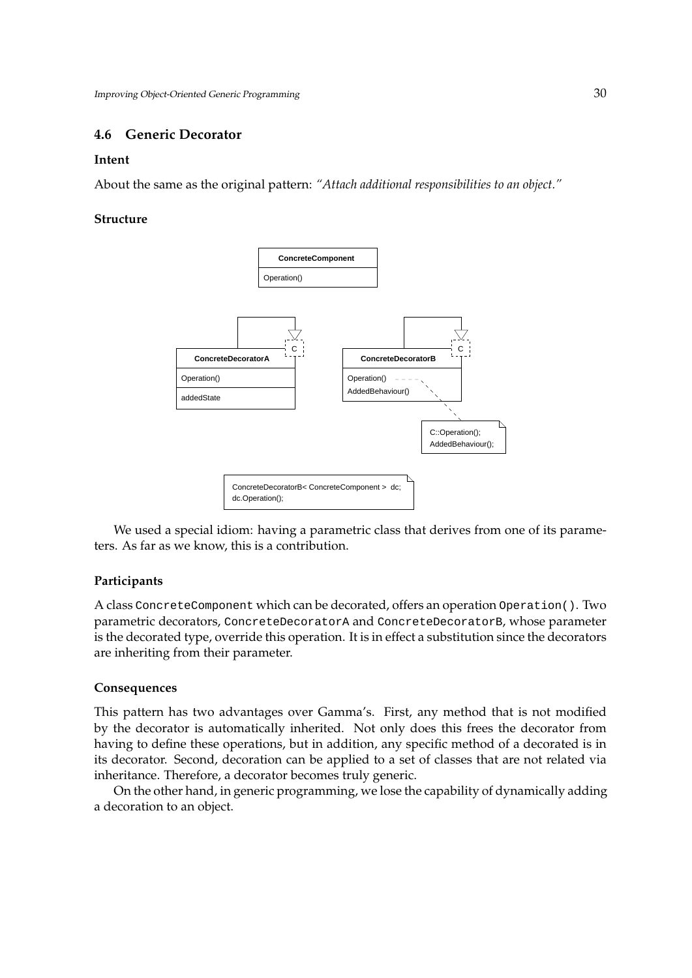# **4.6 Generic Decorator**

#### **Intent**

About the same as the original pattern: *"Attach additional responsibilities to an object."*

#### **Structure**



We used a special idiom: having a parametric class that derives from one of its parameters. As far as we know, this is a contribution.

#### **Participants**

A class ConcreteComponent which can be decorated, offers an operation Operation(). Two parametric decorators, ConcreteDecoratorA and ConcreteDecoratorB, whose parameter is the decorated type, override this operation. It is in effect a substitution since the decorators are inheriting from their parameter.

#### **Consequences**

This pattern has two advantages over Gamma's. First, any method that is not modified by the decorator is automatically inherited. Not only does this frees the decorator from having to define these operations, but in addition, any specific method of a decorated is in its decorator. Second, decoration can be applied to a set of classes that are not related via inheritance. Therefore, a decorator becomes truly generic.

On the other hand, in generic programming, we lose the capability of dynamically adding a decoration to an object.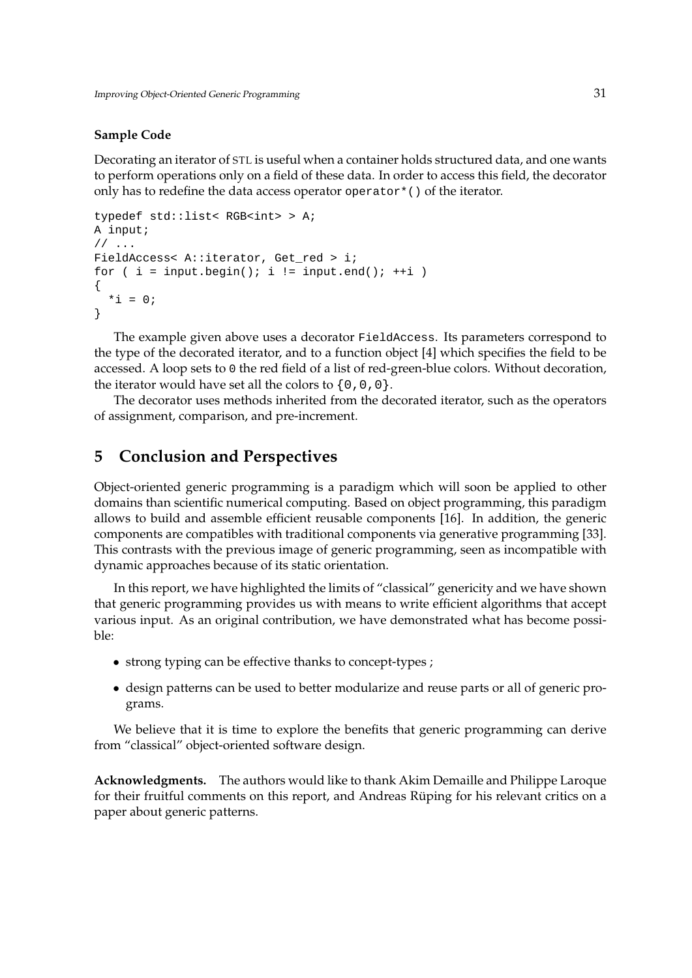#### **Sample Code**

Decorating an iterator of STL is useful when a container holds structured data, and one wants to perform operations only on a field of these data. In order to access this field, the decorator only has to redefine the data access operator operator $*($ ) of the iterator.

```
typedef std::list< RGB<int> > A;
A input;
// ...
FieldAccess< A::iterator, Get red > i;
for ( i = input.begin(); i := input.end(); ++i )
\left\{ \right.*i = 0;
}
```
The example given above uses a decorator FieldAccess. Its parameters correspond to the type of the decorated iterator, and to a function object [4] which specifies the field to be accessed. A loop sets to 0 the red field of a list of red-green-blue colors. Without decoration, the iterator would have set all the colors to  $\{0, 0, 0\}$ .

The decorator uses methods inherited from the decorated iterator, such as the operators of assignment, comparison, and pre-increment.

# **5 Conclusion and Perspectives**

Object-oriented generic programming is a paradigm which will soon be applied to other domains than scientific numerical computing. Based on object programming, this paradigm allows to build and assemble efficient reusable components [16]. In addition, the generic components are compatibles with traditional components via generative programming [33]. This contrasts with the previous image of generic programming, seen as incompatible with dynamic approaches because of its static orientation.

In this report, we have highlighted the limits of "classical" genericity and we have shown that generic programming provides us with means to write efficient algorithms that accept various input. As an original contribution, we have demonstrated what has become possible:

- strong typing can be effective thanks to concept-types ;
- design patterns can be used to better modularize and reuse parts or all of generic programs.

We believe that it is time to explore the benefits that generic programming can derive from "classical" object-oriented software design.

**Acknowledgments.** The authors would like to thank Akim Demaille and Philippe Laroque for their fruitful comments on this report, and Andreas Rüping for his relevant critics on a paper about generic patterns.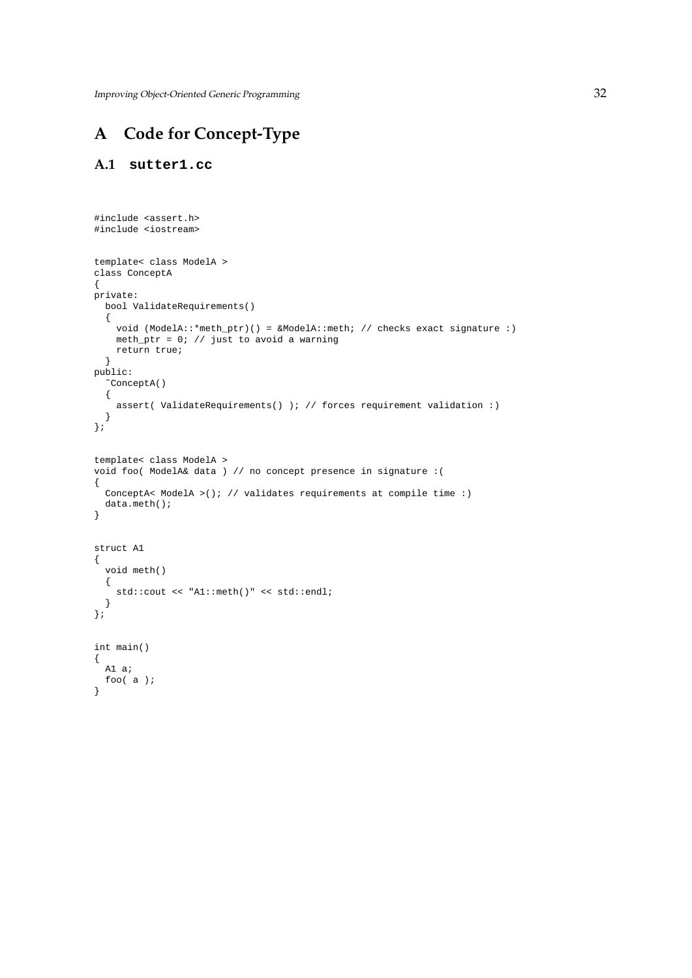# **A Code for Concept-Type**

# **A.1 sutter1.cc**

```
#include <assert.h>
#include <iostream>
template< class ModelA >
class ConceptA
{
private:
  bool ValidateRequirements()
  {
   void (ModelA::*meth_ptr)() = &ModelA::meth; // checks exact signature :)
   meth_ptr = 0; // just to avoid a warning
   return true;
  }
public:
  ˜ConceptA()
  {
   assert( ValidateRequirements() ); // forces requirement validation :)
  }
};
template< class ModelA >
void foo( ModelA& data ) // no concept presence in signature :(
{
  ConceptA< ModelA >(); // validates requirements at compile time :)
  data.meth();
}
struct A1
{
  void meth()
  {
   std::cout << "A1::meth()" << std::endl;
  }
};
int main()
{
 A1 a;
  foo( a );
}
```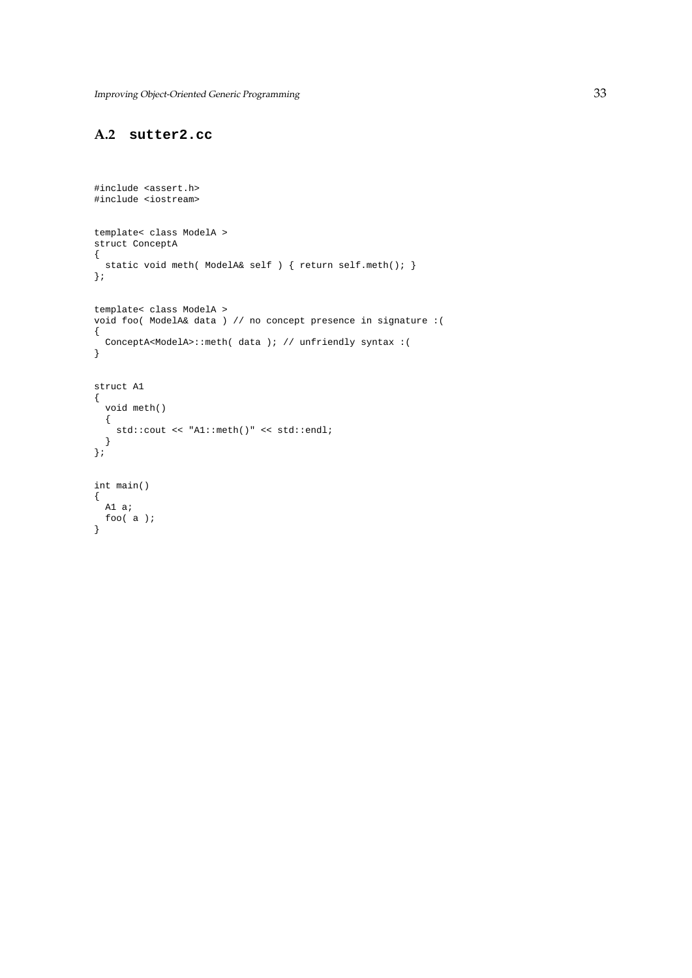# **A.2 sutter2.cc**

```
#include <assert.h>
#include <iostream>
template< class ModelA >
struct ConceptA
{
  static void meth( ModelA& self ) { return self.meth(); }
};
template< class ModelA >
void foo( ModelA& data ) // no concept presence in signature :(
{
 ConceptA<ModelA>::meth( data ); // unfriendly syntax :(
}
struct A1
{
 void meth()
 {
   std::cout << "A1::meth()" << std::endl;
 }
};
int main()
{
 A1 a;
 foo( a );
}
```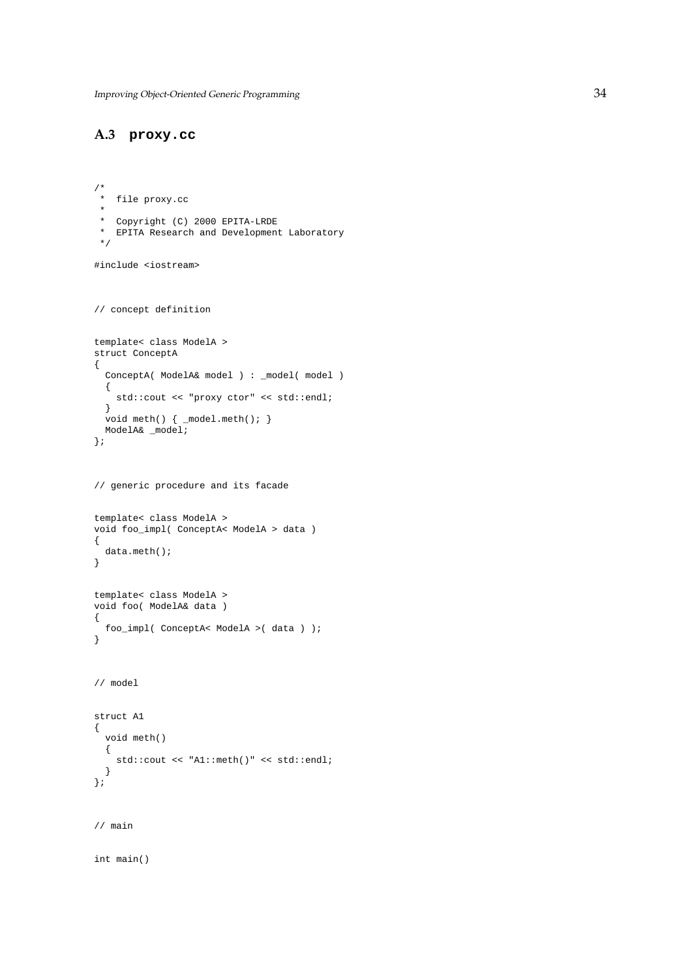# **A.3 proxy.cc**

```
/*
* file proxy.cc
 *
* Copyright (C) 2000 EPITA-LRDE
 * EPITA Research and Development Laboratory
 */
#include <iostream>
// concept definition
template< class ModelA >
struct ConceptA
{
 ConceptA( ModelA& model ) : _model( model )
 {
   std::cout << "proxy ctor" << std::endl;
 }
 void meth() { _model.meth(); }
 ModelA& _model;
};
// generic procedure and its facade
template< class ModelA >
void foo_impl( ConceptA< ModelA > data )
{
 data.meth();
}
template< class ModelA >
void foo( ModelA& data )
{
 foo_impl( ConceptA< ModelA >( data ) );
}
// model
struct A1
{
 void meth()
 {
   std::cout << "A1::meth()" << std::endl;
 }
};
// main
int main()
```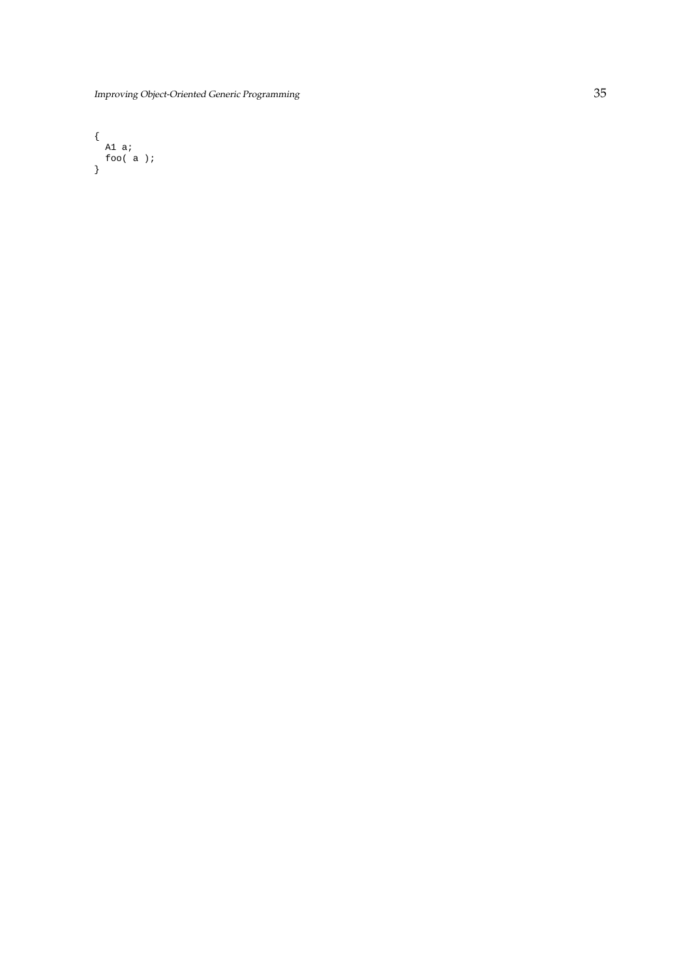{ A1 a; foo( a ); }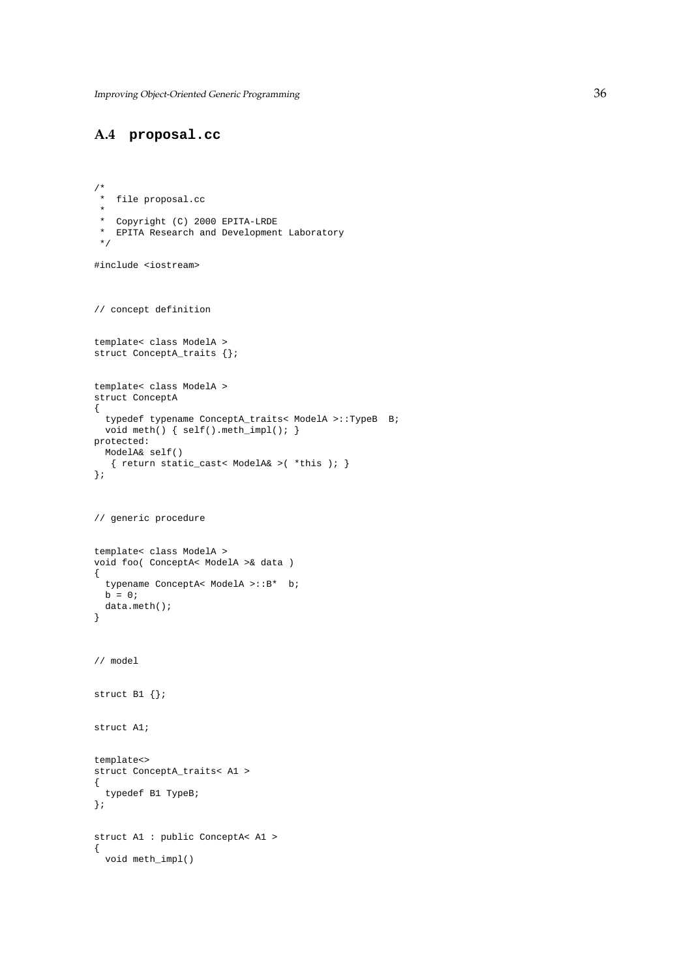# **A.4 proposal.cc**

```
/*
* file proposal.cc
 *
* Copyright (C) 2000 EPITA-LRDE
 * EPITA Research and Development Laboratory
*/
#include <iostream>
// concept definition
template< class ModelA >
struct ConceptA_traits {};
template< class ModelA >
struct ConceptA
{
 typedef typename ConceptA_traits< ModelA >::TypeB B;
 void meth() { self().meth_impl(); }
protected:
 ModelA& self()
   { return static_cast< ModelA& >( *this ); }
};
// generic procedure
template< class ModelA >
void foo( ConceptA< ModelA >& data )
{
 typename ConceptA< ModelA >::B* b;
 b = 0;data.meth();
}
// model
struct B1 {};
struct A1;
template<>
struct ConceptA_traits< A1 >
{
 typedef B1 TypeB;
};
struct A1 : public ConceptA< A1 >
{
 void meth_impl()
```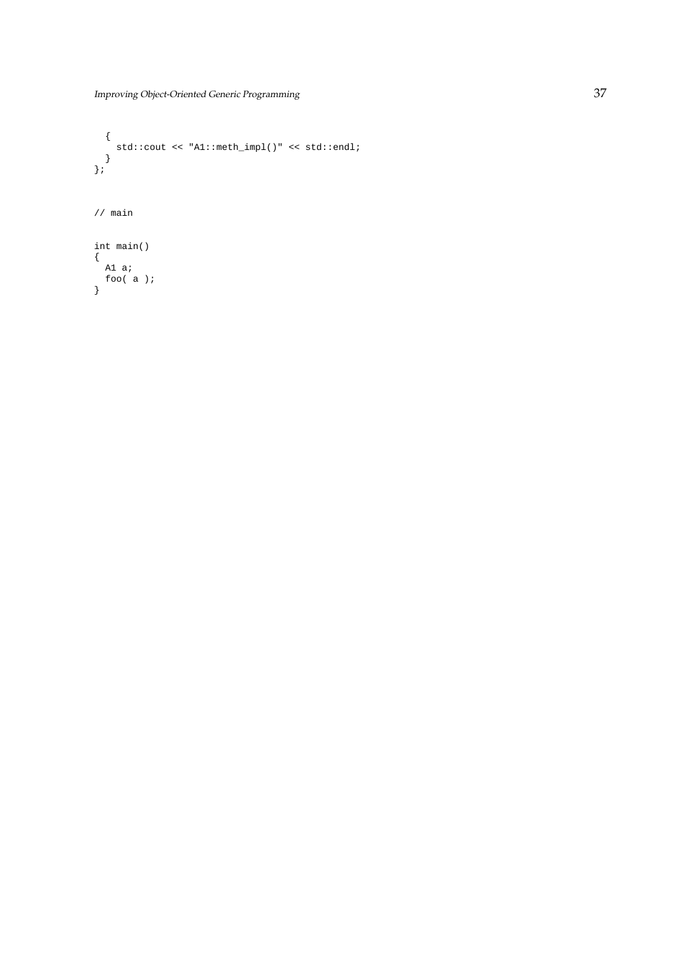```
\{std::cout << "A1::meth_impl()" << std::endl;
  }
};
// main
int main()
{
  A1 a;
  foo( a );
}
```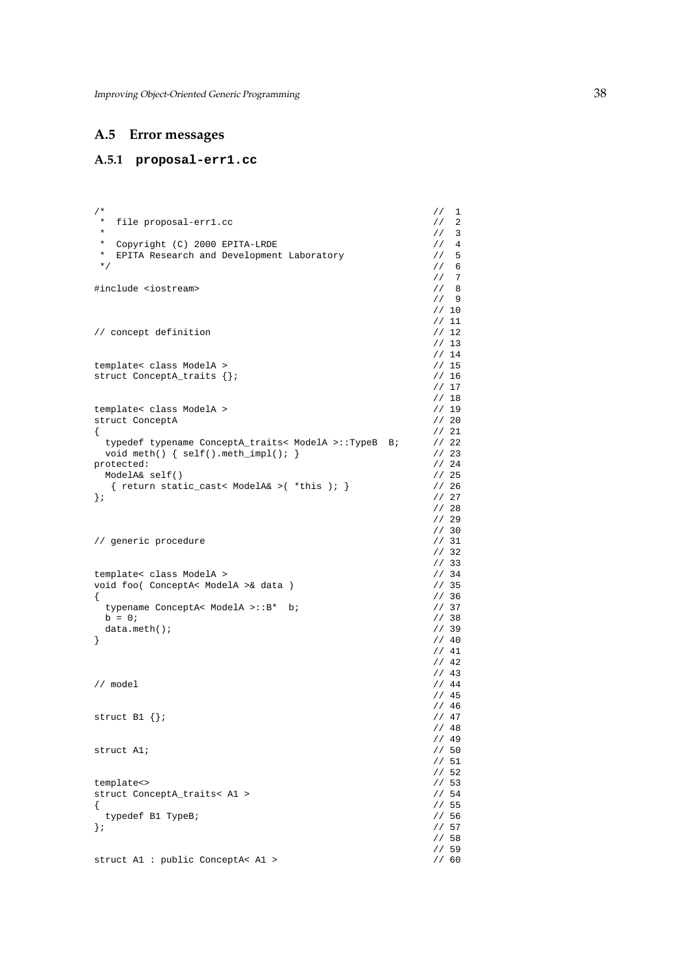### **A.5 Error messages**

#### **A.5.1 proposal-err1.cc**

```
\frac{1}{2} /* \frac{1}{2} // 1
* file proposal-err1.cc \left(\begin{array}{ccc} // & 2 \\ \star & \end{array}\right)\star // 3
* Copyright (C) 2000 EPITA-LRDE // 4
* EPITA Research and Development Laboratory // 5
 */ // 6
                                                // 7
#include <iostream> // 8
                                                // 9
                                                // 10
                                                \frac{1}{1}<br>\frac{11}{12}// concept definition
                                               1/13\frac{7}{14} 14
template< class ModelA > // 15
struct ConceptA_traits {};
                                                // 17
                                                \frac{1}{1} 18
template< class ModelA > // 19<br>struct ConceptA // 20
struct ConceptA // 20<br>{<br>typedef typename ConceptA_traits< ModelA >::TypeB B; // 22<br>}
\{ // 21
 typedef typename ConceptA_traits< ModelA >::TypeB B; // 22
 void meth() { self().meth_impl(); }<br>rotected: // 24<br>ModelA& self() // 25
protected:
 ModelA& self() \binom{7}{25}<br>{ return static cast< ModelA& >( *this ); } \binom{7}{26}{ return static_cast< ModelA& >( *this ); }
}; // 27
                                               \frac{1}{1} 27
                                               // 29
                                                \frac{1}{1} 30<br>\frac{1}{31}// generic procedure
                                               1/32\frac{1}{1} 33<br>\frac{1}{3}template< class ModelA > <br>void foo( ConceptA< ModelA > & data ) // 35
void foo( ConceptA< ModelA >& data ) \frac{1}{35} // 35
\{ // 36
 typename ConceptA< ModelA >::B* b; \begin{array}{ccc} \n\end{array} // 37<br>
b = 0; \begin{array}{ccc} \n\end{array} // 38
 b = 0; // 38
 data.meth(); \frac{1}{39}\} // 40
                                               \frac{7}{1} 40
                                                // 42
                                               \frac{7}{1} 43
// model1/45\frac{7}{1} 46
struct B1 \{\}\// 48
                                                \frac{7}{1} 49
struct A1;
                                                // 51
                                               \frac{7}{1} 52<br>\frac{7}{1} 53<br>\frac{7}{1} 54
template<>
struct ConceptA_traits< A1 > // 54 // 55
{ // 55
typedef B1 TypeB;<br>
\};<br>
\};<br>
// 57
}; // 57
                                               // 58
                                               \frac{7}{160}struct A1 : public ConceptA< A1 >
```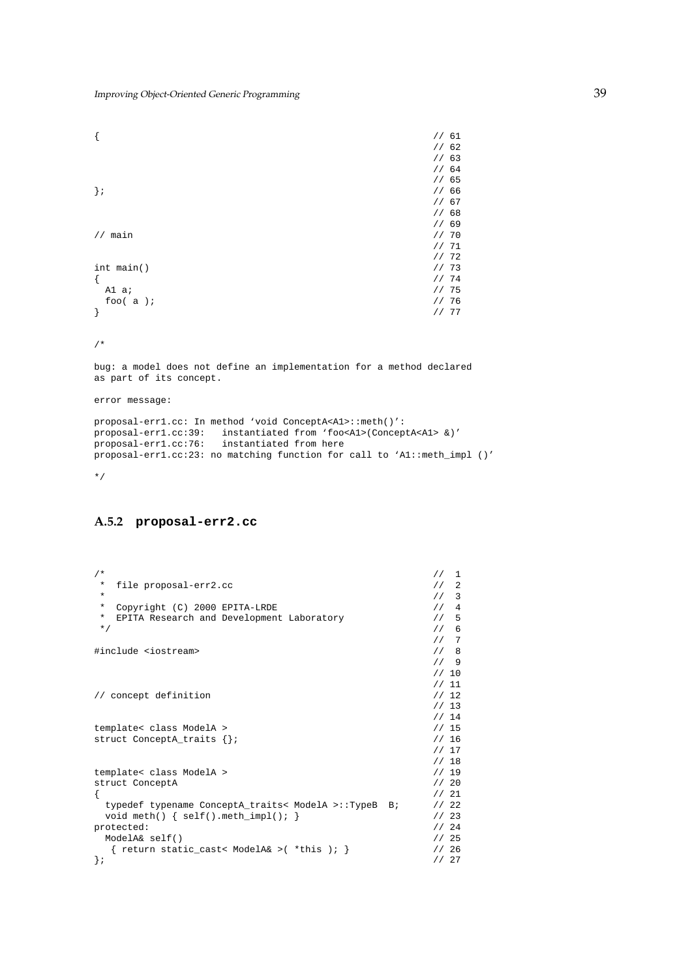| $\{$                  |               | 1/61<br>1/62<br>1/63 |
|-----------------------|---------------|----------------------|
|                       |               | 1/64                 |
|                       |               | 1/65                 |
| $\}$ ;                |               | 1/66                 |
|                       |               | 1/67                 |
|                       |               | 1/68                 |
|                       |               | 1/69                 |
| $\frac{1}{2}$<br>main |               | 1/70                 |
|                       |               | 1/71                 |
|                       |               | 1/72                 |
| int main()            |               | 1/73                 |
| $\{$                  |               | 1/74                 |
| Al a;                 |               | 1/75                 |
| foo $(a)$ ;           |               | 1/76                 |
| }                     | $\frac{1}{2}$ | 77                   |

#### /\*

bug: a model does not define an implementation for a method declared as part of its concept.

error message:

```
proposal-err1.cc: In method 'void ConceptA<A1>::meth()':
proposal-err1.cc:39: instantiated from 'foo<A1>(ConceptA<A1> &)'
proposal-err1.cc:76: instantiated from here
proposal-err1.cc:23: no matching function for call to 'A1::meth_impl ()'
```
\*/

### **A.5.2 proposal-err2.cc**

| $/$ *                                                | $\frac{1}{2}$<br>1 |
|------------------------------------------------------|--------------------|
| $^\ast$<br>file proposal-err2.cc                     | 1/2                |
| *                                                    | 3<br>$\frac{1}{2}$ |
| $\ast$<br>Copyright (C) 2000 EPITA-LRDE              | 1/4                |
| $\star$<br>EPITA Research and Development Laboratory | 115                |
| $*$ /                                                | 116                |
|                                                      | 117                |
| #include <iostream></iostream>                       | 1/8                |
|                                                      | 119                |
|                                                      | 1/10               |
|                                                      | 11                 |
| // concept definition                                | 1/12               |
|                                                      | 1/13               |
|                                                      | 1/14               |
| template< class ModelA >                             | 1/15               |
| struct ConceptA_traits $\{\}\$                       | 1/16               |
|                                                      | 1/17               |
|                                                      | 1/18               |
| template< class ModelA >                             | 1/19               |
| struct ConceptA                                      | 1/20               |
| $\{$                                                 | 1/21               |
| typedef typename ConceptA_traits< ModelA >::TypeB B; | 1/22               |
| void meth() { $self() .meth\_impl()$ ; }             | 1/23               |
| protected:                                           | 1/24               |
| ModelA& self()                                       | 1/25               |
| { return static_cast< ModelA& >( *this ); }          | 1/26               |
| $\}$ ;                                               | 1/27               |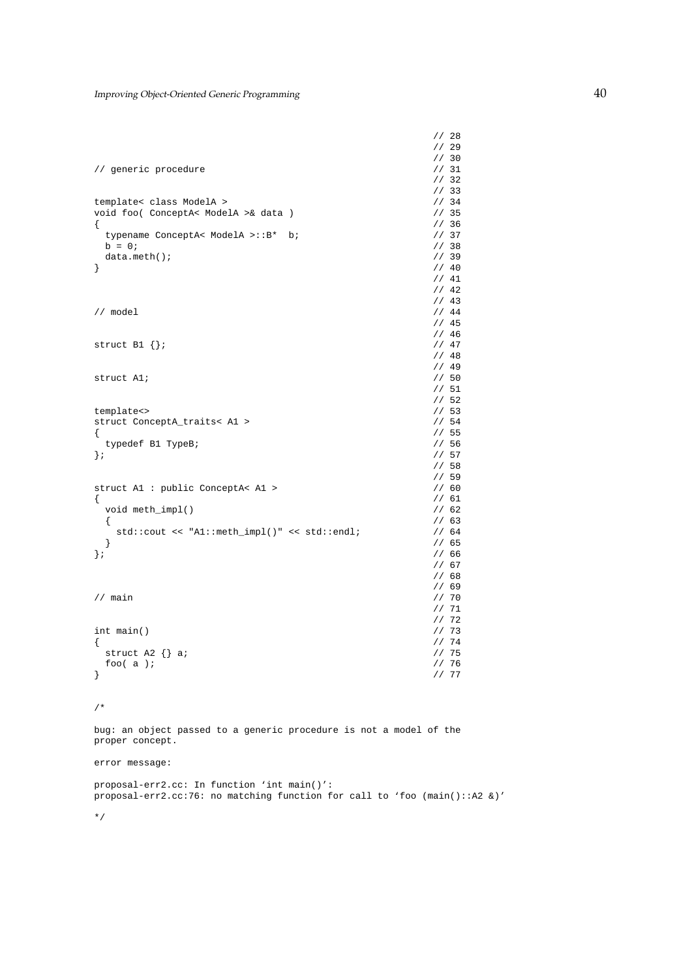|                                                       | 1/28<br>29<br>$\frac{1}{2}$ |
|-------------------------------------------------------|-----------------------------|
|                                                       | 30<br>$\frac{1}{2}$         |
| // generic procedure                                  | 1/31<br>32<br>$\frac{1}{2}$ |
|                                                       | 1/33                        |
| template< class ModelA >                              | 1/34                        |
| void foo( ConceptA< ModelA >& data )<br>$\mathcal{L}$ | 1/35<br>1/36                |
| typename ConceptA< ModelA >:: B*<br>$\mathbf{b}$      | 1/37                        |
| $b = 0;$                                              | 1/38                        |
| data.meth();<br>$\}$                                  | 1/39<br>1/40                |
|                                                       | 1/41                        |
|                                                       | 1/42                        |
|                                                       | 1/43                        |
| // model                                              | 1/44<br>1/45                |
|                                                       | 1/46                        |
| struct B1 $\{\}$ ;                                    | 1/47                        |
|                                                       | 1/48<br>// 49               |
| struct Al;                                            | 1/50                        |
|                                                       | 1/51                        |
|                                                       | 1/52                        |
| template<><br>struct ConceptA_traits< A1 >            | 1/53<br>1/54                |
| $\{$                                                  | // 55                       |
| typedef B1 TypeB;                                     | 1/56                        |
| $\}$ ;                                                | 1/57<br>1/58                |
|                                                       | 1/59                        |
| struct A1 : public ConceptA< A1 >                     | 1/60                        |
| {<br>void meth_impl()                                 | // 61<br>1/62               |
| $\left\{ \right.$                                     | // 63                       |
| std::cout << "Al::meth_impl()" << std::endl;          | 1/64                        |
|                                                       | // 65                       |
| $\}$ ;                                                | 1/66<br>// 67               |
|                                                       | 1/68                        |
|                                                       | // 69                       |
| // main                                               | 70<br>$\frac{1}{2}$<br>1/71 |
|                                                       | 72<br>$\frac{1}{2}$         |
| int main()                                            | 1/73                        |
| $\{$                                                  | 74<br>$\frac{1}{2}$<br>1/75 |
| struct A2 $\{\}$ a;<br>foo $(a)$ ;                    | 1/76                        |
| $\}$                                                  | 1/77                        |

/\*

bug: an object passed to a generic procedure is not a model of the proper concept.

error message:

proposal-err2.cc: In function 'int main()': proposal-err2.cc:76: no matching function for call to 'foo (main()::A2 &)'

\*/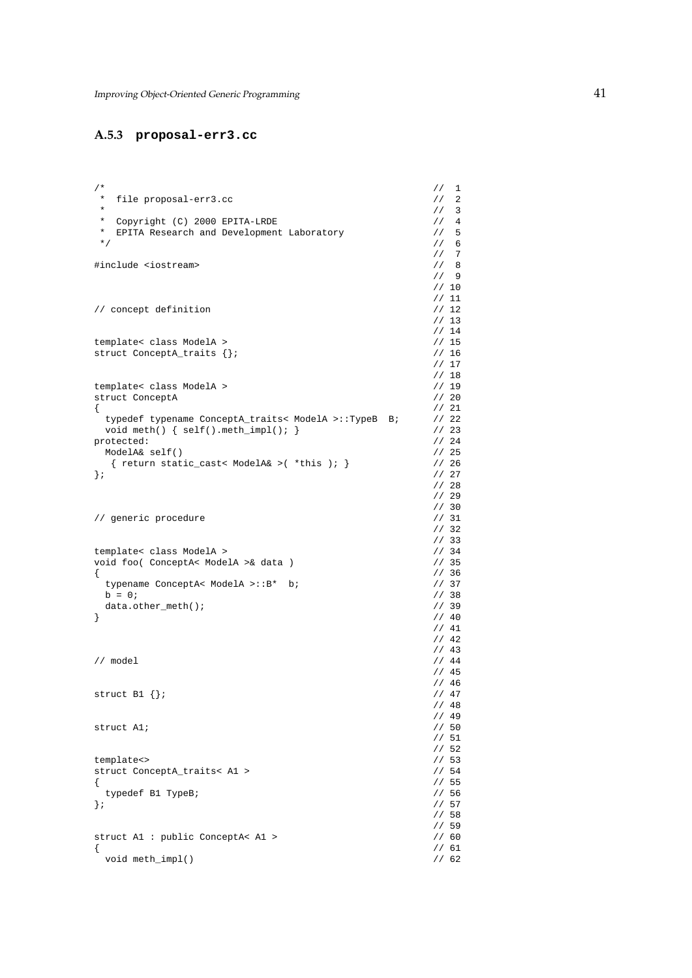### **A.5.3 proposal-err3.cc**

```
\frac{1}{2} /* \frac{1}{2} // 1
* file proposal-err3.cc \left(\begin{array}{ccc} // & 2 \\ \end{array}\right)\star // 3
* Copyright (C) 2000 EPITA-LRDE // 4<br>
* EPITA Research and Development Laboratory // 5
* EPITA Research and Development Laboratory // 5
 */ // 6
                                              \begin{matrix} / & 7 \\ / & 8 \end{matrix}#include <iostream> // 8
                                              // 9
                                              // 10
                                              // 11// concept definition \frac{1}{2} // 12
                                              // 13
                                              \frac{1}{14}<br>\frac{1}{14}template< class ModelA >
struct ConceptA_traits {};
                                              \frac{1}{17}<br>\frac{1}{17}\frac{7}{18}<br>\frac{18}{19}template< class ModelA >
struct ConceptA \frac{1}{2} // 20
\{ // 21
typedef typename ConceptA_traits< ModelA >::TypeB B; // 22<br>void meth() { self().meth_impl(); } // 23
 void meth() { self() .meth\_imp1(); } // 23<br>rotected: // 24
protected:
\begin{array}{lcl} \texttt{ModelA& self()} & // 25 \\ \{ \texttt{return static\_cast} & & \texttt{ModelA&} > ( * this ) \texttt{;} \end{array} \} & // 25 \\ \texttt{;} & // 27 \\ \end{array}{ return static_cast< ModelA& >( *this ); }
}; // 27
                                              // 28
                                              // 29
                                              \frac{1}{1} 30<br>\frac{1}{2}// generic procedure
                                              // 32
                                              \frac{7}{1} 33<br>\frac{3}{1}template< class ModelA > \frac{1}{34} void foo( ConceptA< ModelA > & data ) \frac{1}{35}void foo( ConceptA< ModelA >& data )
\{ // 36
 typename ConceptA< ModelA >::B* b; // 37
 b = 0; // 38
 data.other_meth(); \frac{1}{2} // 39<br>
\frac{1}{2} // 40
\} // 40
                                              // 41
                                              // 42
                                              // 43
\frac{1}{44} // model
                                              // 45
                                              \frac{1}{1} 46<br>\frac{1}{1} 47
struct B1 \};
                                              // 48
                                              // 49
struct A1; // 50
                                              // 51
                                              \frac{1}{1} 52
template<> // 53
struct ConceptA_traits< A1 > // 54 // 55
{ // 55
 typedef B1 TypeB; // 56
}; // 57
                                              // 58
                                              // 59
struct A1 : public ConceptA< A1 > // 60<br> \{// 61
\{ // 61
 void meth_impl() \frac{1}{62}
```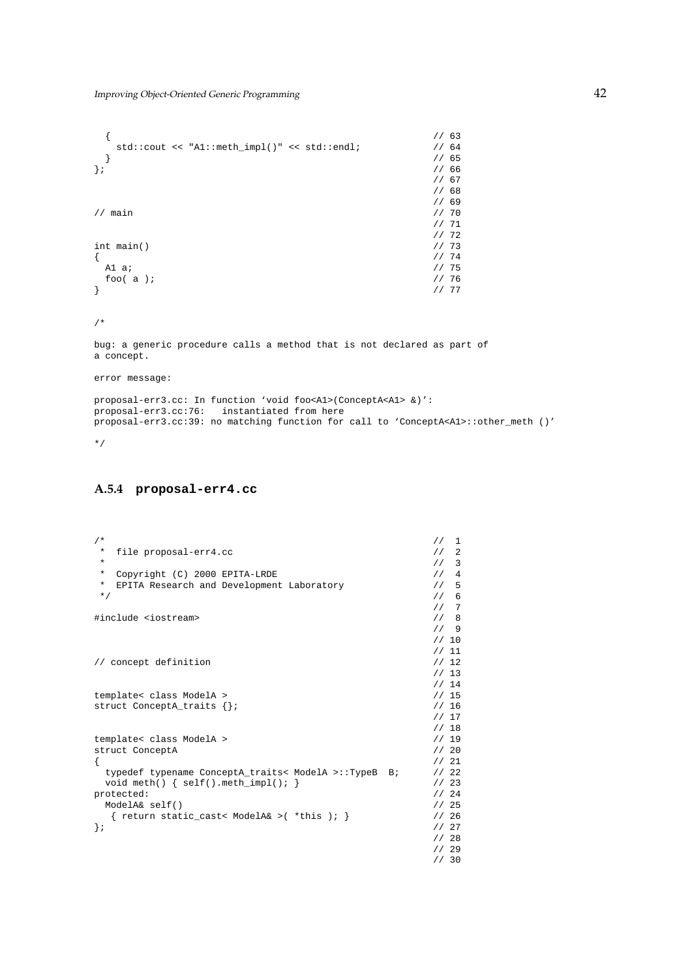```
\{ // 63
  std::cout << "A1::meth_impl()" << std::endl; // 64
 } // 65
}; // 66
                                          // 67
                                          // 68
                                          \frac{1}{1}/ 69
// main // 70
                                          // 71
                                          // 72
int main()
\{ \} // 74
 A1 a; \frac{1}{2} and \frac{1}{2} and \frac{1}{2} and \frac{1}{2} and \frac{1}{2} and \frac{1}{2} and \frac{1}{2} and \frac{1}{2} and \frac{1}{2} and \frac{1}{2} and \frac{1}{2} and \frac{1}{2} and \frac{1}{2} and \frac{1}{2} and \frac{1}{2} and \frac{1foo( a ); \frac{1}{77}\} // 77
```

```
/*
```
bug: a generic procedure calls a method that is not declared as part of a concept.

```
error message:
```
proposal-err3.cc: In function 'void foo<A1>(ConceptA<A1> &)': proposal-err3.cc:76: instantiated from here proposal-err3.cc:39: no matching function for call to 'ConceptA<A1>::other\_meth ()'

\*/

#### **A.5.4 proposal-err4.cc**

```
\frac{1}{2} /* \frac{1}{2} // 1
 * file proposal-err4.cc \left(\begin{array}{ccc} / & 2 \\ 2 & 2 \end{array}\right)\star // 3
 * Copyright (C) 2000 EPITA-LRDE // 4<br>
* EPITA Research and Development Laboratory // 5
 * EPITA Research and Development Laboratory // 5
 */ // 6
                                                                     \frac{1}{1} 7<br>\frac{7}{1} 8
#include <iostream> // 8
                                                                     119// 10
                                                                     // 11
// concept definition \frac{1}{2}// 13
                                                                     // 14
template< class ModelA > // 15
struct ConceptA_traits \{\}\// 17
                                                                     \frac{7}{1} 18
template< class ModelA > // 19<br>struct ConceptA // 20
\begin{array}{ccc} \texttt{struct ConceptA} & & \texttt{\texttt{\texttt{\texttt{\texttt{\texttt{1}}}}} & \texttt{\texttt{\texttt{1}}\texttt{\texttt{21}}} \\ \texttt{\texttt{\texttt{1}}} & & \texttt{\texttt{\texttt{21}}} & \texttt{\texttt{21}} & \texttt{\texttt{3}} \\ \end{array}\{ // 21
 typedef typename ConceptA_traits< ModelA >::TypeB B; // 22<br>void meth() { self().meth_impl(); } // 23<br>vrotected: // 24
 void meth() \{ self() .meth\_impl() \}protected: // 24<br>
ModelA& self() // 25
 \begin{array}{lllllllll} \texttt{ModelA&self()} & \texttt{// 25} \\ \{ \texttt{return static\_cast} < \texttt{ModelA&} > (\texttt{*this });\end{array} & \begin{array}{lllllll} \texttt{// 26} \\ \texttt{// 27} \\ \texttt{// 27} \end{array} \end{array}{ return static_cast< ModelA& >( *this ); }
}; // 27
                                                                     // 28
                                                                     // 29
                                                                     // 30
```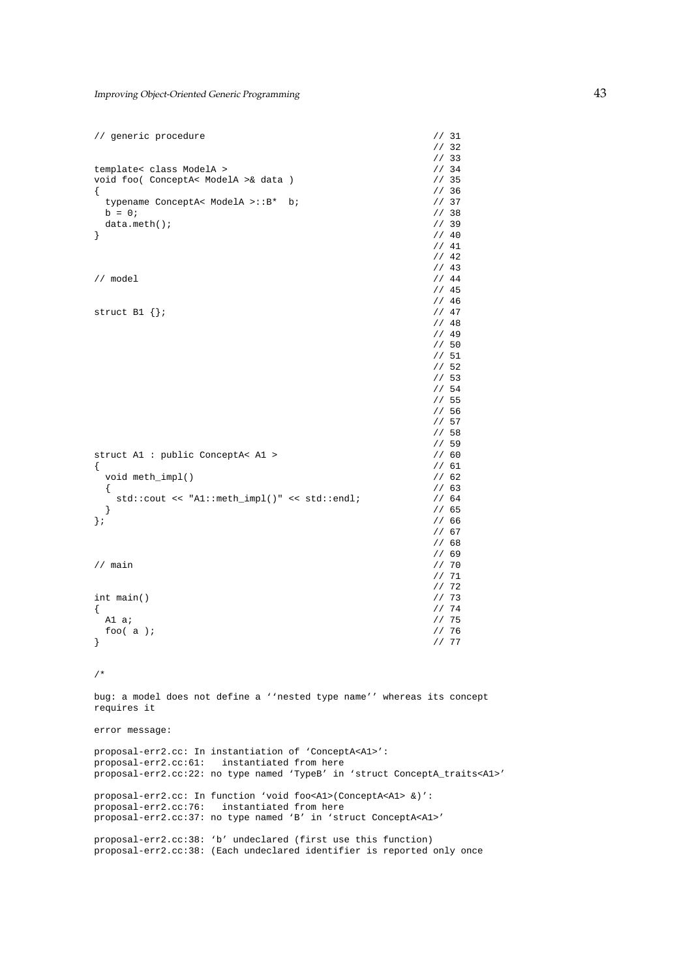```
// generic procedure \frac{1}{31}// 32
                                                // 33
template< class ModelA > <br>void foo( ConceptA< ModelA > & data ) // 35
void foo( ConceptA< ModelA >& data )
\{ // 36
 typename ConceptA< ModelA >::B* b; \begin{array}{ccc} \n\end{array} // 37<br>
b = 0; \begin{array}{ccc} \n\end{array} // 38
 b = 0; // 38
 data.meth(); \frac{1}{2} // 39
\} // 40
                                                // 41// 42
                                                \frac{1}{14} 43
// model// 45
                                                \frac{1}{1}<br>\frac{1}{4}struct B1 \n{;}// 48
                                                // 49
                                                // 50
                                                // 51
                                                // 52
                                                // 53
                                                // 54
                                                // 55
                                                // 56
                                                7/57// 58
                                                \frac{7}{160} 59
struct A1 : public ConceptA< A1 > // 60<br> \{ // 61
\{ // 61
 void meth_impl()<br>{<br>// 62<br>// 63
 \{ // 63
  std::cout << "A1::meth_impl()" << std::endl; // 64
 } // 65
}; // 66
                                                // 67
                                                // 68
                                                \frac{1}{1} 69
// main // 70
                                                // 71
                                                // 72<br>// 73
int main()
\{ \} // 74
 A1 a; \frac{1}{2} and \frac{1}{2} and \frac{1}{2} and \frac{1}{2} and \frac{1}{2} and \frac{1}{2} and \frac{1}{2} and \frac{1}{2} and \frac{1}{2} and \frac{1}{2} and \frac{1}{2} and \frac{1}{2} and \frac{1}{2} and \frac{1}{2} and \frac{1}{2} and \frac{1foo( a ); \frac{7}{77}\}/*
bug: a model does not define a ''nested type name'' whereas its concept
requires it
error message:
proposal-err2.cc: In instantiation of 'ConceptA<A1>':
proposal-err2.cc:61: instantiated from here
proposal-err2.cc:22: no type named 'TypeB' in 'struct ConceptA_traits<A1>'
proposal-err2.cc: In function 'void foo<A1>(ConceptA<A1> &)':
proposal-err2.cc:76: instantiated from here
proposal-err2.cc:37: no type named 'B' in 'struct ConceptA<A1>'
proposal-err2.cc:38: 'b' undeclared (first use this function)
proposal-err2.cc:38: (Each undeclared identifier is reported only once
```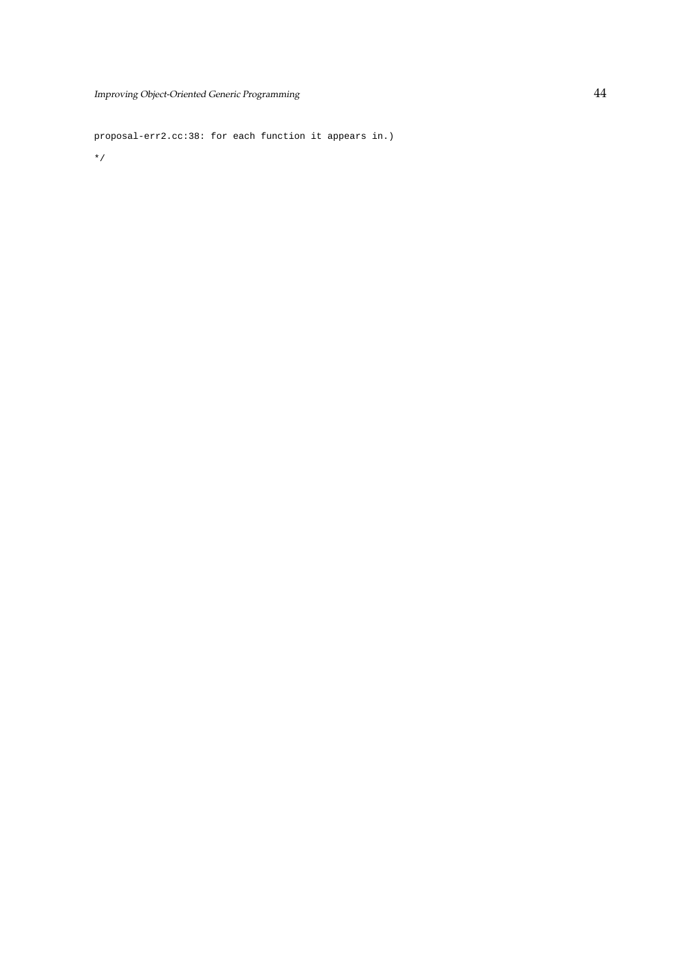proposal-err2.cc:38: for each function it appears in.) \*/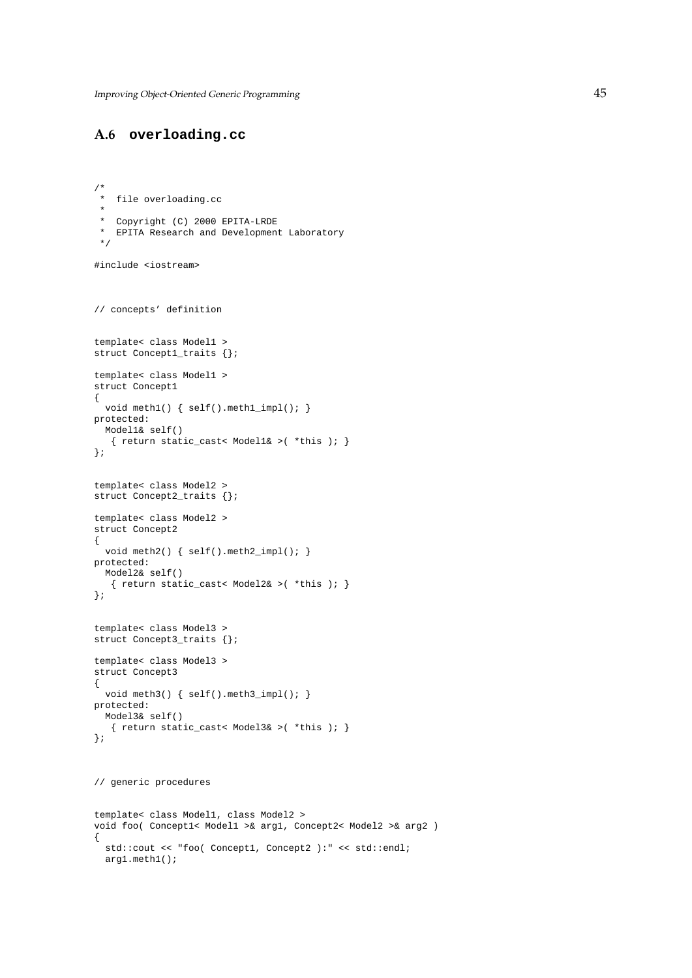### **A.6 overloading.cc**

```
/*
 * file overloading.cc
 *
* Copyright (C) 2000 EPITA-LRDE
 * EPITA Research and Development Laboratory
 */
#include <iostream>
// concepts' definition
template< class Model1 >
struct Concept1_traits {};
template< class Model1 >
struct Concept1
{
 void meth1() { self().meth1_impl(); }
protected:
 Model1& self()
   { return static_cast< Model1& >( *this ); }
};
template< class Model2 >
struct Concept2_traits {};
template< class Model2 >
struct Concept2
{
 void meth2() { self().meth2_impl(); }
protected:
 Model2& self()
  { return static_cast< Model2& >( *this ); }
};
template< class Model3 >
struct Concept3_traits {};
template< class Model3 >
struct Concept3
{
 void meth3() { self().meth3_impl(); }
protected:
 Model3& self()
   { return static_cast< Model3& >( *this ); }
};
// generic procedures
template< class Model1, class Model2 >
void foo( Concept1< Model1 >& arg1, Concept2< Model2 >& arg2 )
{
 std::cout << "foo( Concept1, Concept2 ):" << std::endl;
 arg1.meth1();
```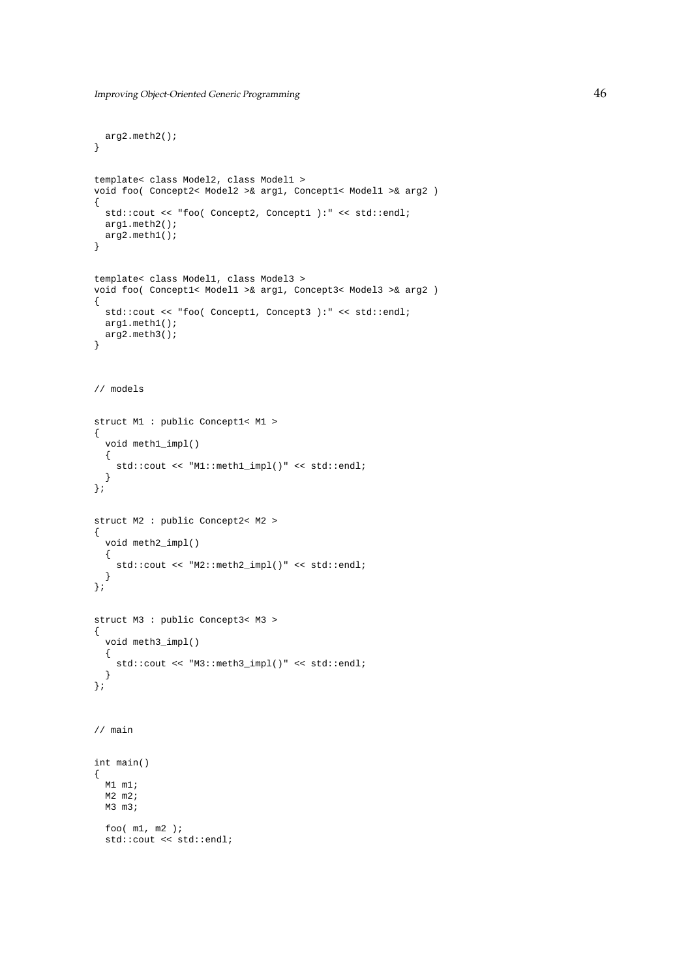```
arg2.meth2();
}
template< class Model2, class Model1 >
void foo( Concept2< Model2 >& arg1, Concept1< Model1 >& arg2 )
{
 std::cout << "foo( Concept2, Concept1 ):" << std::endl;
 arg1.meth2();
 arg2.meth1();
}
template< class Model1, class Model3 >
void foo( Concept1< Model1 >& arg1, Concept3< Model3 >& arg2 )
{
 std::cout << "foo( Concept1, Concept3 ):" << std::endl;
 arg1.meth1();
 arg2.meth3();
}
// models
struct M1 : public Concept1< M1 >
{
 void meth1_impl()
  {
   std::cout << "M1::meth1_impl()" << std::endl;
  }
};
struct M2 : public Concept2< M2 >
{
 void meth2_impl()
 {
   std::cout << "M2::meth2_impl()" << std::endl;
  }
};
struct M3 : public Concept3< M3 >
{
 void meth3_impl()
 {
    std::cout << "M3::meth3_impl()" << std::endl;
 }
};
// main
int main()
{
 M1 m1;
 M2 m2;
 M3 m3;
 foo( m1, m2 );
 std::cout << std::endl;
```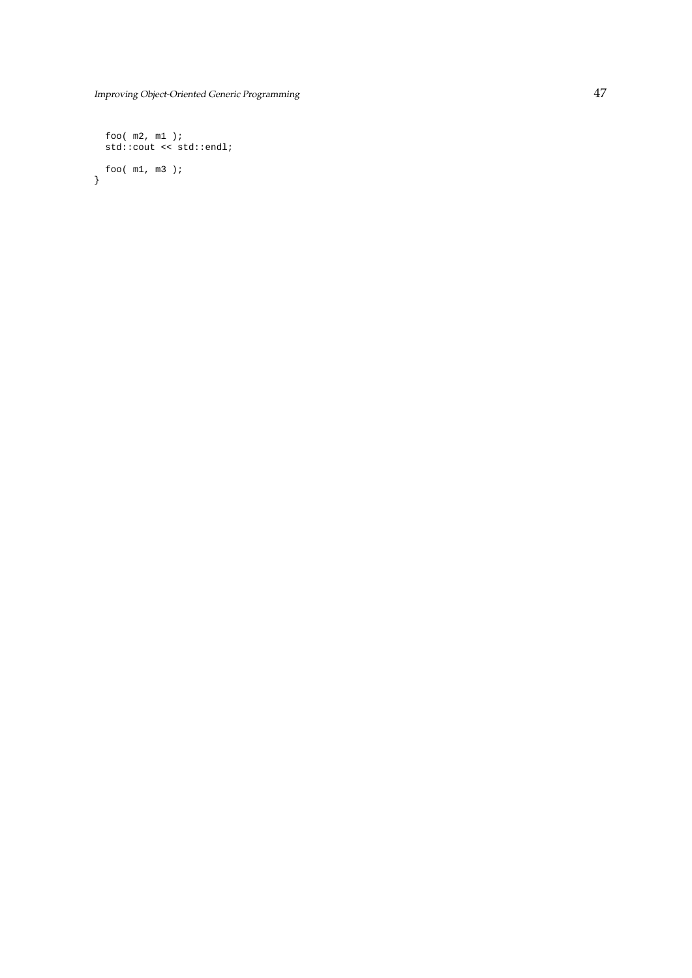foo( m2, m1 ); std::cout << std::endl; foo( m1, m3 ); }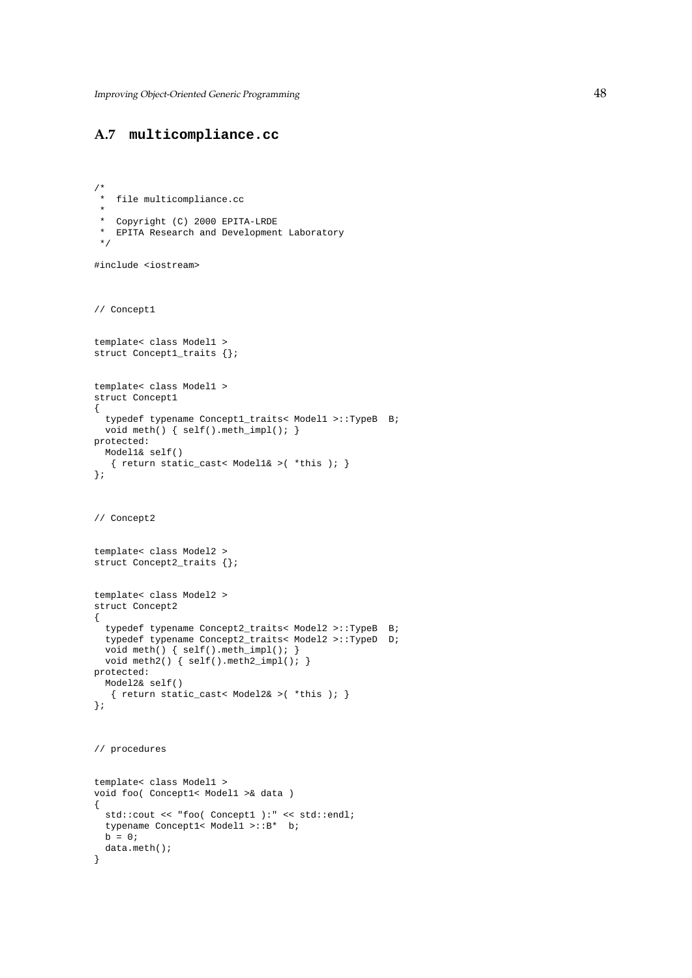### **A.7 multicompliance.cc**

```
/*
 * file multicompliance.cc
*
   Copyright (C) 2000 EPITA-LRDE
 * EPITA Research and Development Laboratory
 */
#include <iostream>
// Concept1
template< class Model1 >
struct Concept1_traits {};
template< class Model1 >
struct Concept1
{
 typedef typename Concept1_traits< Model1 >::TypeB B;
 void meth() { self().meth_impl(); }
protected:
 Model1& self()
   { return static_cast< Model1& >( *this ); }
};
// Concept2
template< class Model2 >
struct Concept2_traits {};
template< class Model2 >
struct Concept2
{
 typedef typename Concept2_traits< Model2 >::TypeB B;
  typedef typename Concept2_traits< Model2 >::TypeD D;
  void meth() { self().meth_impl(); }
 void meth2() { self().meth2_impl(); }
protected:
 Model2& self()
   { return static_cast< Model2& >( *this ); }
};
// procedures
template< class Model1 >
void foo( Concept1< Model1 >& data )
{
  std::cout << "foo( Concept1 ):" << std::endl;
  typename Concept1< Model1 >::B* b;
 b = 0;data.meth();
}
```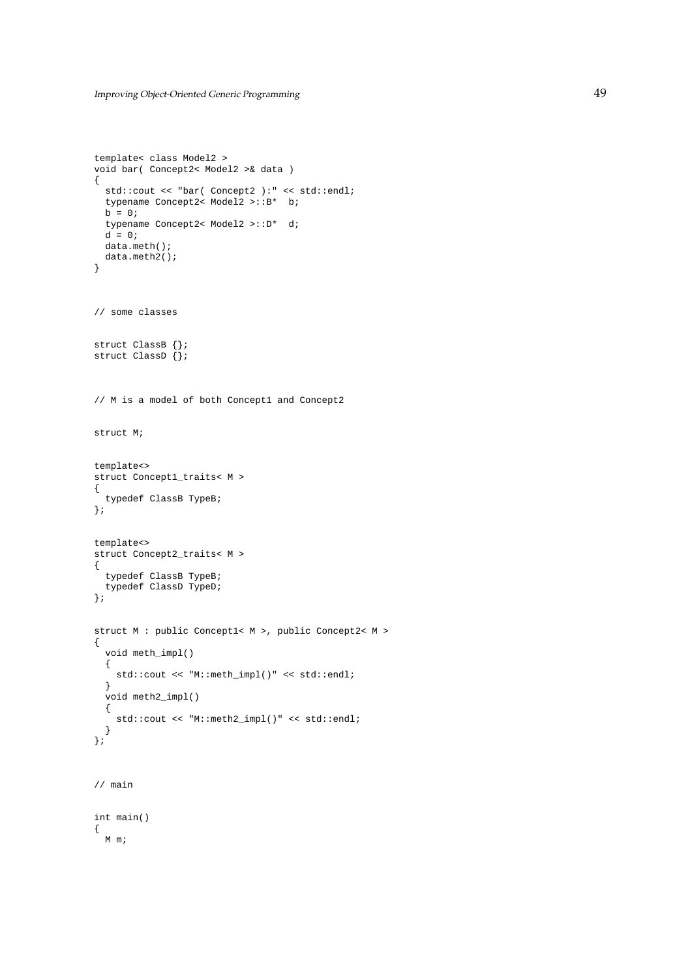```
template< class Model2 >
void bar( Concept2< Model2 >& data )
{
 std::cout << "bar( Concept2 ):" << std::endl;
 typename Concept2< Model2 >::B* b;
 b = 0;typename Concept2< Model2 >::D* d;
 d = 0;data.meth();
 data.meth2();
}
// some classes
struct ClassB {};
struct ClassD {};
// M is a model of both Concept1 and Concept2
struct M;
template<>
struct Concept1_traits< M >
{
 typedef ClassB TypeB;
};
template<>
struct Concept2_traits< M >
{
 typedef ClassB TypeB;
 typedef ClassD TypeD;
};
struct M : public Concept1< M >, public Concept2< M >
{
 void meth_impl()
  {
   std::cout << "M::meth_impl()" << std::endl;
  }
  void meth2_impl()
  {
    std::cout << "M::meth2_impl()" << std::endl;
  }
};
// main
int main()
{
 M m;
```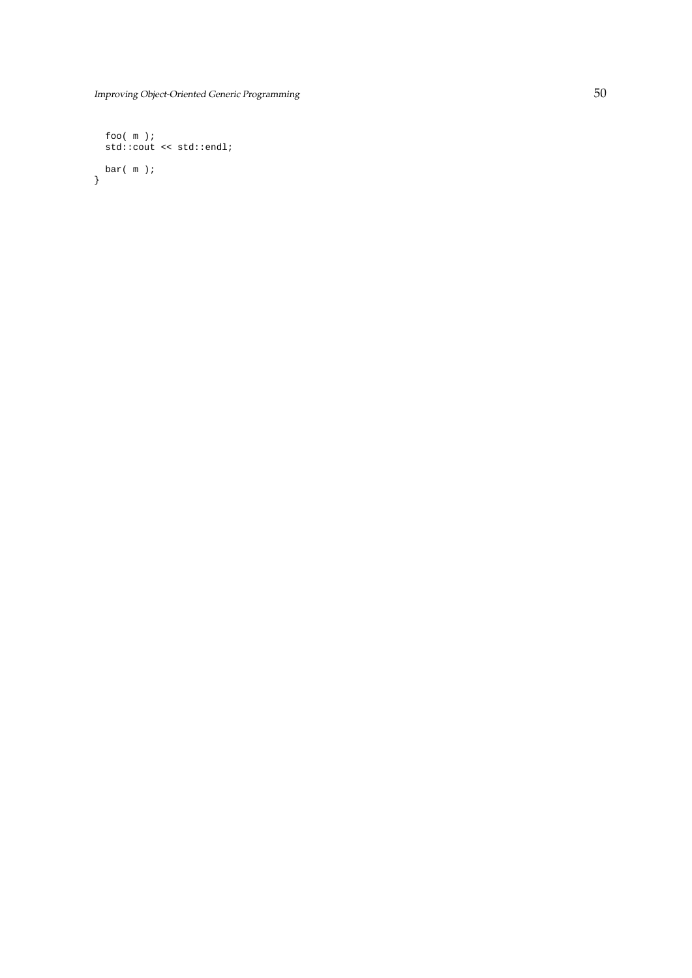```
foo( m );
  std::cout << std::endl;
 bar( m );
}
```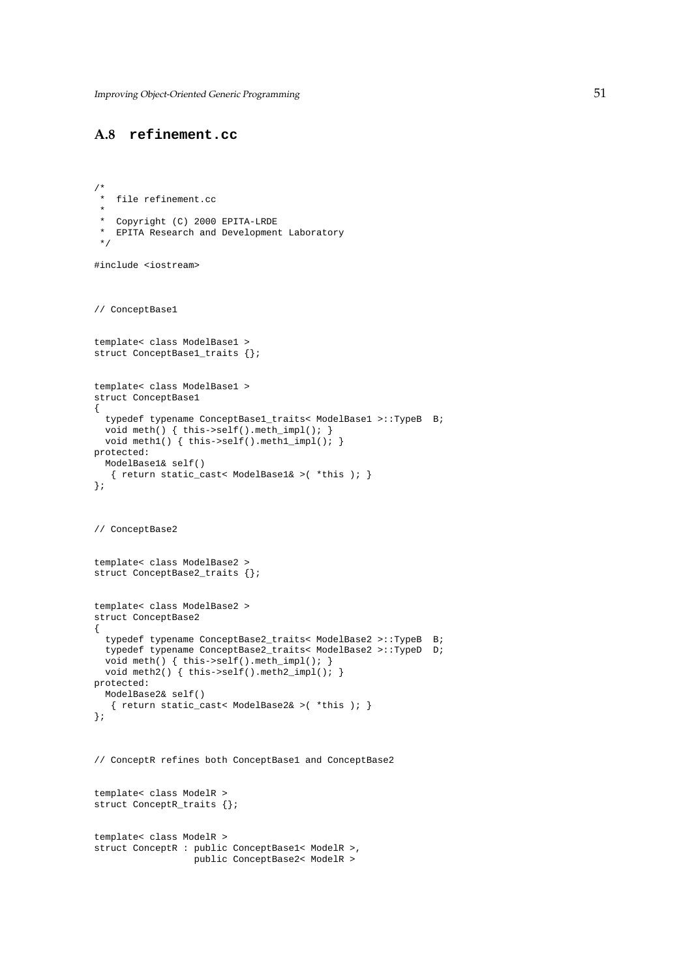### **A.8 refinement.cc**

```
/*
 * file refinement.cc
 *
 * Copyright (C) 2000 EPITA-LRDE
   EPITA Research and Development Laboratory
 */
#include <iostream>
// ConceptBase1
template< class ModelBase1 >
struct ConceptBase1_traits {};
template< class ModelBase1 >
struct ConceptBase1
{
 typedef typename ConceptBase1_traits< ModelBase1 >::TypeB B;
  void meth() { this->self().meth_impl(); }
  void meth1() { this->self().meth1_impl(); }
protected:
 ModelBase1& self()
   { return static_cast< ModelBase1& >( *this ); }
};
// ConceptBase2
template< class ModelBase2 >
struct ConceptBase2_traits {};
template< class ModelBase2 >
struct ConceptBase2
{
  typedef typename ConceptBase2_traits< ModelBase2 >::TypeB B;
  typedef typename ConceptBase2_traits< ModelBase2 >::TypeD D;
  void meth() { this->self().meth_impl(); }
  void meth2() { this->self().meth2_impl(); }
protected:
  ModelBase2& self()
   { return static_cast< ModelBase2& >( *this ); }
};
// ConceptR refines both ConceptBase1 and ConceptBase2
template< class ModelR >
struct ConceptR_traits {};
template< class ModelR >
struct ConceptR : public ConceptBase1< ModelR >,
                  public ConceptBase2< ModelR >
```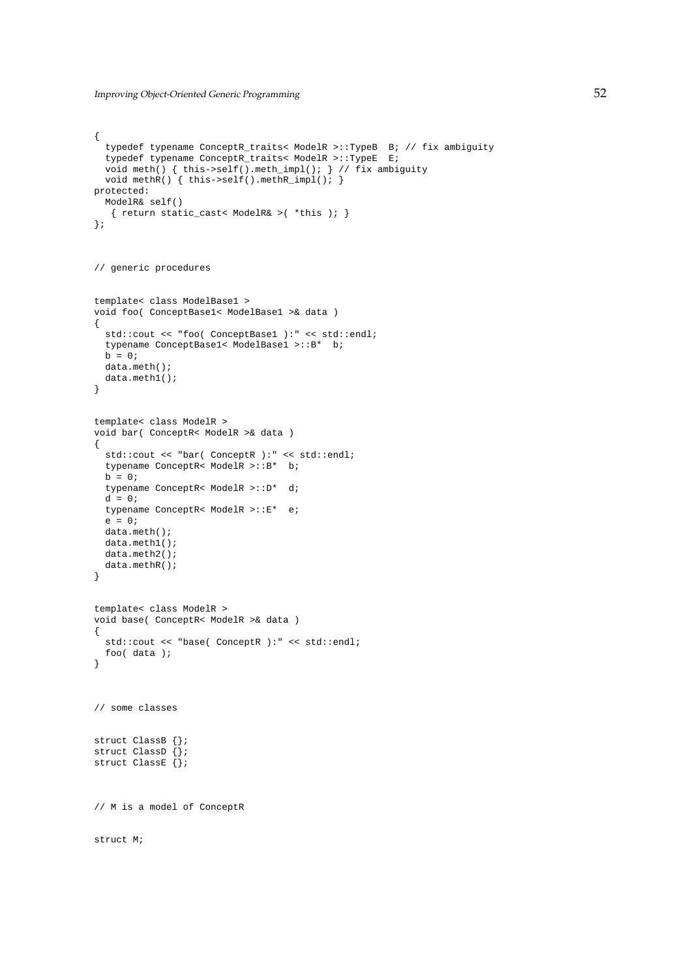```
{
 typedef typename ConceptR_traits< ModelR >::TypeB B; // fix ambiguity
  typedef typename ConceptR_traits< ModelR >::TypeE E;
  void meth() { this->self().meth_impl(); } // fix ambiguity
  void methR() { this->self().methR_impl(); }
protected:
 ModelR& self()
   { return static_cast< ModelR& >( *this ); }
};
// generic procedures
template< class ModelBase1 >
void foo( ConceptBase1< ModelBase1 >& data )
{
 std::cout << "foo( ConceptBase1 ):" << std::endl;
 typename ConceptBase1< ModelBase1 >::B* b;
 b = 0;data.meth();
 data.meth1();
}
template< class ModelR >
void bar( ConceptR< ModelR >& data )
{
 std::cout << "bar( ConceptR ):" << std::endl;
 typename ConceptR< ModelR >::B* b;
 b = 0;typename ConceptR< ModelR >::D* d;
 d = 0;typename ConceptR< ModelR >::E* e;
 e = 0;
 data.meth();
 data.meth1();
 data.meth2();
 data.methR();
}
template< class ModelR >
void base( ConceptR< ModelR >& data )
{
 std::cout << "base( ConceptR ):" << std::endl;
 foo( data );
}
// some classes
struct ClassB {};
struct ClassD {};
struct ClassE {};
// M is a model of ConceptR
struct M;
```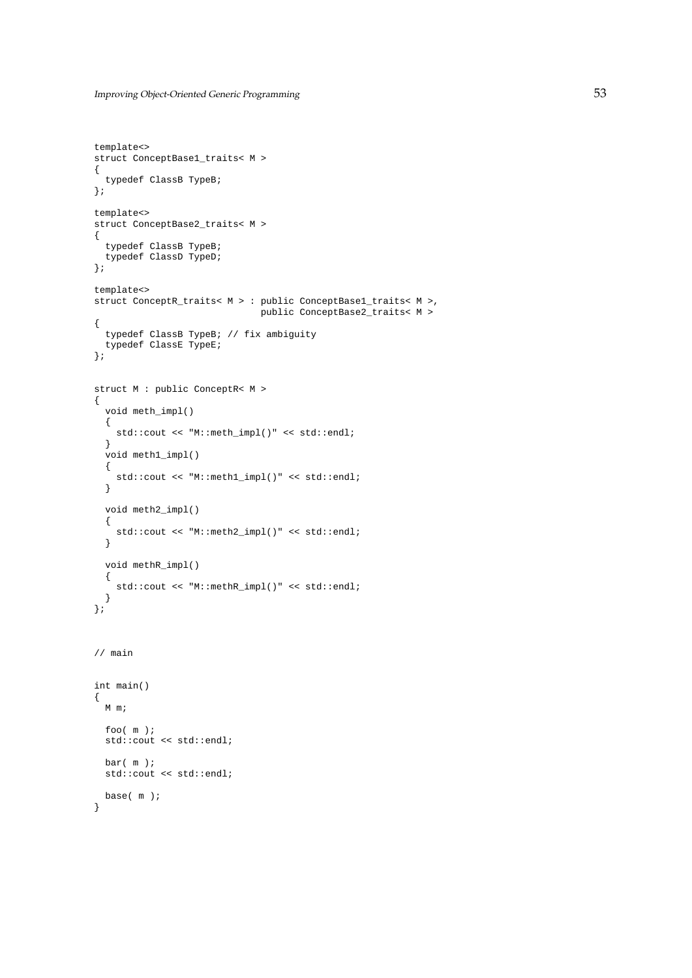```
template<>
struct ConceptBase1_traits< M >
{
 typedef ClassB TypeB;
};
template<>
struct ConceptBase2_traits< M >
{
 typedef ClassB TypeB;
 typedef ClassD TypeD;
};
template<>
struct ConceptR_traits< M > : public ConceptBase1_traits< M >,
                              public ConceptBase2_traits< M >
{
 typedef ClassB TypeB; // fix ambiguity
 typedef ClassE TypeE;
};
struct M : public ConceptR< M >
{
  void meth_impl()
  {
   std::cout << "M::meth_impl()" << std::endl;
  }
  void meth1_impl()
  {
   std::cout << "M::meth1_impl()" << std::endl;
  }
 void meth2_impl()
  {
   std::cout << "M::meth2 impl()" << std::endl;
  }
 void methR_impl()
  {
   std::cout << "M::methR_impl()" << std::endl;
  }
};
// main
int main()
{
 M m;
 foo( m );
 std::cout << std::endl;
 bar( m );
 std::cout << std::endl;
 base( m );
}
```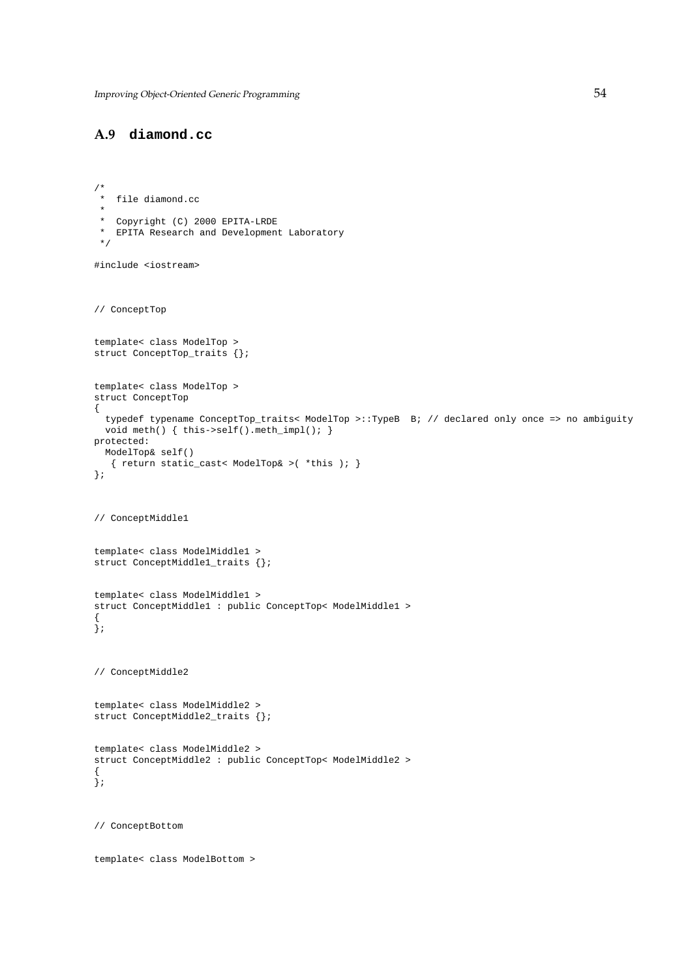### **A.9 diamond.cc**

```
/*
 * file diamond.cc
 *
* Copyright (C) 2000 EPITA-LRDE
 * EPITA Research and Development Laboratory
 */
#include <iostream>
// ConceptTop
template< class ModelTop >
struct ConceptTop_traits {};
template< class ModelTop >
struct ConceptTop
{
 typedef typename ConceptTop_traits< ModelTop >::TypeB B; // declared only once => no ambiguity
 void meth() { this->self().meth_impl(); }
protected:
 ModelTop& self()
   { return static_cast< ModelTop& >( *this ); }
};
// ConceptMiddle1
template< class ModelMiddle1 >
struct ConceptMiddle1_traits {};
template< class ModelMiddle1 >
struct ConceptMiddle1 : public ConceptTop< ModelMiddle1 >
{
};
// ConceptMiddle2
template< class ModelMiddle2 >
struct ConceptMiddle2_traits {};
template< class ModelMiddle2 >
struct ConceptMiddle2 : public ConceptTop< ModelMiddle2 >
{
};
// ConceptBottom
template< class ModelBottom >
```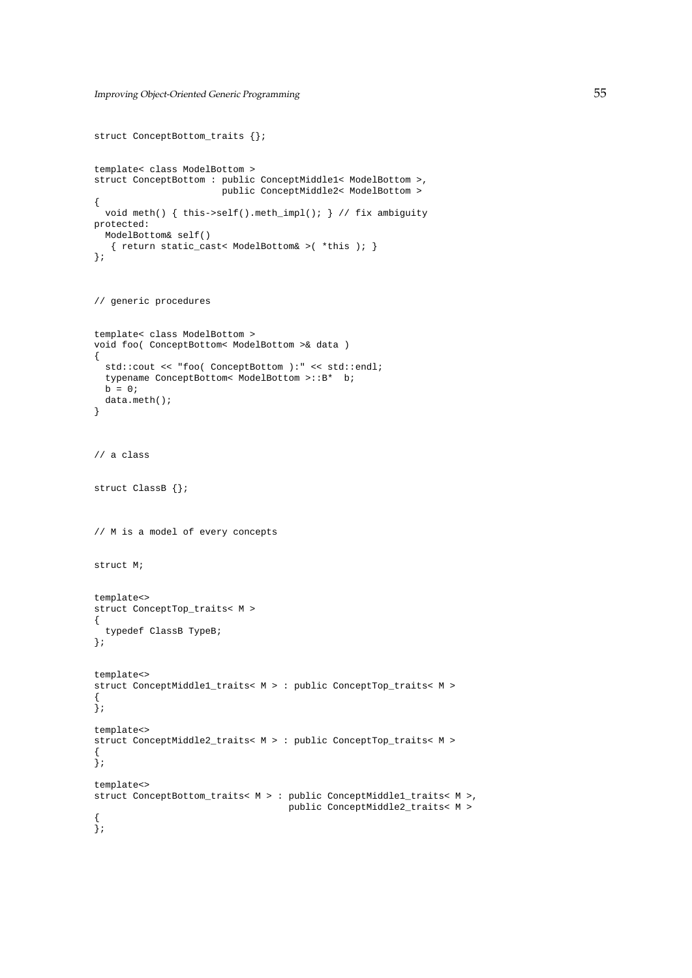```
struct ConceptBottom_traits {};
template< class ModelBottom >
struct ConceptBottom : public ConceptMiddle1< ModelBottom >,
                       public ConceptMiddle2< ModelBottom >
{
 void meth() { this->self().meth_impl(); } // fix ambiguity
protected:
 ModelBottom& self()
  { return static_cast< ModelBottom& >( *this ); }
};
// generic procedures
template< class ModelBottom >
void foo( ConceptBottom< ModelBottom >& data )
{
 std::cout << "foo( ConceptBottom ):" << std::endl;
 typename ConceptBottom< ModelBottom >::B* b;
 b = 0;data.meth();
}
// a class
struct ClassB {};
// M is a model of every concepts
struct M;
template<>
struct ConceptTop_traits< M >
{
 typedef ClassB TypeB;
};
template<>
struct ConceptMiddle1_traits< M > : public ConceptTop_traits< M >
{
};
template<>
struct ConceptMiddle2_traits< M > : public ConceptTop_traits< M >
{
};
template<>
struct ConceptBottom_traits< M > : public ConceptMiddle1_traits< M >,
                                   public ConceptMiddle2_traits< M >
{
};
```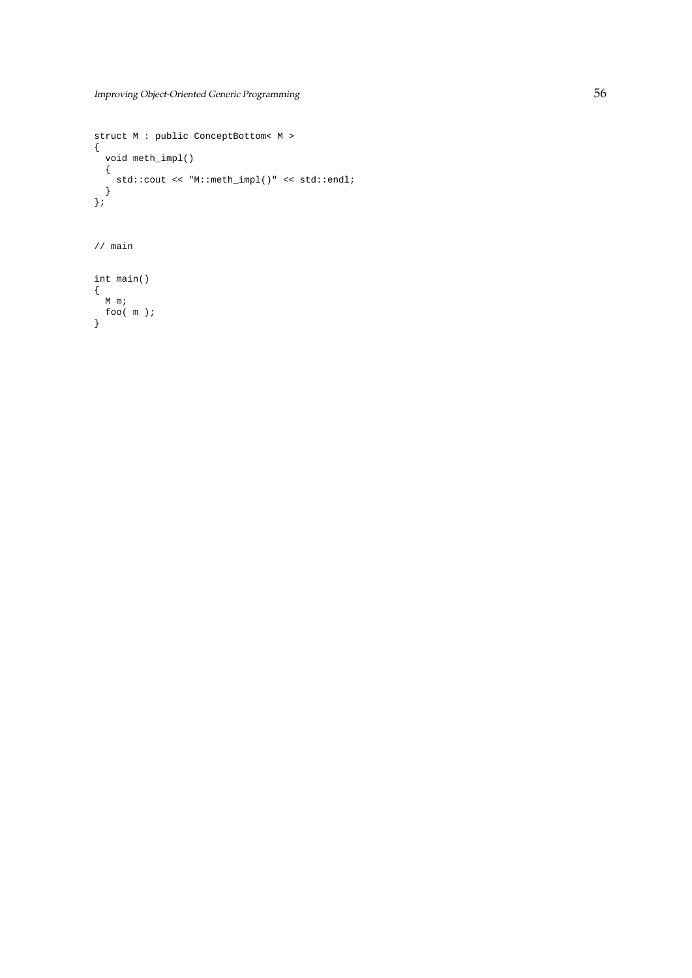```
struct M : public ConceptBottom< M >
{
  void meth_impl()
  {
   std::cout << "M::meth_impl()" << std::endl;
  }
};
```

```
// main
```
int main() { M m; foo( m ); }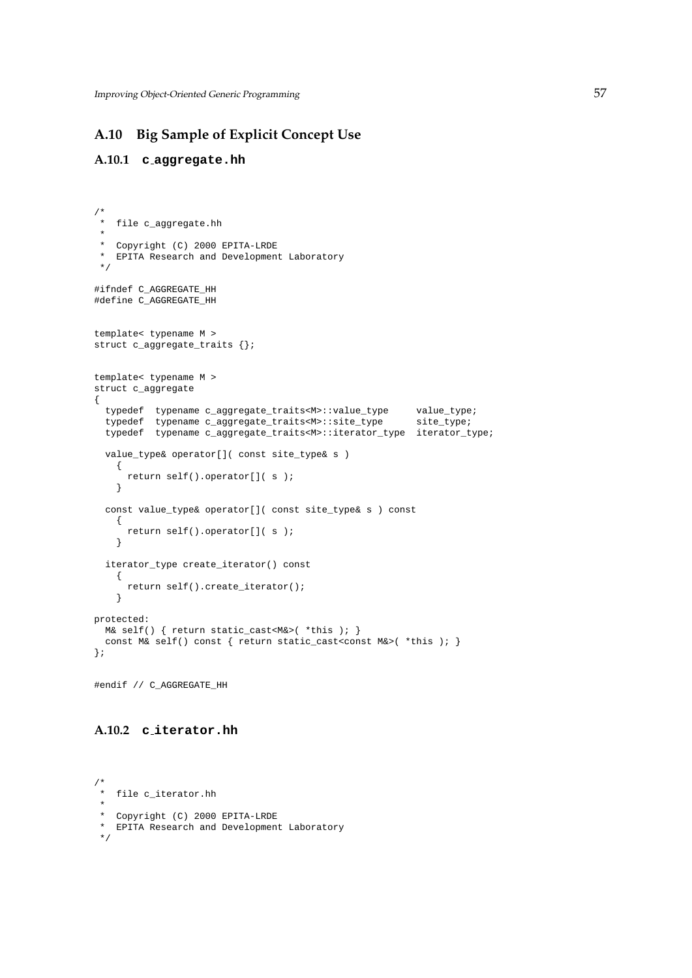## **A.10 Big Sample of Explicit Concept Use**

### **A.10.1 c aggregate.hh**

```
/*
* file c_aggregate.hh
 *
 * Copyright (C) 2000 EPITA-LRDE
 * EPITA Research and Development Laboratory
 */
#ifndef C_AGGREGATE_HH
#define C_AGGREGATE_HH
template< typename M >
struct c_aggregate_traits {};
template< typename M >
struct c_aggregate
{
  typedef typename c_aggregate_traits<M>::value_type value_type;
  typedef typename c_aggregate_traits<M>::site_type site_type;
  typedef typename c_aggregate_traits<M>::iterator_type iterator_type;
  value_type& operator[]( const site_type& s )
   {
     return self().operator[]( s );
    }
  const value_type& operator[]( const site_type& s ) const
   {
     return self().operator[]( s );
    }
  iterator_type create_iterator() const
    {
     return self().create_iterator();
   }
protected:
 M& self() { return static_cast<M&>( *this ); }
  const M& self() const { return static_cast<const M&>( *this ); }
};
```

```
#endif // C_AGGREGATE_HH
```
#### **A.10.2 c iterator.hh**

```
/*
* file c_iterator.hh
 *
* Copyright (C) 2000 EPITA-LRDE
* EPITA Research and Development Laboratory
*/
```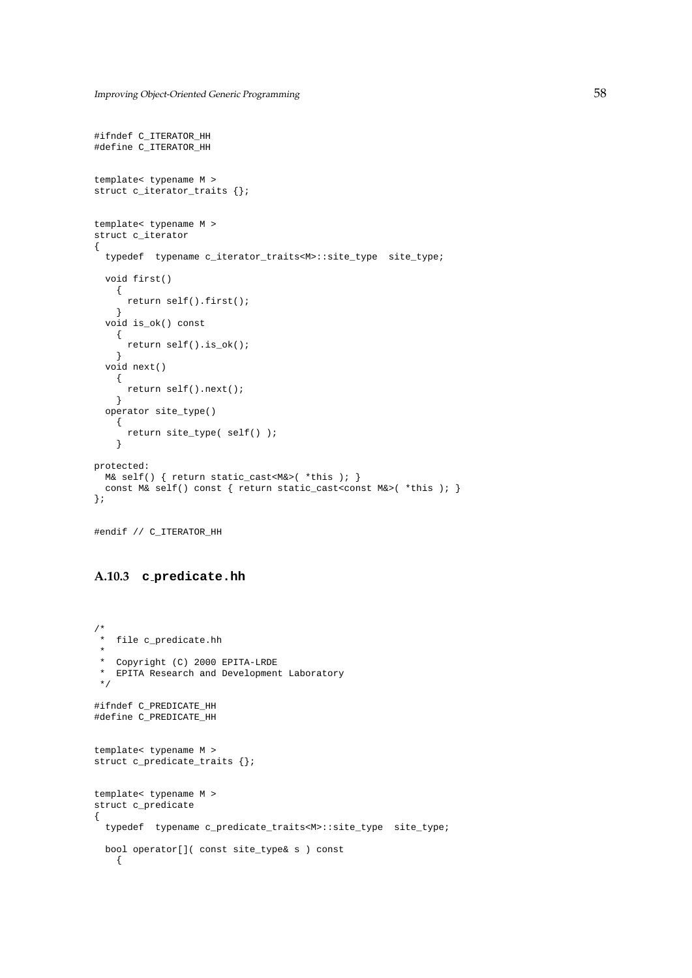```
#ifndef C_ITERATOR_HH
#define C_ITERATOR_HH
template< typename M >
struct c_iterator_traits {};
template< typename M >
struct c_iterator
{
 typedef typename c_iterator_traits<M>::site_type site_type;
 void first()
   \{return self().first();
    }
  void is_ok() const
   {
     return self().is_ok();
   }
  void next()
   {
     return self().next();
   }
  operator site_type()
   {
     return site_type( self() );
   }
protected:
 M& self() { return static_cast<M&>( *this ); }
 const M& self() const { return static_cast<const M&>( *this ); }
};
```

```
#endif // C_ITERATOR_HH
```
#### **A.10.3 c predicate.hh**

```
/*
* file c_predicate.hh
 *
 * Copyright (C) 2000 EPITA-LRDE
* EPITA Research and Development Laboratory
*/
#ifndef C_PREDICATE_HH
#define C_PREDICATE_HH
template< typename M >
struct c_predicate_traits {};
template< typename M >
struct c_predicate
{
 typedef typename c_predicate_traits<M>::site_type site_type;
 bool operator[]( const site_type& s ) const
   {
```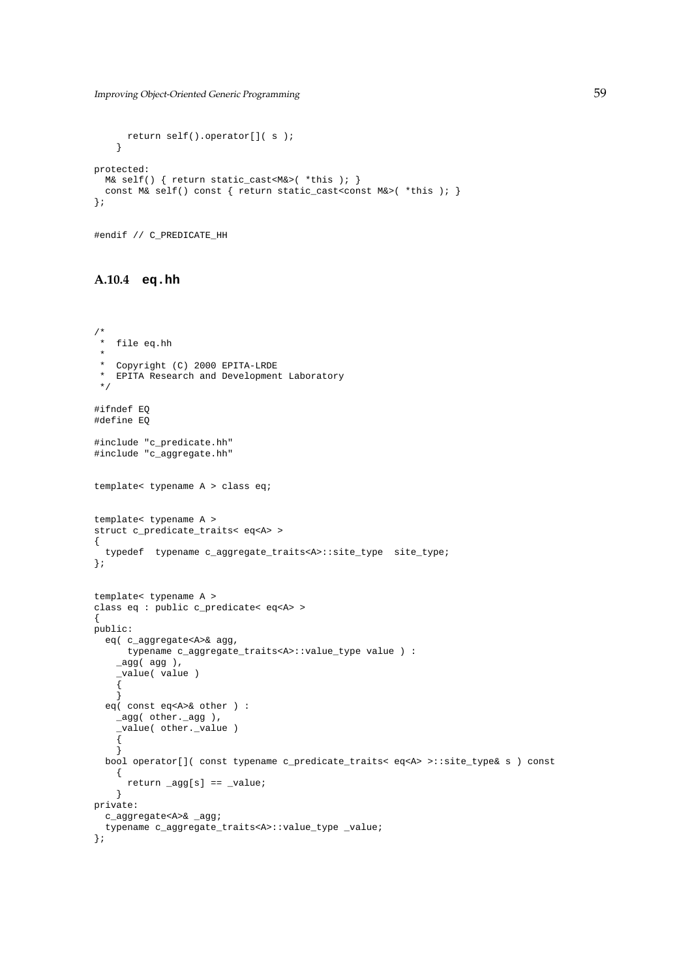```
return self().operator[]( s );
    }
protected:
 M& self() { return static_cast<M&>( *this ); }
  const M& self() const { return static_cast<const M&>( *this ); }
};
```

```
#endif // C_PREDICATE_HH
```
#### **A.10.4 eq.hh**

```
/*
 * file eq.hh
 *
 * Copyright (C) 2000 EPITA-LRDE
 * EPITA Research and Development Laboratory
 */
#ifndef EQ
#define EQ
#include "c_predicate.hh"
#include "c_aggregate.hh"
template< typename A > class eq;
template< typename A >
struct c_predicate_traits< eq<A> >
{
 typedef typename c_aggregate_traits<A>::site_type site_type;
};
template< typename A >
class eq : public c_predicate< eq<A> >
{
public:
 eq( c_aggregate<A>& agg,
     typename c_aggregate_traits<A>::value_type value ) :
    \text{Agg}(\text{agg}),
   _value( value )
    {
    }
  eq( const eq<A>& other ) :
   _agg( other._agg ),
    _value( other._value )
    {
    }
 bool operator[]( const typename c_predicate_traits< eq<A> >::site_type& s ) const
   {
     return _agg[s] == _value;
   }
private:
  c_aggregate<A>& _agg;
  typename c_aggregate_traits<A>::value_type _value;
};
```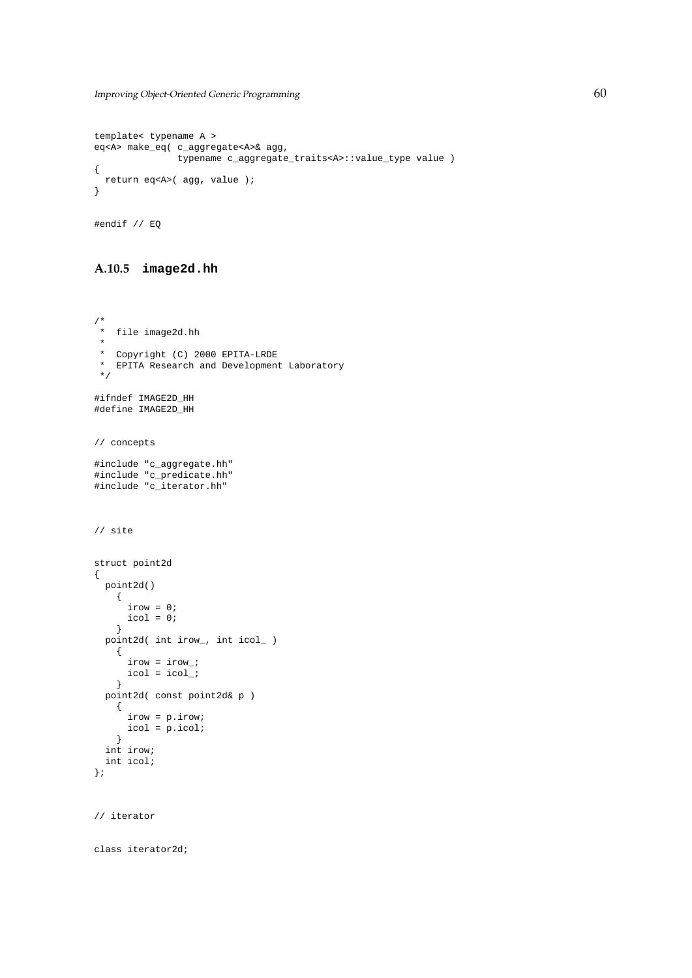```
template< typename A >
eq<A> make_eq( c_aggregate<A>& agg,
              typename c_aggregate_traits<A>::value_type value )
{
 return eq<A>( agg, value );
}
```

```
#endif // EQ
```
### **A.10.5 image2d.hh**

```
/ \star* file image2d.hh
 \ddot{\phantom{0}}* Copyright (C) 2000 EPITA-LRDE
* EPITA Research and Development Laboratory
*/
#ifndef IMAGE2D_HH
#define IMAGE2D_HH
// concepts
#include "c_aggregate.hh"
#include "c_predicate.hh"
#include "c_iterator.hh"
// site
struct point2d
{
 point2d()
   \{irow = 0;
     icol = 0;}
 point2d( int irow_, int icol_ )
   {
     irow = irow_;
     icol = icol_;
    }
 point2d( const point2d& p )
   {
     irow = p.irow;
     icol = p.icol;
   }
  int irow;
 int icol;
};
// iterator
```
class iterator2d;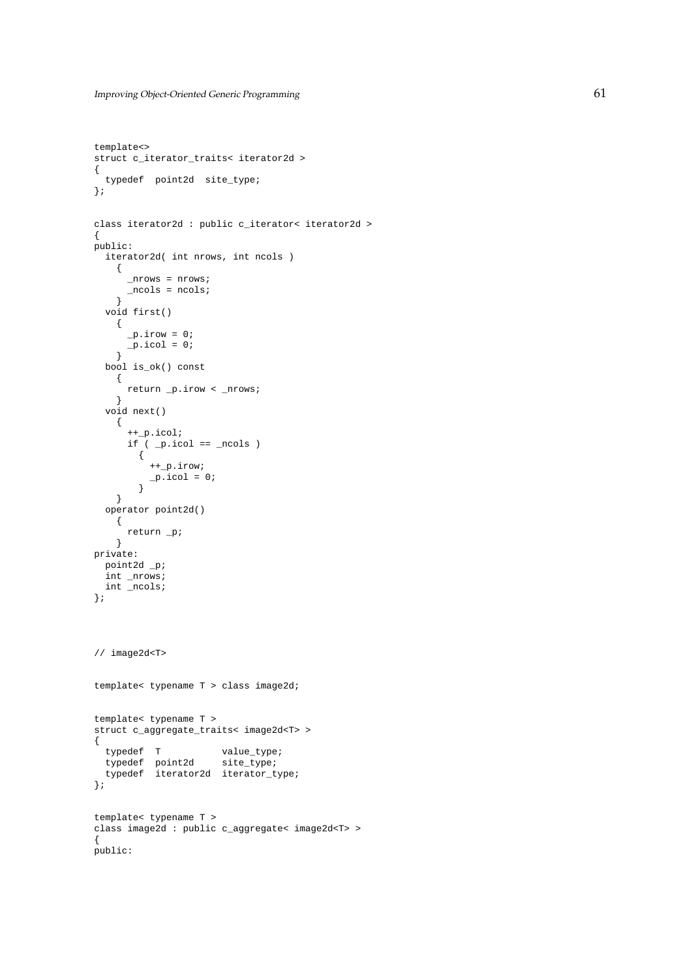```
template<>
struct c_iterator_traits< iterator2d >
{
 typedef point2d site_type;
};
class iterator2d : public c_iterator< iterator2d >
{
public:
  iterator2d( int nrows, int ncols )
   {
     _nrows = nrows;
      _ncols = ncols;
    }
  void first()
   {
     _p.irow = 0;
      _p.icol = 0;
    }
  bool is_ok() const
    {
     return _p.irow < _nrows;
    }
  void next()
   {
      ++_p.icol;
      if (p.icol == _{\text{ncols}})
       {
         ++_p.irow;
         _p.icol = 0;
       }
    }
  operator point2d()
   {
     return _p;
   }
private:
 point2d _p;
  int _nrows;
 int _ncols;
};
// image2d<T>
template< typename T > class image2d;
template< typename T >
struct c_aggregate_traits< image2d<T> >
{
  typedef T value_type;
  typedef point2d site_type;
  typedef iterator2d iterator_type;
};
template< typename T >
class image2d : public c_aggregate< image2d<T> >
{
public:
```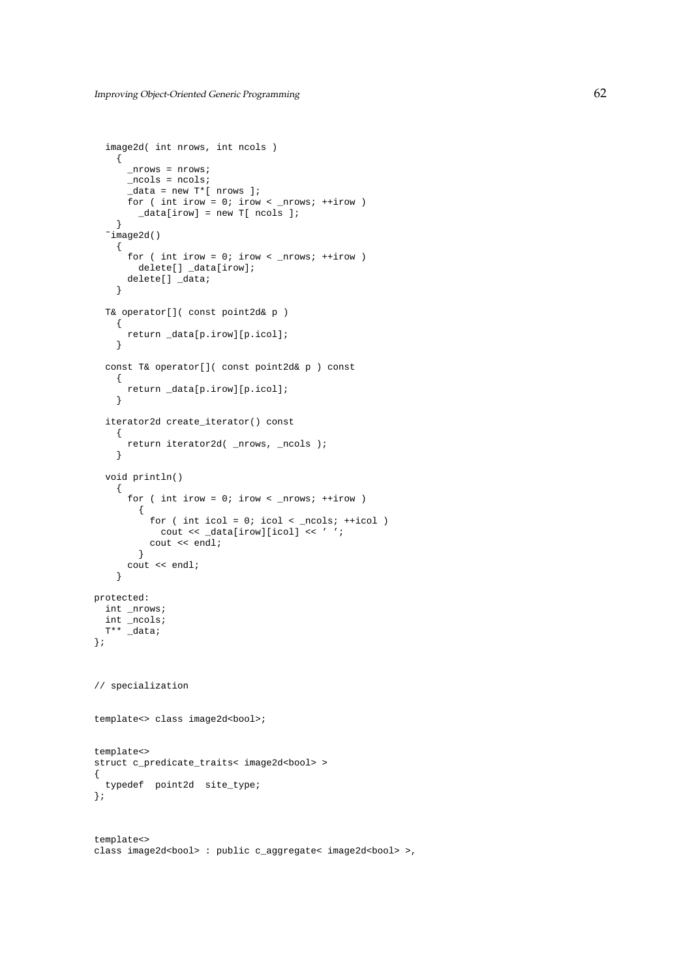```
image2d( int nrows, int ncols )
   {
     _nrows = nrows;_ncols = ncols;
      _data = new T*[ nrows ];
      for ( int irow = 0; irow < _nrows; ++irow )
        _data[irow] = new T[ ncols ];
    }
  \simimage2d()
    {
      for ( int irow = 0; irow < _nrows; ++irow )
       delete[] _data[irow];
     delete[] _data;
    }
  T& operator[]( const point2d& p )
   {
     return _data[p.irow][p.icol];
    }
  const T& operator[]( const point2d& p ) const
    {
     return _data[p.irow][p.icol];
    }
  iterator2d create_iterator() const
    {
     return iterator2d( _nrows, _ncols );
    }
  void println()
    {
      for ( int irow = 0; irow < _nrows; ++irow )
       {
          for ( int icol = 0; icol < _ncols; ++icol )
            cout << _data[irow][icol] << ' ';
         cout << endl;
        }
     cout << endl;
    }
protected:
 int _nrows;
  int _ncols;
  T** _data;
};
// specialization
template<> class image2d<br/>bool>;
template<>
struct c_predicate_traits< image2d<br/>kool> >
{
 typedef point2d site_type;
};
template<>
```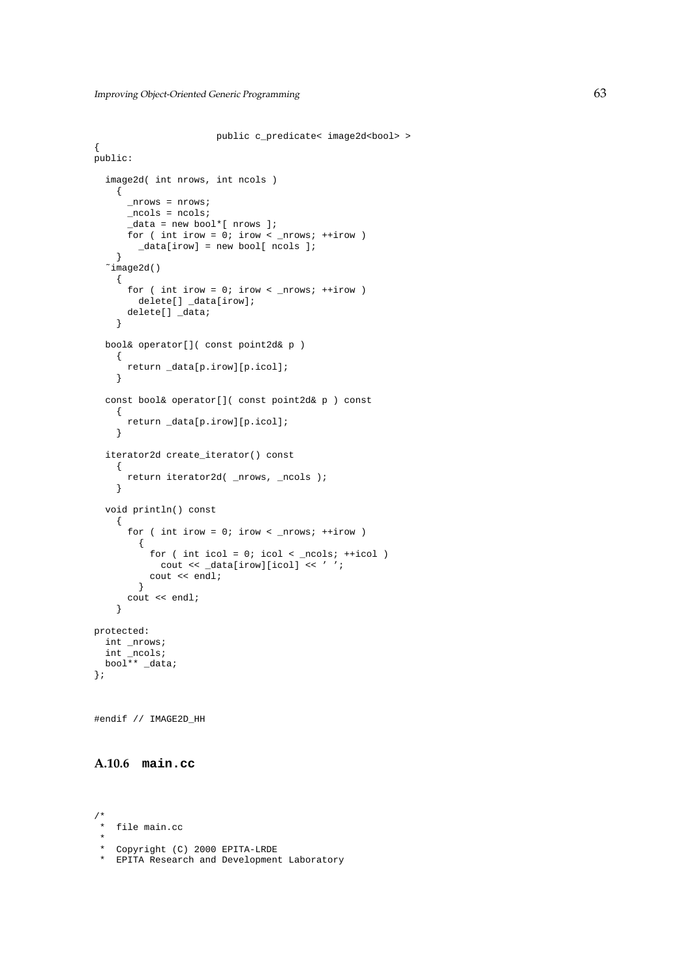```
public c_predicate< image2d<bool> >
{
public:
  image2d( int nrows, int ncols )
   {
     _nrows = nrows;_ncols = ncols;
      _data = new bool*[ nrows ];
     for ( int irow = 0; irow < _nrows; ++irow )
       _data[irow] = new bool[ ncols ];
    }
  ˜image2d()
    {
     for ( int irow = 0; irow < _nrows; ++irow )
       delete[] _data[irow];
     delete[] _data;
    }
  bool& operator[]( const point2d& p )
   {
     return _data[p.irow][p.icol];
    }
  const bool& operator[]( const point2d& p ) const
   {
     return _data[p.irow][p.icol];
    }
  iterator2d create_iterator() const
   \{return iterator2d( _nrows, _ncols );
    }
  void println() const
    \mathcal{L}for ( int irow = 0; irow < nrows; ++irow )
        {
          for ( int icol = 0; icol < _ncols; ++icol )
            cout << _data[irow][icol] << ' ';
         cout << endl;
        }
      cout << endl;
    }
protected:
 int _nrows;
  int _ncols;
  bool** _data;
};
```

```
#endif // IMAGE2D_HH
```
### **A.10.6 main.cc**

/  $^\star$ \* file main.cc  $\mathbf{r}$ \* Copyright (C) 2000 EPITA-LRDE

\* EPITA Research and Development Laboratory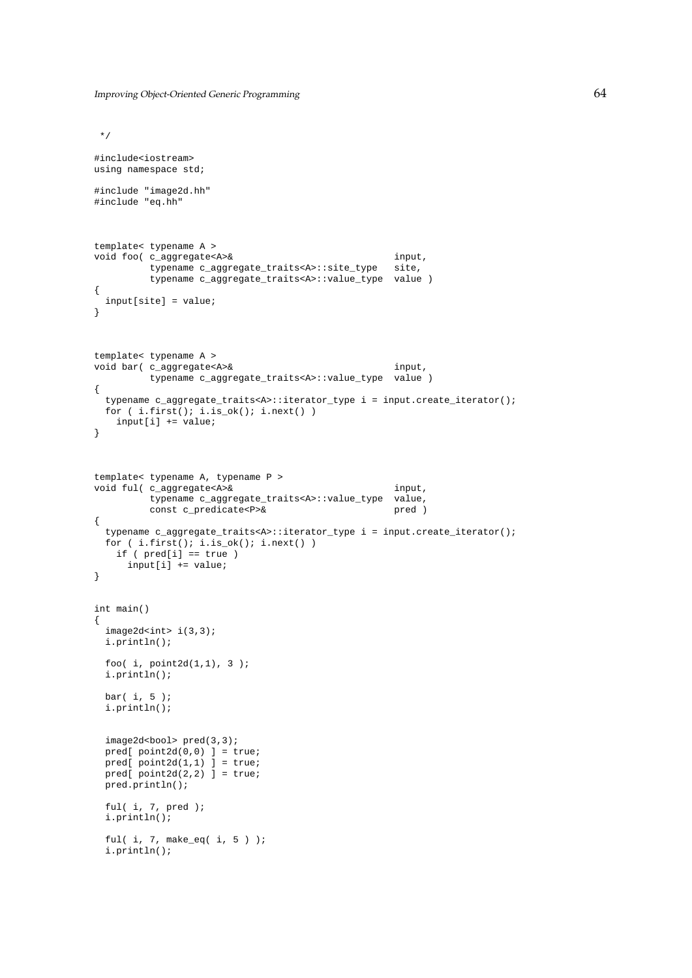```
*/
#include<iostream>
using namespace std;
#include "image2d.hh"
#include "eq.hh"
template< typename A >
void foo( c_aggregate<A>& input,<br>typename c aggregate traits<A>::site type site,
         typename c_aggregate_traits<A>::site_type site,
          typename c_aggregate_traits<A>::value_type value )
{
 input[site] = value;
}
template< typename A >
void bar( c_aggregate<A>& input,
         typename c_aggregate_traits<A>::value_type value )
{
  typename c_aggregate_traits<A>::iterator_type i = input.create_iterator();
  for (i.first(); i.is\_ok(); i.next())
   input[i] += value;
}
template< typename A, typename P >
void ful( c_{\text{aggregate}} < A>& input,
          typename c_aggregate_traits<A>::value_type value,
          const c_predicate<P> \&{
  typename c_aggregate_traits<A>::iterator_type i = input.create_iterator();
  for (i.first(); i.is\_ok(); i.next())
   if ( pred[i] == true )
      input[i] += value;
}
int main()
{
  image2d<int> 1(3,3);i.println();
  foo( i, point2d(1,1), 3 );
  i.println();
 bar( i, 5 );
  i.println();
 image2d<bool> pred(3,3);
  pred[ point2d(0,0)] = true;pred[ point2d(1,1)] = true;pred[ point 2d(2,2) ] = true;
 pred.println();
  ful( i, 7, pred );
  i.println();
  ful( i, 7, make_eq( i, 5 ) );
  i.println();
```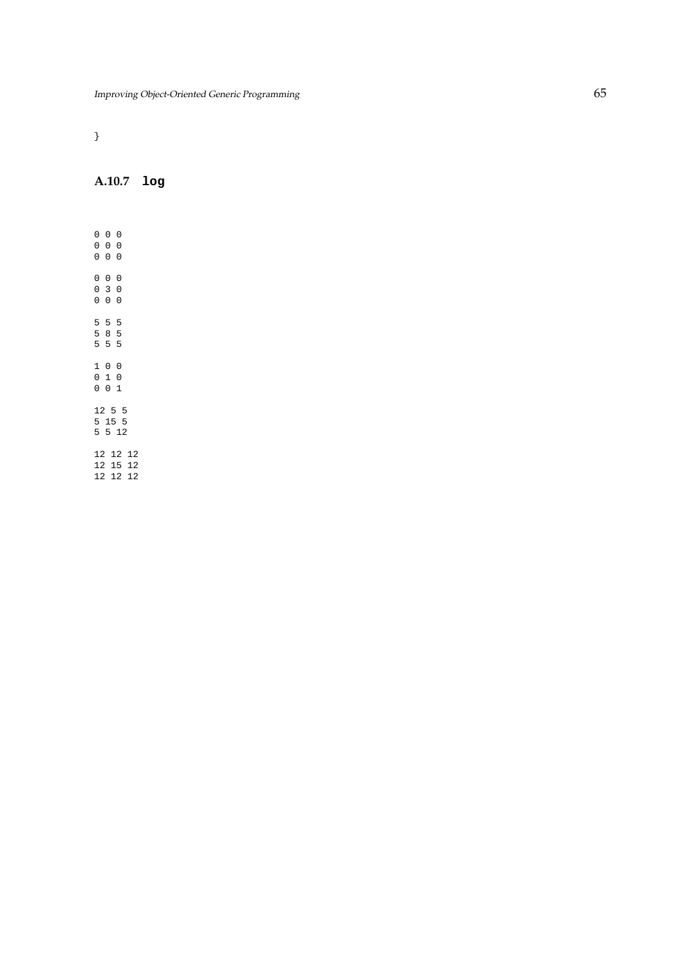}

## **A.10.7 log**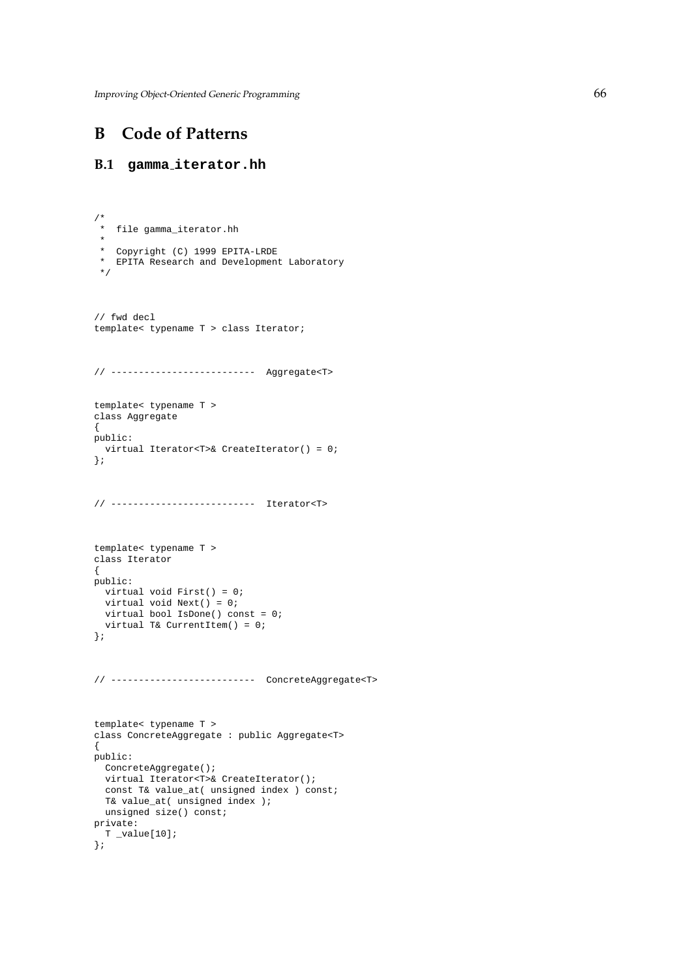# **B Code of Patterns**

### **B.1 gamma iterator.hh**

```
/*
 * file gamma_iterator.hh
 *
 * Copyright (C) 1999 EPITA-LRDE
 * EPITA Research and Development Laboratory
 */
// fwd decl
template< typename T > class Iterator;
// -------------------------- Aggregate<T>
template< typename T >
class Aggregate
{
public:
 virtual Iterator<T>& CreateIterator() = 0;
};
// -------------------------- Iterator<T>
template< typename T >
class Iterator
{
public:
 virtual void First() = 0;
 virtual void Next() = 0;
 virtual bool IsDone() const = 0;
  virtual T& CurrentItem() = 0;
};
// -------------------------- ConcreteAggregate<T>
template< typename T >
class ConcreteAggregate : public Aggregate<T>
{
public:
 ConcreteAggregate();
 virtual Iterator<T>& CreateIterator();
  const T& value_at( unsigned index ) const;
  T& value_at( unsigned index );
 unsigned size() const;
private:
  T _value[10];
};
```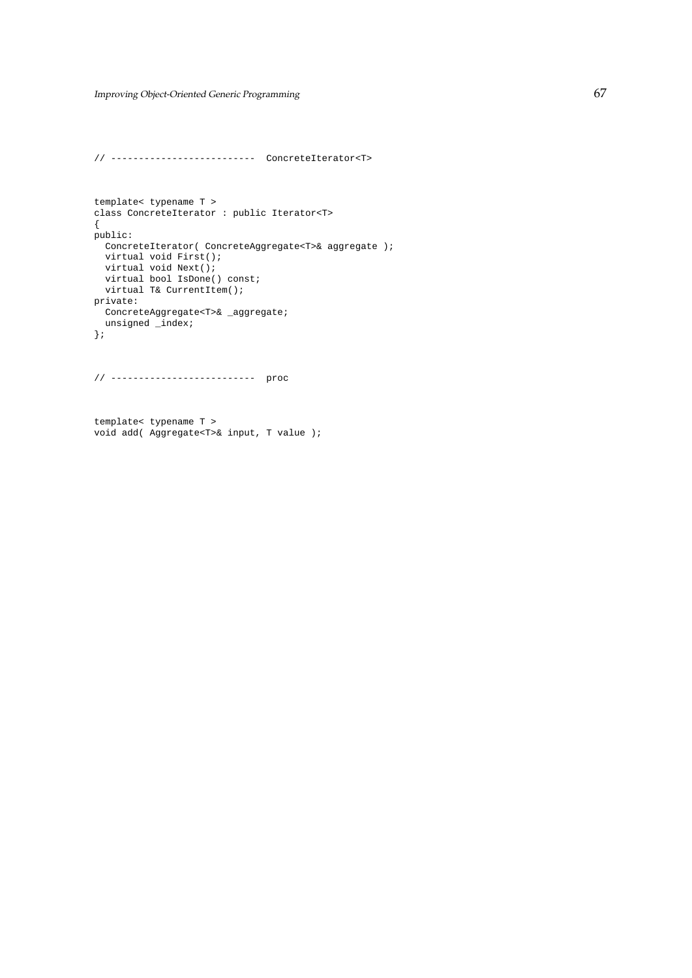// -------------------------- ConcreteIterator<T>

```
template< typename T >
class ConcreteIterator : public Iterator<T>
{
public:
 ConcreteIterator( ConcreteAggregate<T>& aggregate );
 virtual void First();
  virtual void Next();
  virtual bool IsDone() const;
 virtual T& CurrentItem();
private:
 ConcreteAggregate<T>& _aggregate;
 unsigned _index;
};
```
// -------------------------- proc

```
template< typename T >
void add( Aggregate<T>& input, T value );
```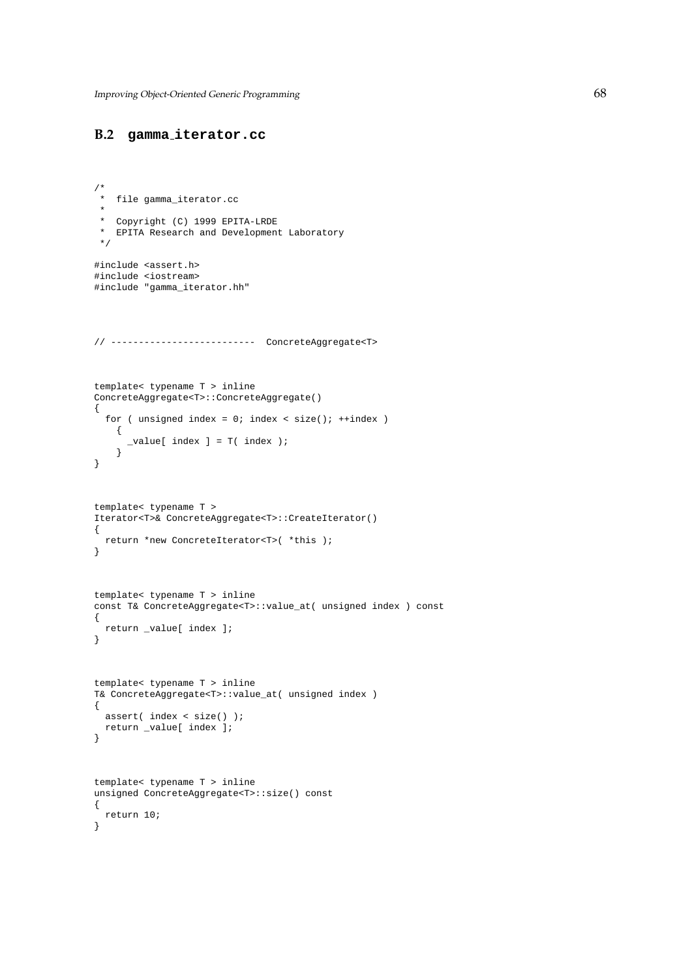#### **B.2 gamma iterator.cc**

```
/*
 * file gamma_iterator.cc
 *
* Copyright (C) 1999 EPITA-LRDE
 * EPITA Research and Development Laboratory
 */
#include <assert.h>
#include <iostream>
#include "gamma_iterator.hh"
// -------------------------- ConcreteAggregate<T>
template< typename T > inline
ConcreteAggregate<T>::ConcreteAggregate()
{
 for ( unsigned index = 0; index < size(); ++index )
   {
     _value[index] = T(index);
    }
}
template< typename T >
Iterator<T>& ConcreteAggregate<T>::CreateIterator()
{
 return *new ConcreteIterator<T>( *this );
}
template< typename T > inline
const T& ConcreteAggregate<T>::value_at( unsigned index ) const
{
 return _value[ index ];
}
template< typename T > inline
T& ConcreteAggregate<T>::value_at( unsigned index )
{
 assert( index < size() );
 return _value[ index ];
}
template< typename T > inline
unsigned ConcreteAggregate<T>::size() const
{
 return 10;
}
```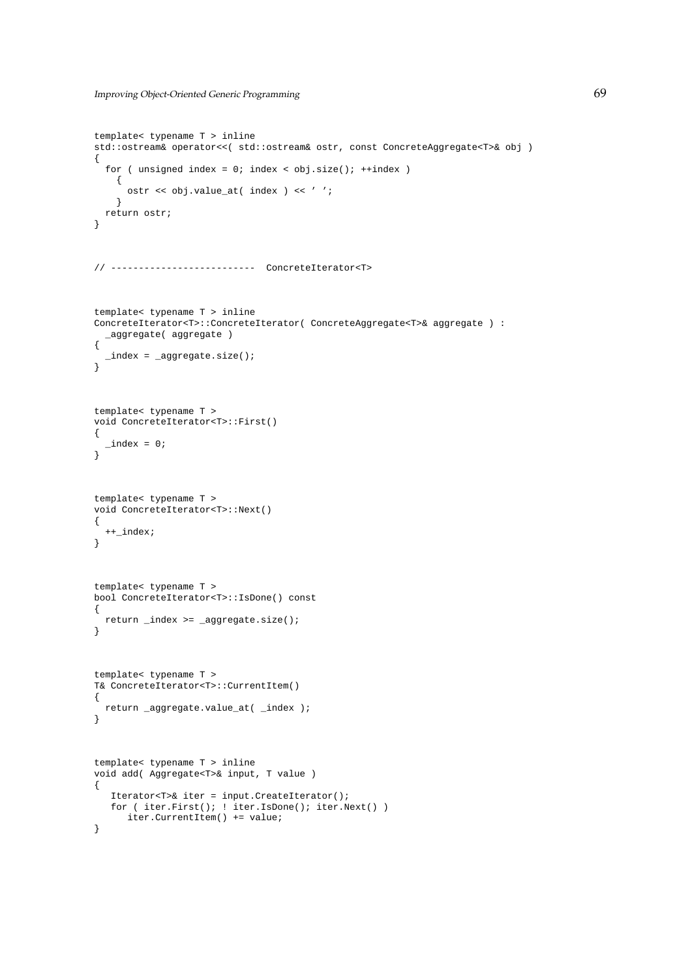```
template< typename T > inline
std::ostream& operator<<( std::ostream& ostr, const ConcreteAggregate<T>& obj )
{
  for ( unsigned index = 0; index < obj.size(); ++index )
    {
     ostr << obj.value_at( index ) << ' ';
    }
 return ostr;
}
// -------------------------- ConcreteIterator<T>
template< typename T > inline
ConcreteIterator<T>::ConcreteIterator( ConcreteAggregate<T>& aggregate ) :
 _aggregate( aggregate )
{
 _index = \text{aggregate.size}();
}
template< typename T >
void ConcreteIterator<T>::First()
{
 \_index = 0;}
template< typename T >
void ConcreteIterator<T>::Next()
{
  ++_index;
}
template< typename T >
bool ConcreteIterator<T>::IsDone() const
{
 return _index >= _aggregate.size();
}
template< typename T >
T& ConcreteIterator<T>::CurrentItem()
{
 return _aggregate.value_at( _index );
}
template< typename T > inline
void add( Aggregate<T>& input, T value )
{
   Iterator<T>& iter = input.CreateIterator();
  for ( iter.First(); ! iter.IsDone(); iter.Next() )
     iter.CurrentItem() += value;
}
```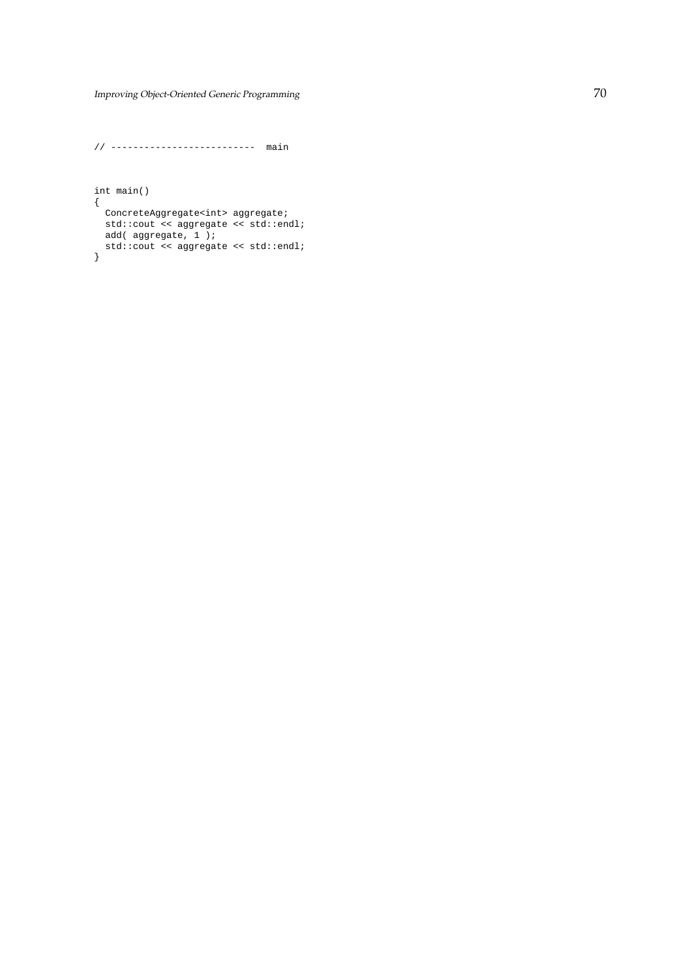// -------------------------- main int main() { ConcreteAggregate<int> aggregate; std::cout << aggregate << std::endl; add( aggregate, 1 ); std::cout << aggregate << std::endl; }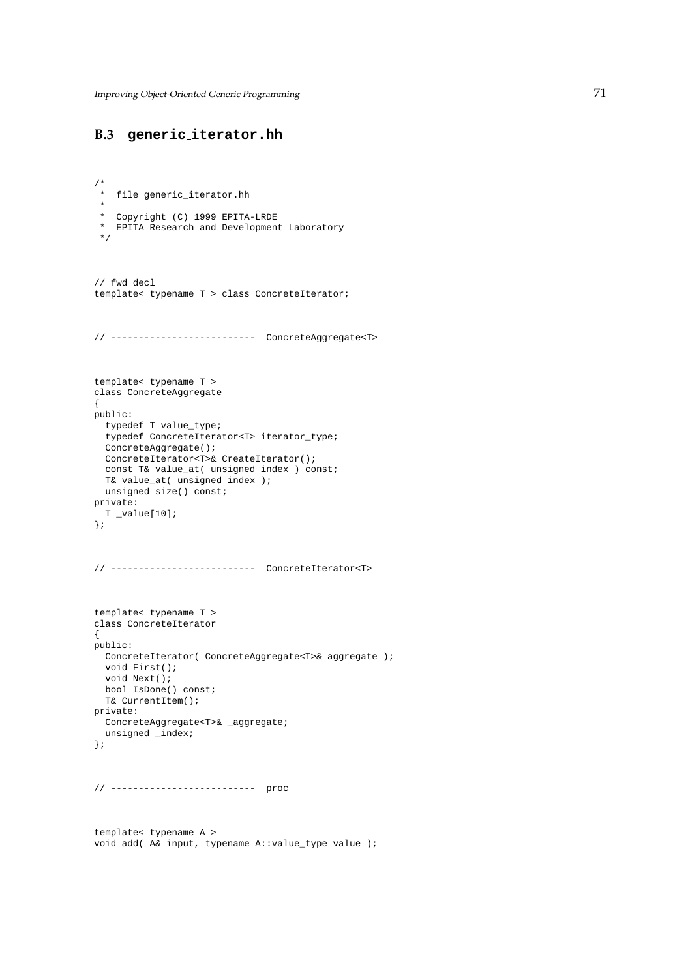### **B.3 generic iterator.hh**

```
/*
* file generic_iterator.hh
 *
 * Copyright (C) 1999 EPITA-LRDE
 * EPITA Research and Development Laboratory
 */
// fwd decl
template< typename T > class ConcreteIterator;
// -------------------------- ConcreteAggregate<T>
template< typename T >
class ConcreteAggregate
{
public:
 typedef T value_type;
  typedef ConcreteIterator<T> iterator_type;
  ConcreteAggregate();
 ConcreteIterator<T>& CreateIterator();
  const T& value_at( unsigned index ) const;
  T& value_at( unsigned index );
 unsigned size() const;
private:
 T _value[10];
};
// -------------------------- ConcreteIterator<T>
template< typename T >
class ConcreteIterator
{
public:
 ConcreteIterator( ConcreteAggregate<T>& aggregate );
 void First();
  void Next();
 bool IsDone() const;
 T& CurrentItem();
private:
  ConcreteAggregate<T>& _aggregate;
  unsigned _index;
};
// -------------------------- proc
template< typename A >
```

```
void add( A& input, typename A::value_type value );
```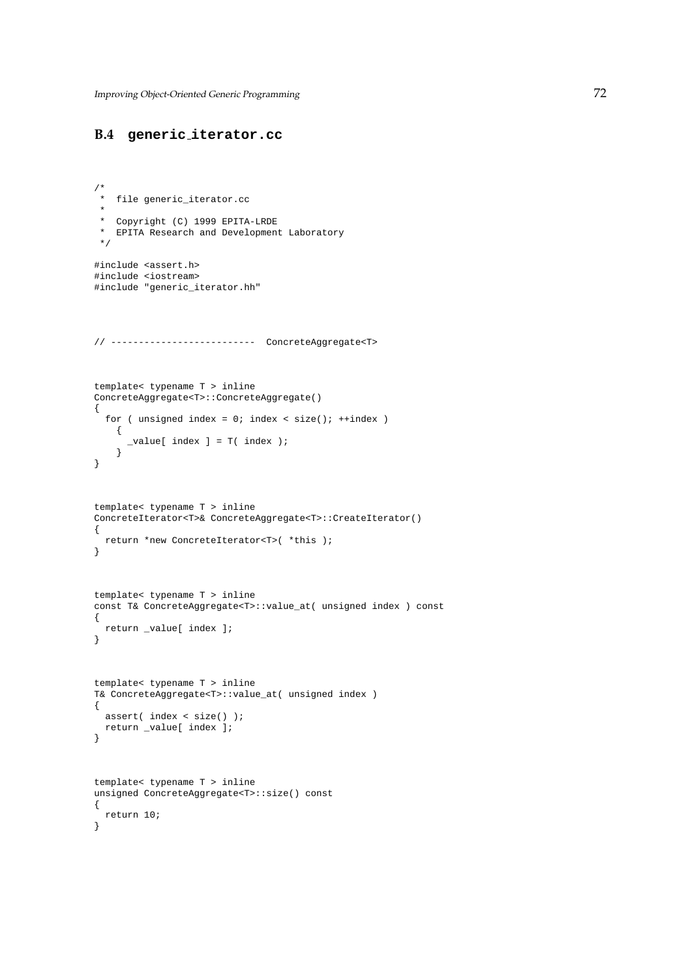### **B.4 generic iterator.cc**

```
/*
 * file generic_iterator.cc
 *
* Copyright (C) 1999 EPITA-LRDE
 * EPITA Research and Development Laboratory
 */
#include <assert.h>
#include <iostream>
#include "generic_iterator.hh"
// -------------------------- ConcreteAggregate<T>
template< typename T > inline
ConcreteAggregate<T>::ConcreteAggregate()
{
 for ( unsigned index = 0; index < size(); ++index )
   {
     _value[index] = T(index);
    }
}
template< typename T > inline
ConcreteIterator<T>& ConcreteAggregate<T>::CreateIterator()
{
 return *new ConcreteIterator<T>( *this );
}
template< typename T > inline
const T& ConcreteAggregate<T>::value_at( unsigned index ) const
{
 return _value[ index ];
}
template< typename T > inline
T& ConcreteAggregate<T>::value_at( unsigned index )
{
 assert( index < size() );
 return _value[ index ];
}
template< typename T > inline
unsigned ConcreteAggregate<T>::size() const
{
 return 10;
}
```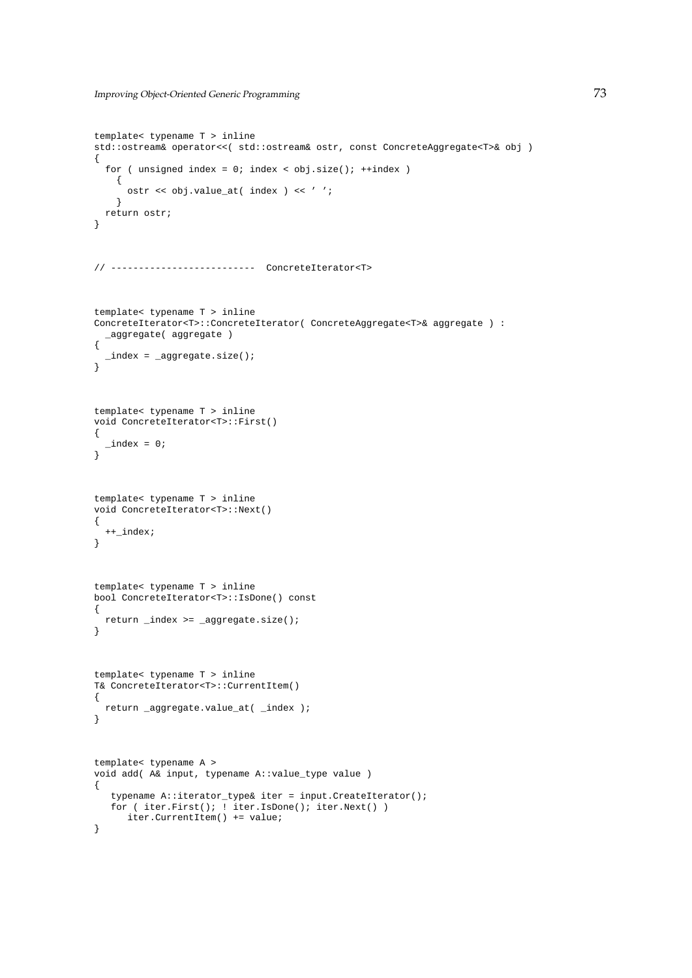```
template< typename T > inline
std::ostream& operator<<( std::ostream& ostr, const ConcreteAggregate<T>& obj )
{
  for ( unsigned index = 0; index < obj.size(); ++index )
    {
     ostr << obj.value_at( index ) << ' ';
    }
 return ostr;
}
// -------------------------- ConcreteIterator<T>
template< typename T > inline
ConcreteIterator<T>::ConcreteIterator( ConcreteAggregate<T>& aggregate ) :
 _aggregate( aggregate )
{
 _index = \text{aggregate.size}();
}
template< typename T > inline
void ConcreteIterator<T>::First()
{
 \_index = 0;}
template< typename T > inline
void ConcreteIterator<T>::Next()
{
  ++_index;
}
template< typename T > inline
bool ConcreteIterator<T>::IsDone() const
{
 return _index >= _aggregate.size();
}
template< typename T > inline
T& ConcreteIterator<T>::CurrentItem()
{
 return _aggregate.value_at( _index );
}
template< typename A >
void add( A& input, typename A::value_type value )
{
   typename A::iterator_type& iter = input.CreateIterator();
  for ( iter.First(); ! iter.IsDone(); iter.Next() )
     iter.CurrentItem() += value;
}
```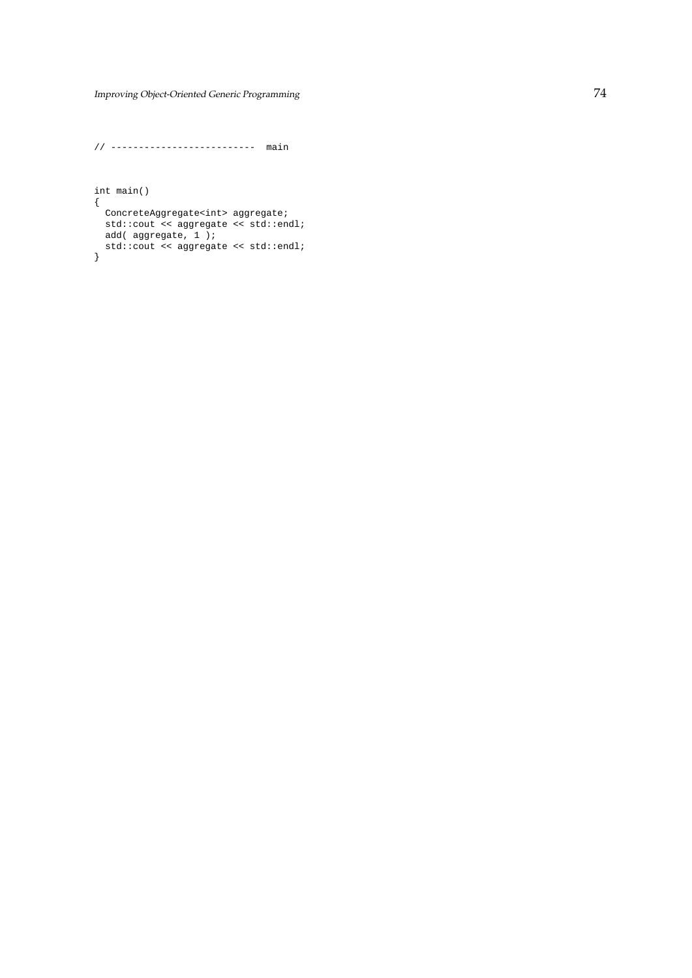// -------------------------- main int main() { ConcreteAggregate<int> aggregate; std::cout << aggregate << std::endl; add( aggregate, 1 ); std::cout << aggregate << std::endl; }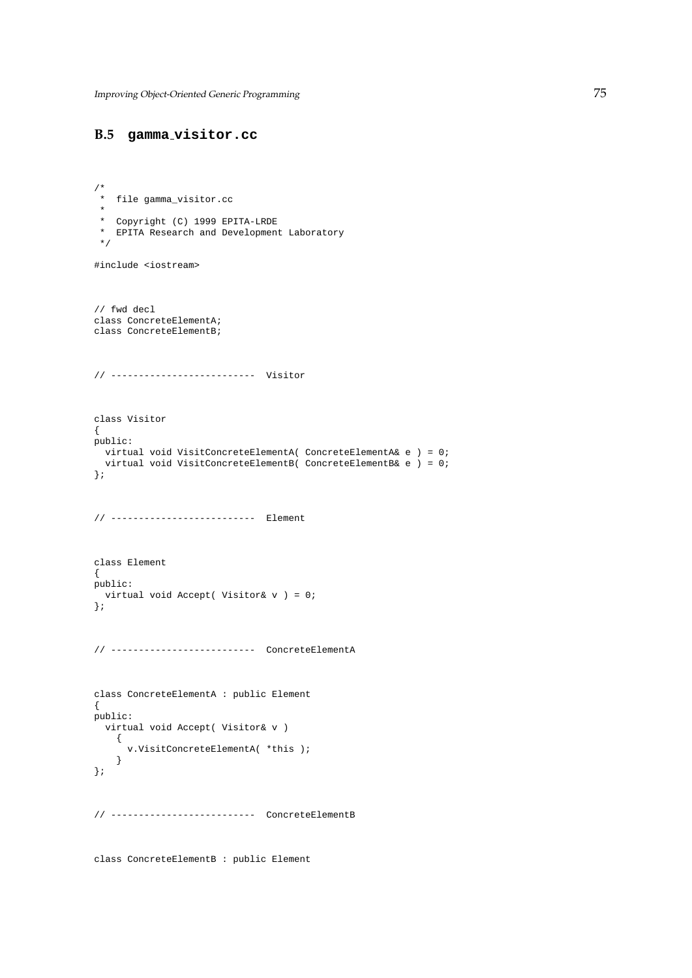## **B.5 gamma visitor.cc**

```
/*
 * file gamma_visitor.cc
 *
* Copyright (C) 1999 EPITA-LRDE
 * EPITA Research and Development Laboratory
*/
#include <iostream>
// fwd decl
class ConcreteElementA;
class ConcreteElementB;
// -------------------------- Visitor
class Visitor
{
public:
 virtual void VisitConcreteElementA( ConcreteElementA& e ) = 0;
 virtual void VisitConcreteElementB( ConcreteElementB& e ) = 0;
};
// -------------------------- Element
class Element
{
public:
 virtual void Accept( Visitor& v ) = 0;
};
// -------------------------- ConcreteElementA
class ConcreteElementA : public Element
{
public:
 virtual void Accept( Visitor& v )
   {
     v.VisitConcreteElementA( *this );
   }
};
// -------------------------- ConcreteElementB
```
class ConcreteElementB : public Element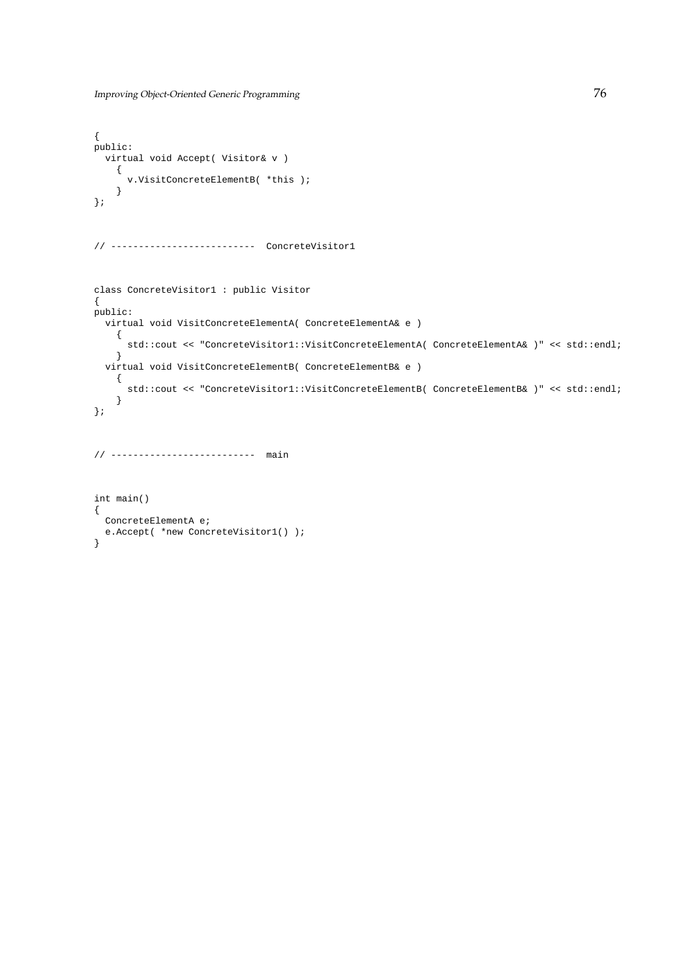```
{
public:
  virtual void Accept( Visitor& v )
   {
      v.VisitConcreteElementB( *this );
    }
};
// -------------------------- ConcreteVisitor1
class ConcreteVisitor1 : public Visitor
{
public:
 virtual void VisitConcreteElementA( ConcreteElementA& e )
   {
     std::cout << "ConcreteVisitor1::VisitConcreteElementA( ConcreteElementA& )" << std::endl;
   }
  virtual void VisitConcreteElementB( ConcreteElementB& e )
   {
      std::cout << "ConcreteVisitor1::VisitConcreteElementB( ConcreteElementB& )" << std::endl;
    }
};
```
// -------------------------- main

```
int main()
{
 ConcreteElementA e;
 e.Accept( *new ConcreteVisitor1() );
}
```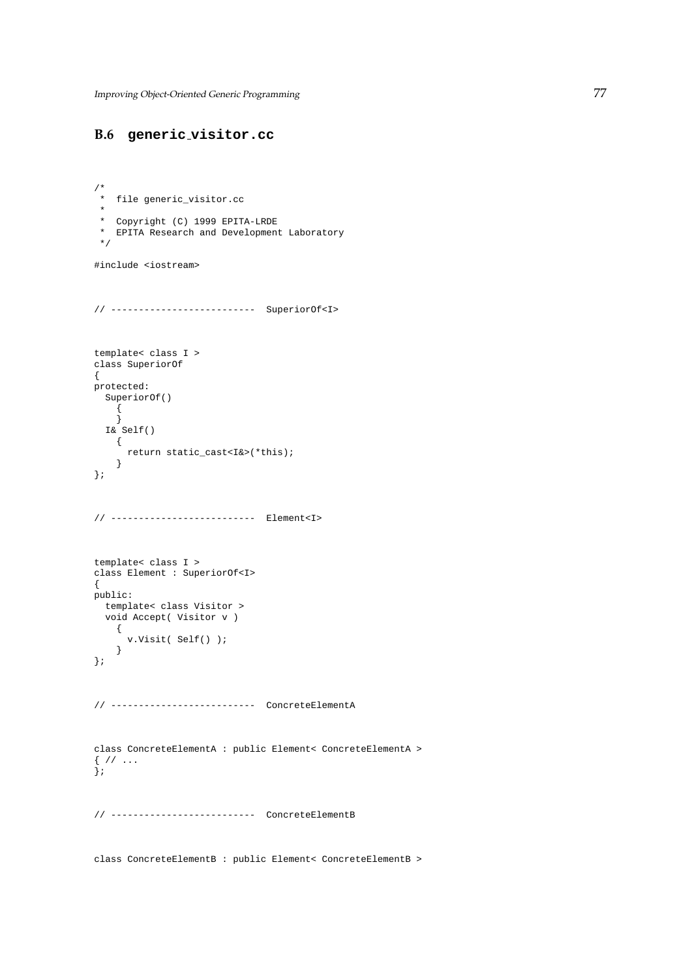## **B.6 generic visitor.cc**

```
/*
 * file generic_visitor.cc
 *
* Copyright (C) 1999 EPITA-LRDE
 * EPITA Research and Development Laboratory
*/
#include <iostream>
// -------------------------- SuperiorOf<I>
template< class I >
class SuperiorOf
{
protected:
 SuperiorOf()
   {
   }
 I& Self()
   {
     return static_cast<I&>(*this);
   }
};
// -------------------------- Element<I>
template< class I >
class Element : SuperiorOf<I>
{
public:
 template< class Visitor >
 void Accept( Visitor v )
   {
     v.Visit( Self() );
   }
};
// -------------------------- ConcreteElementA
class ConcreteElementA : public Element< ConcreteElementA >
{ // ...
\mathcal{E}// -------------------------- ConcreteElementB
class ConcreteElementB : public Element< ConcreteElementB >
```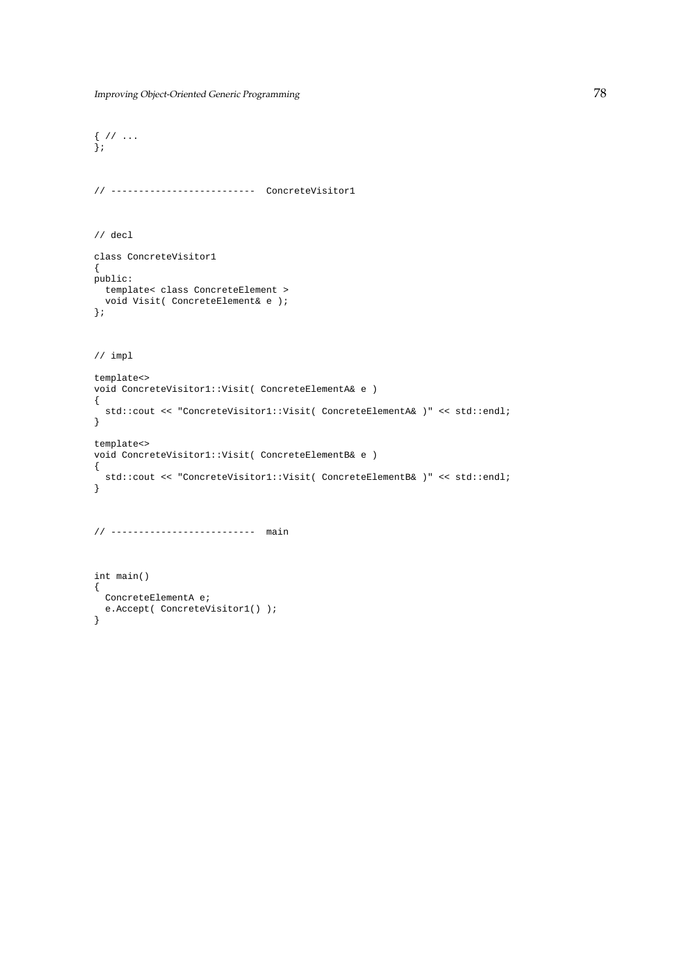```
\{  // \dots};
// -------------------------- ConcreteVisitor1
// decl
class ConcreteVisitor1
{
public:
 template< class ConcreteElement >
 void Visit( ConcreteElement& e );
\left| \cdot \right|// impl
template<>
void ConcreteVisitor1::Visit( ConcreteElementA& e )
{
 std::cout << "ConcreteVisitor1::Visit( ConcreteElementA& )" << std::endl;
}
template<>
void ConcreteVisitor1::Visit( ConcreteElementB& e )
{
 std::cout << "ConcreteVisitor1::Visit( ConcreteElementB& )" << std::endl;
}
// -------------------------- main
int main()
{
 ConcreteElementA e;
 e.Accept( ConcreteVisitor1() );
}
```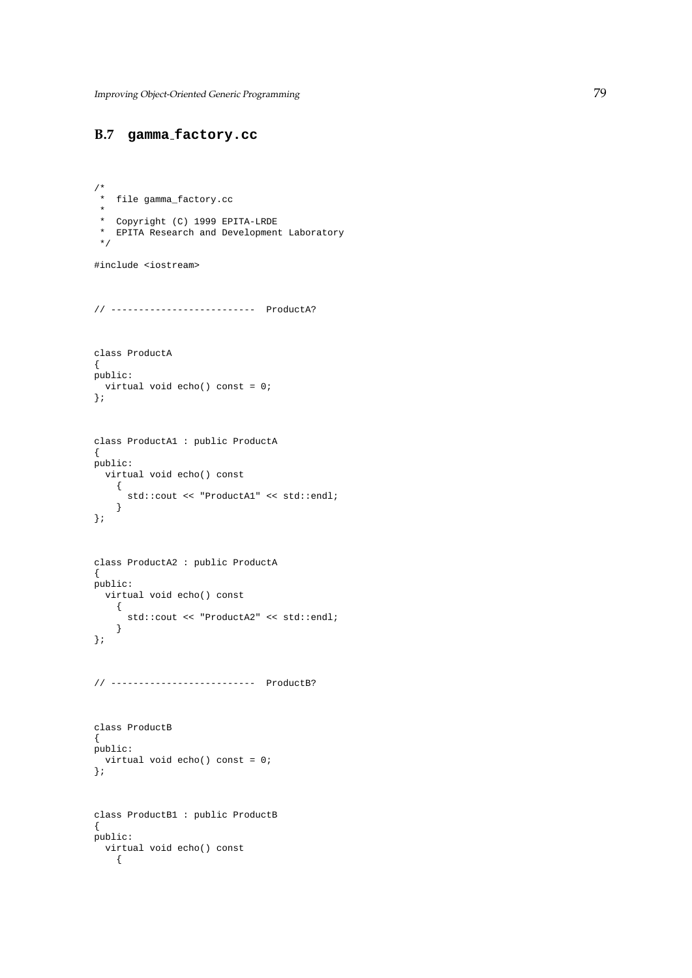## **B.7 gamma factory.cc**

```
/*
 * file gamma_factory.cc
 *
 * Copyright (C) 1999 EPITA-LRDE
 * EPITA Research and Development Laboratory
 */
#include <iostream>
// -------------------------- ProductA?
class ProductA
{
public:
 virtual void echo() const = 0;
};
class ProductA1 : public ProductA
{
public:
 virtual void echo() const
   {
     std::cout << "ProductA1" << std::endl;
   }
};
class ProductA2 : public ProductA
{
public:
 virtual void echo() const
   \{std::cout << "ProductA2" << std::endl;
   }
};
// -------------------------- ProductB?
class ProductB
{
public:
.<br>virtual void echo() const = 0;
\left| \cdot \right|class ProductB1 : public ProductB
{
public:
 virtual void echo() const
   {
```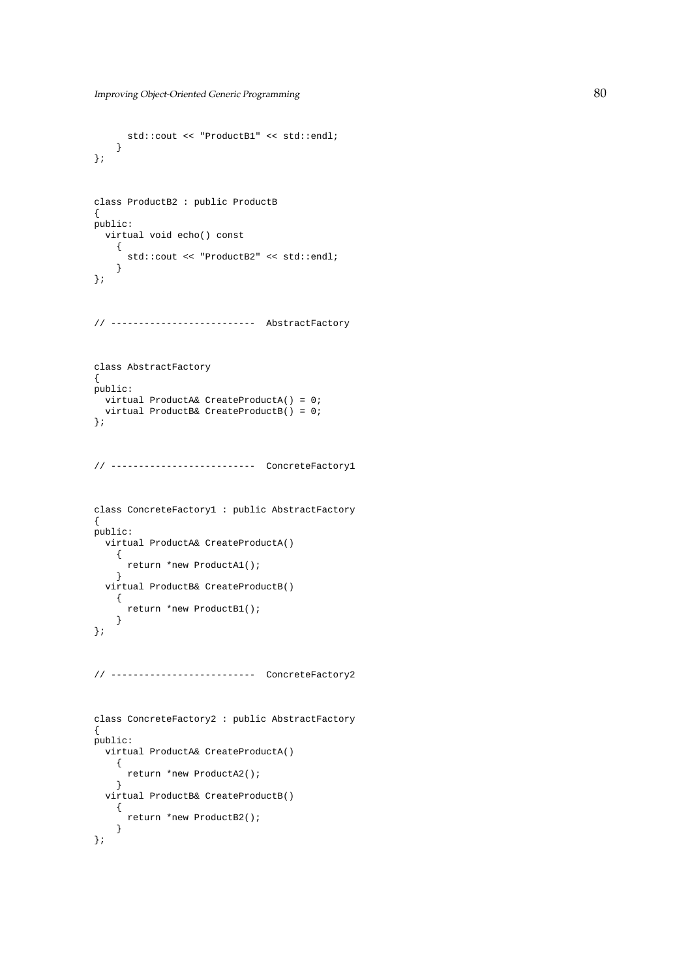```
std::cout << "ProductB1" << std::endl;
   }
};
class ProductB2 : public ProductB
{
public:
 virtual void echo() const
   {
     std::cout << "ProductB2" << std::endl;
   }
};
// -------------------------- AbstractFactory
class AbstractFactory
{
public:
 virtual ProductA& CreateProductA() = 0;
 virtual ProductB& CreateProductB() = 0;
};
// -------------------------- ConcreteFactory1
class ConcreteFactory1 : public AbstractFactory
{
public:
 virtual ProductA& CreateProductA()
  \{return *new ProductA1();
   }
 virtual ProductB& CreateProductB()
   {
     return *new ProductB1();
   }
};
// -------------------------- ConcreteFactory2
class ConcreteFactory2 : public AbstractFactory
{
public:
 virtual ProductA& CreateProductA()
   \left\{ \right.return *new ProductA2();
   }
 virtual ProductB& CreateProductB()
   {
     return *new ProductB2();
   }
};
```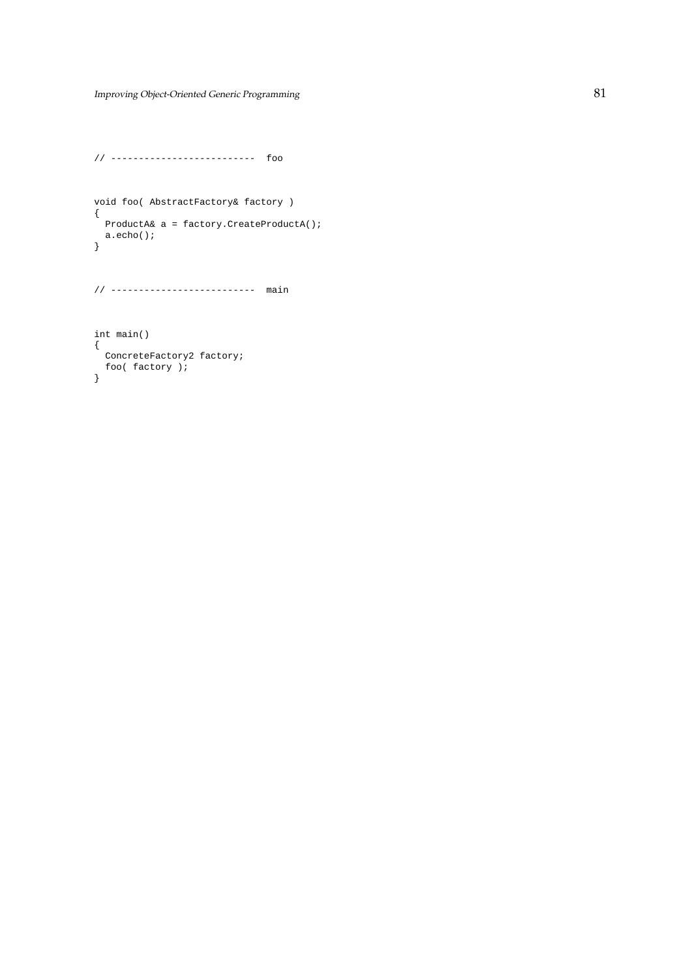```
// -------------------------- foo
void foo( AbstractFactory& factory )
{
 ProductA& a = factory.CreateProductA();
 a.echo();
}
// -------------------------- main
int main()
{
  ConcreteFactory2 factory;
  foo( factory );
```

```
}
```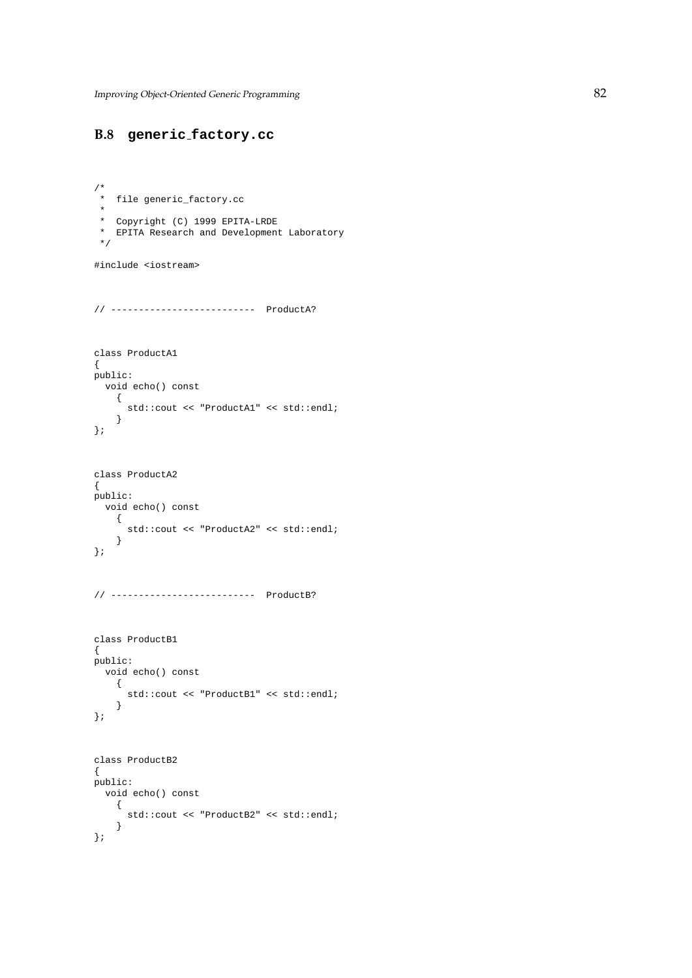## **B.8 generic factory.cc**

```
/*
 * file generic_factory.cc
 *
 * Copyright (C) 1999 EPITA-LRDE
 * EPITA Research and Development Laboratory
 */
#include <iostream>
// -------------------------- ProductA?
class ProductA1
{
public:
 void echo() const
  {
     std::cout << "ProductA1" << std::endl;
   }
};
class ProductA2
{
public:
 void echo() const
   {
     std::cout << "ProductA2" << std::endl;
    }
};
// -------------------------- ProductB?
class ProductB1
{
public:
 void echo() const
  \{std::cout << "ProductB1" << std::endl;
   }
};
class ProductB2
{
public:
 void echo() const
    {
      std::cout << "ProductB2" << std::endl;
    }
};
```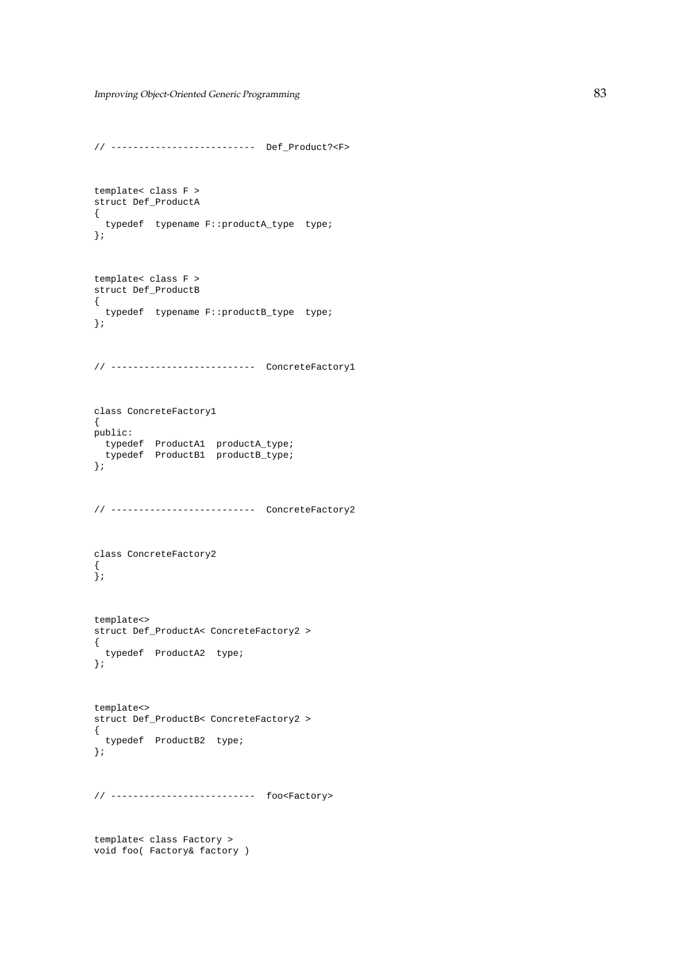```
// -------------------------- Def_Product?<F>
template< class F >
struct Def_ProductA
{
 typedef typename F::productA_type type;
};
template< class F >
struct Def_ProductB
{
  typedef typename F::productB_type type;
};
// -------------------------- ConcreteFactory1
class ConcreteFactory1
{
public:
  typedef ProductA1 productA_type;
  typedef ProductB1 productB_type;
};
// -------------------------- ConcreteFactory2
class ConcreteFactory2
{
};
template<>
struct Def_ProductA< ConcreteFactory2 >
{
 typedef ProductA2 type;
\left| \cdot \right|template<>
struct Def_ProductB< ConcreteFactory2 >
{
 typedef ProductB2 type;
};
// -------------------------- foo<Factory>
template< class Factory >
void foo( Factory& factory )
```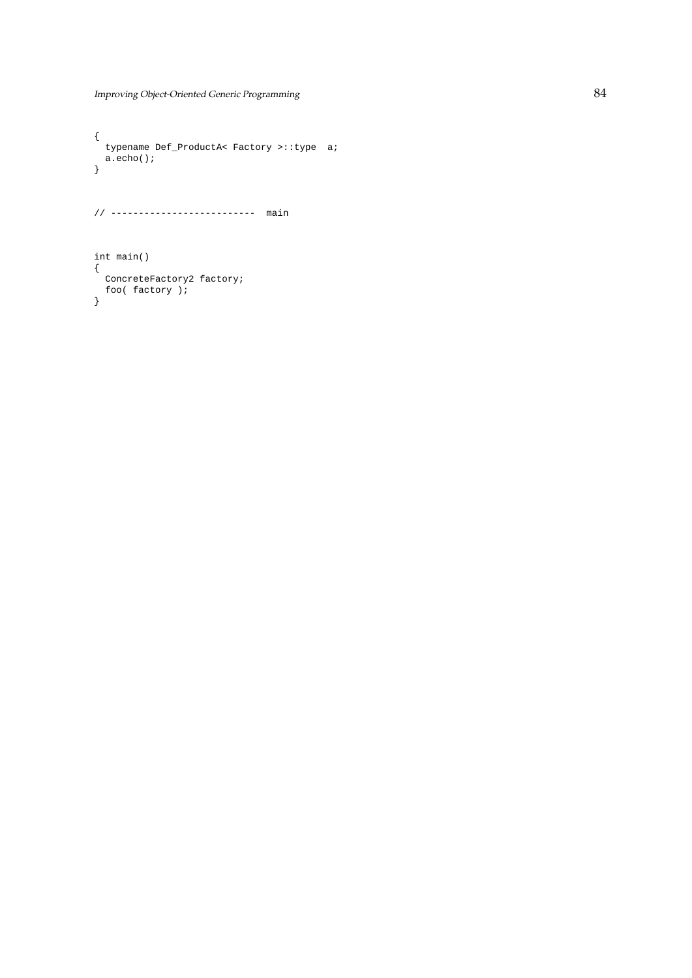```
{
  typename Def_ProductA< Factory >::type a;
  a.echo();
}
// -------------------------- main
int main()
{
  ConcreteFactory2 factory;
```
foo( factory );

}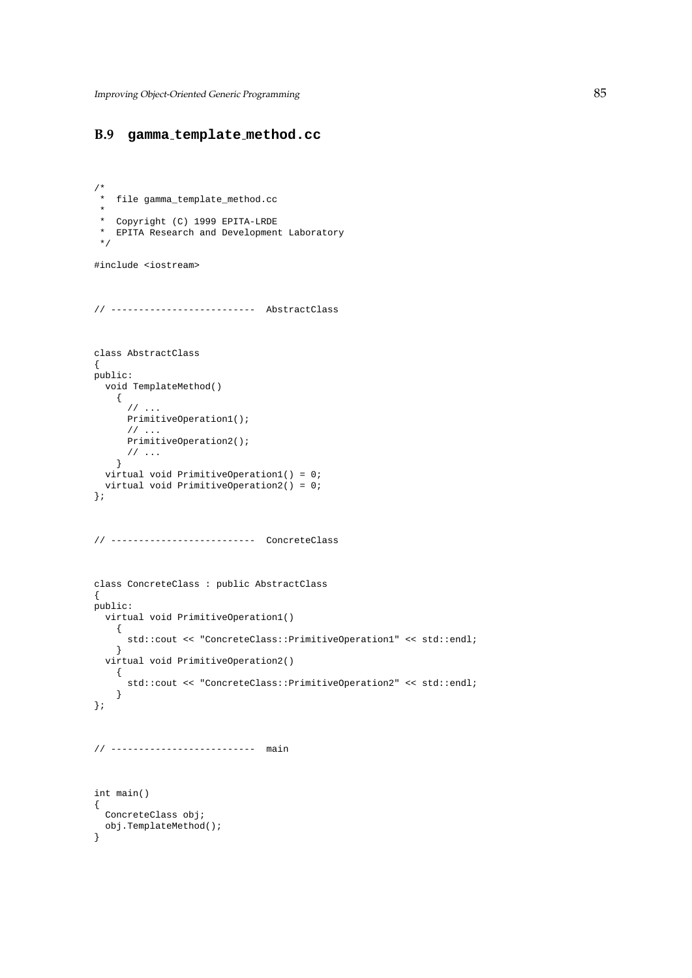## **B.9 gamma template method.cc**

```
/*
 * file gamma_template_method.cc
 *
 * Copyright (C) 1999 EPITA-LRDE
 * EPITA Research and Development Laboratory
 */
#include <iostream>
// -------------------------- AbstractClass
class AbstractClass
{
public:
  void TemplateMethod()
   {
      \frac{1}{2}...
     PrimitiveOperation1();
      // ...
     PrimitiveOperation2();
     // ...
    }
  virtual void PrimitiveOperation1() = 0;
  virtual void PrimitiveOperation2() = 0;
};
// -------------------------- ConcreteClass
class ConcreteClass : public AbstractClass
{
public:
 virtual void PrimitiveOperation1()
   {
     std::cout << "ConcreteClass::PrimitiveOperation1" << std::endl;
   }
  virtual void PrimitiveOperation2()
    {
     std::cout << "ConcreteClass::PrimitiveOperation2" << std::endl;
   }
};
// -------------------------- main
int main()
{
  ConcreteClass obj;
  obj.TemplateMethod();
}
```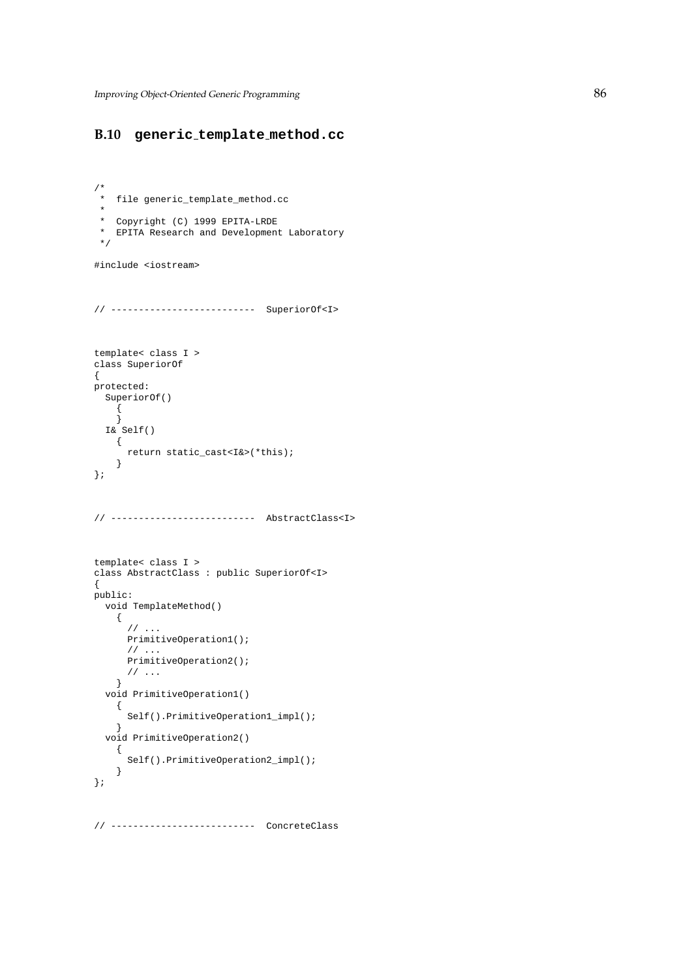## **B.10 generic template method.cc**

```
/*
* file generic_template_method.cc
 *
* Copyright (C) 1999 EPITA-LRDE
 * EPITA Research and Development Laboratory
 */
#include <iostream>
// -------------------------- SuperiorOf<I>
template< class I >
class SuperiorOf
{
protected:
 SuperiorOf()
   {
   }
 I& Self()
   {
     return static_cast<I&>(*this);
   }
};
// -------------------------- AbstractClass<I>
template< class I >
class AbstractClass : public SuperiorOf<I>
{
public:
 void TemplateMethod()
   {
     // ...
     PrimitiveOperation1();
      // ...
     PrimitiveOperation2();
     // ...
   }
  void PrimitiveOperation1()
   {
     Self().PrimitiveOperation1_impl();
   }
 void PrimitiveOperation2()
   {
     Self().PrimitiveOperation2_impl();
   }
};
// -------------------------- ConcreteClass
```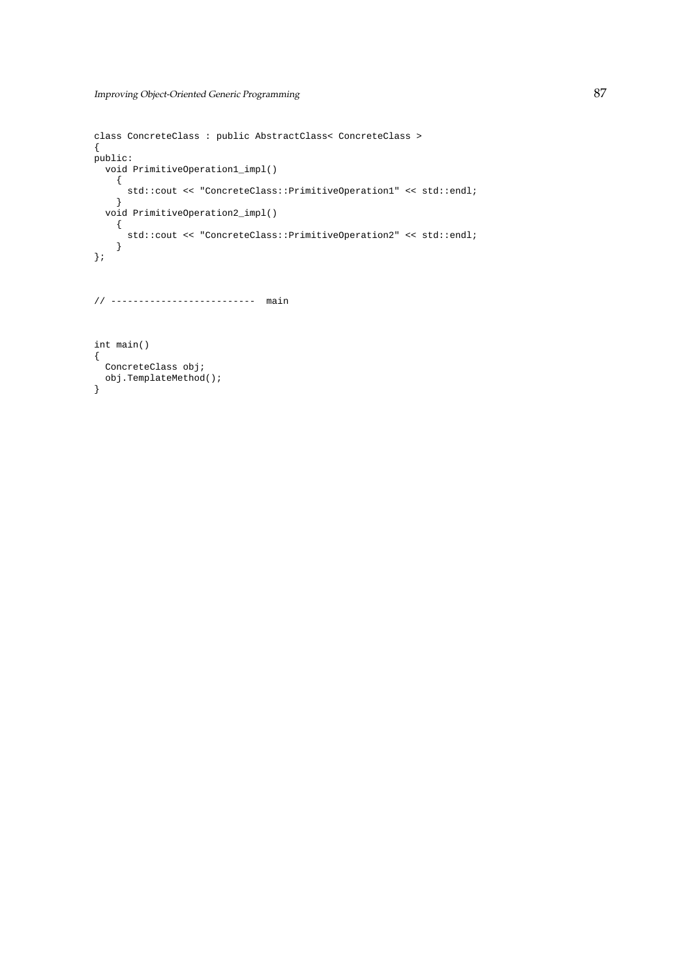```
class ConcreteClass : public AbstractClass< ConcreteClass >
{
public:
  void PrimitiveOperation1_impl()
   {
     std::cout << "ConcreteClass::PrimitiveOperation1" << std::endl;
    }
  void PrimitiveOperation2_impl()
   {
      std::cout << "ConcreteClass::PrimitiveOperation2" << std::endl;
    }
};
// -------------------------- main
int main()
{
 ConcreteClass obj;
 obj.TemplateMethod();
}
```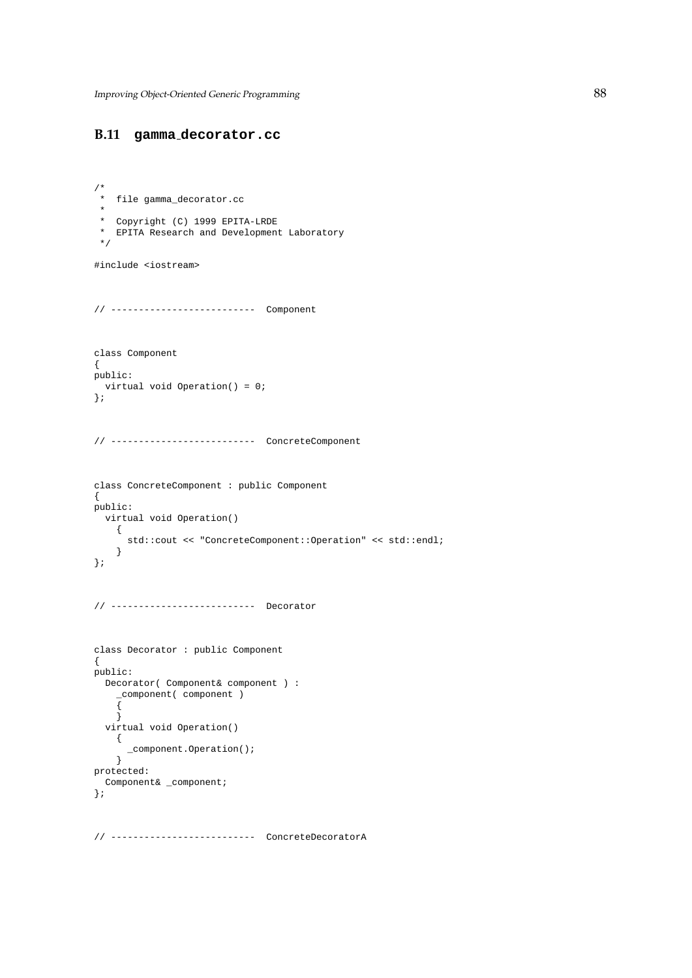# **B.11 gamma decorator.cc**

```
/*
* file gamma_decorator.cc
 *
* Copyright (C) 1999 EPITA-LRDE
 * EPITA Research and Development Laboratory
*/
#include <iostream>
// -------------------------- Component
class Component
{
public:
 virtual void Operation() = 0;
};
// -------------------------- ConcreteComponent
class ConcreteComponent : public Component
{
public:
 virtual void Operation()
   {
     std::cout << "ConcreteComponent::Operation" << std::endl;
   }
};
// -------------------------- Decorator
class Decorator : public Component
{
public:
 Decorator( Component& component ) :
   _component( component )
    \overline{\mathfrak{f}}}
  virtual void Operation()
    {
      _component.Operation();
    }
protected:
 Component& _component;
};
```
// -------------------------- ConcreteDecoratorA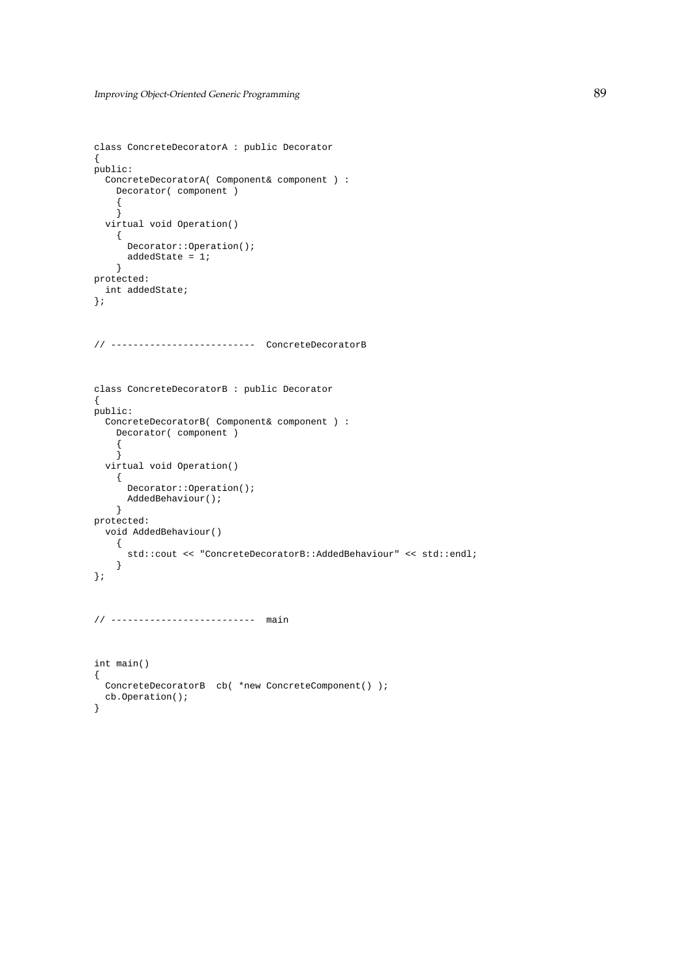```
class ConcreteDecoratorA : public Decorator
{
public:
 ConcreteDecoratorA( Component& component ) :
   Decorator( component )
    {
    }
  virtual void Operation()
   {
     Decorator::Operation();
    addedState = 1;
   }
protected:
 int addedState;
};
// -------------------------- ConcreteDecoratorB
class ConcreteDecoratorB : public Decorator
{
public:
  ConcreteDecoratorB( Component& component ) :
   Decorator( component )
    {
    }
  virtual void Operation()
    {
      Decorator::Operation();
     AddedBehaviour();
   }
protected:
  void AddedBehaviour()
    {
     std::cout << "ConcreteDecoratorB::AddedBehaviour" << std::endl;
    }
};
// -------------------------- main
int main()
{
  ConcreteDecoratorB cb( *new ConcreteComponent() );
  cb.Operation();
}
```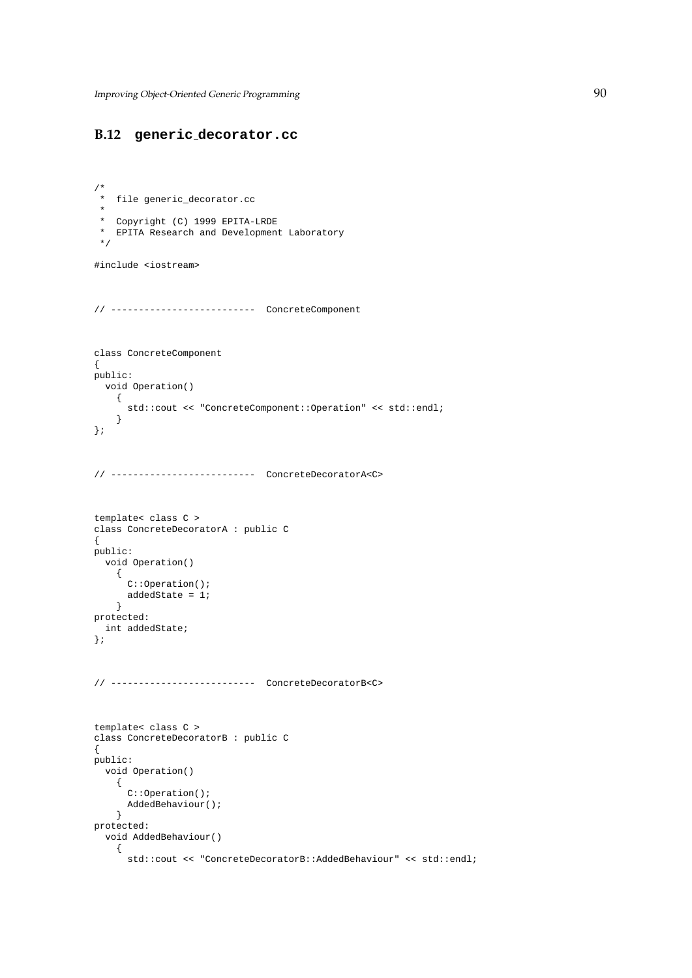## **B.12 generic decorator.cc**

```
/*
 * file generic_decorator.cc
 *
 * Copyright (C) 1999 EPITA-LRDE
 * EPITA Research and Development Laboratory
 */
#include <iostream>
// -------------------------- ConcreteComponent
class ConcreteComponent
{
public:
 void Operation()
   {
     std::cout << "ConcreteComponent::Operation" << std::endl;
   }
};
// -------------------------- ConcreteDecoratorA<C>
template< class C >
class ConcreteDecoratorA : public C
{
public:
  void Operation()
   {
     C::Operation();
    addedState = 1;}
protected:
  int addedState;
};
// -------------------------- ConcreteDecoratorB<C>
template< class C >
class ConcreteDecoratorB : public C
{
public:
  void Operation()
   {
     C::Operation();
     AddedBehaviour();
    }
protected:
  void AddedBehaviour()
   {
      std::cout << "ConcreteDecoratorB::AddedBehaviour" << std::endl;
```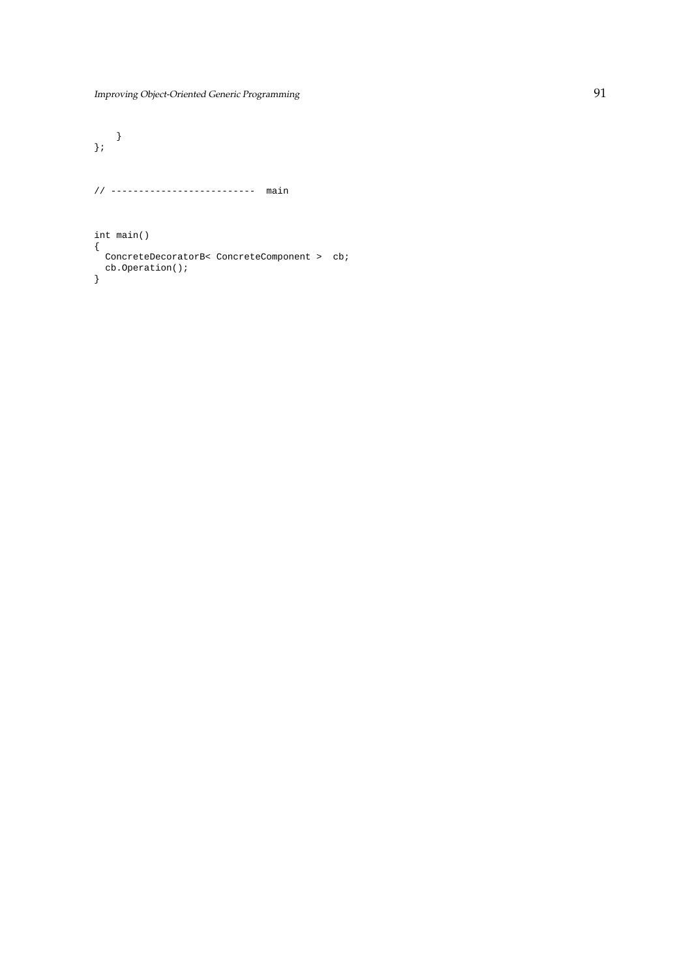```
}
};
// -------------------------- main
int main()
{
  ConcreteDecoratorB< ConcreteComponent > cb;
  cb.Operation();
}
```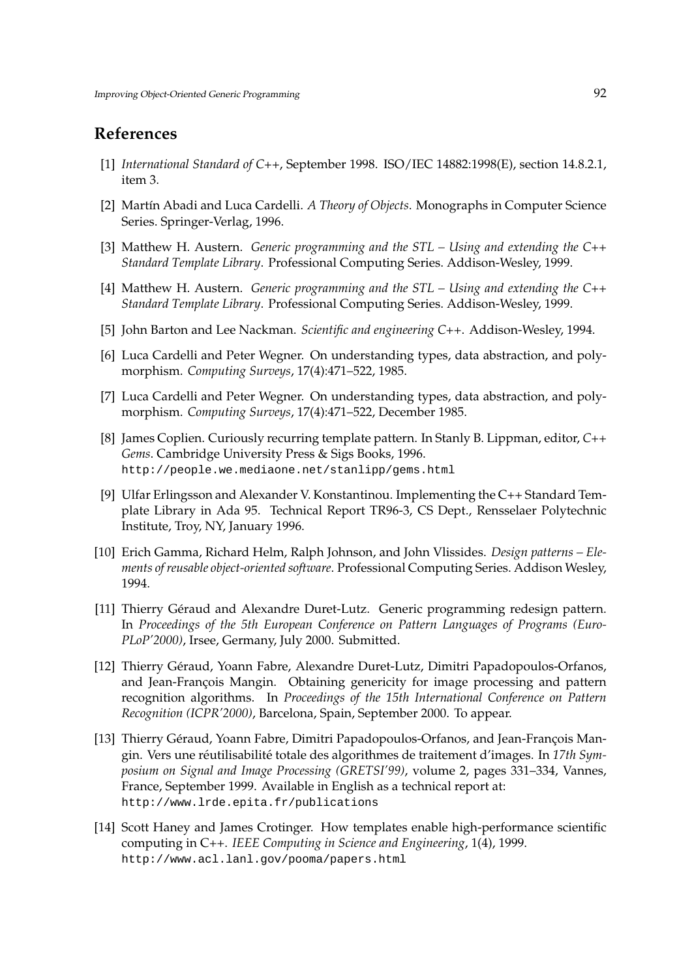# **References**

- [1] *International Standard of C++*, September 1998. ISO/IEC 14882:1998(E), section 14.8.2.1, item 3.
- [2] Martín Abadi and Luca Cardelli. *A Theory of Objects*. Monographs in Computer Science Series. Springer-Verlag, 1996.
- [3] Matthew H. Austern. *Generic programming and the STL Using and extending the C++ Standard Template Library*. Professional Computing Series. Addison-Wesley, 1999.
- [4] Matthew H. Austern. *Generic programming and the STL Using and extending the C++ Standard Template Library*. Professional Computing Series. Addison-Wesley, 1999.
- [5] John Barton and Lee Nackman. *Scientific and engineering C++*. Addison-Wesley, 1994.
- [6] Luca Cardelli and Peter Wegner. On understanding types, data abstraction, and polymorphism. *Computing Surveys*, 17(4):471–522, 1985.
- [7] Luca Cardelli and Peter Wegner. On understanding types, data abstraction, and polymorphism. *Computing Surveys*, 17(4):471–522, December 1985.
- [8] James Coplien. Curiously recurring template pattern. In Stanly B. Lippman, editor, *C++ Gems*. Cambridge University Press & Sigs Books, 1996. http://people.we.mediaone.net/stanlipp/gems.html
- [9] Ulfar Erlingsson and Alexander V. Konstantinou. Implementing the C++ Standard Template Library in Ada 95. Technical Report TR96-3, CS Dept., Rensselaer Polytechnic Institute, Troy, NY, January 1996.
- [10] Erich Gamma, Richard Helm, Ralph Johnson, and John Vlissides. *Design patterns Elements of reusable object-oriented software*. Professional Computing Series. Addison Wesley, 1994.
- [11] Thierry Géraud and Alexandre Duret-Lutz. Generic programming redesign pattern. In *Proceedings of the 5th European Conference on Pattern Languages of Programs (Euro-PLoP'2000)*, Irsee, Germany, July 2000. Submitted.
- [12] Thierry Géraud, Yoann Fabre, Alexandre Duret-Lutz, Dimitri Papadopoulos-Orfanos, and Jean-François Mangin. Obtaining genericity for image processing and pattern recognition algorithms. In *Proceedings of the 15th International Conference on Pattern Recognition (ICPR'2000)*, Barcelona, Spain, September 2000. To appear.
- [13] Thierry Géraud, Yoann Fabre, Dimitri Papadopoulos-Orfanos, and Jean-François Mangin. Vers une réutilisabilité totale des algorithmes de traitement d'images. In 17th Sym*posium on Signal and Image Processing (GRETSI'99)*, volume 2, pages 331–334, Vannes, France, September 1999. Available in English as a technical report at: http://www.lrde.epita.fr/publications
- [14] Scott Haney and James Crotinger. How templates enable high-performance scientific computing in C++. *IEEE Computing in Science and Engineering*, 1(4), 1999. http://www.acl.lanl.gov/pooma/papers.html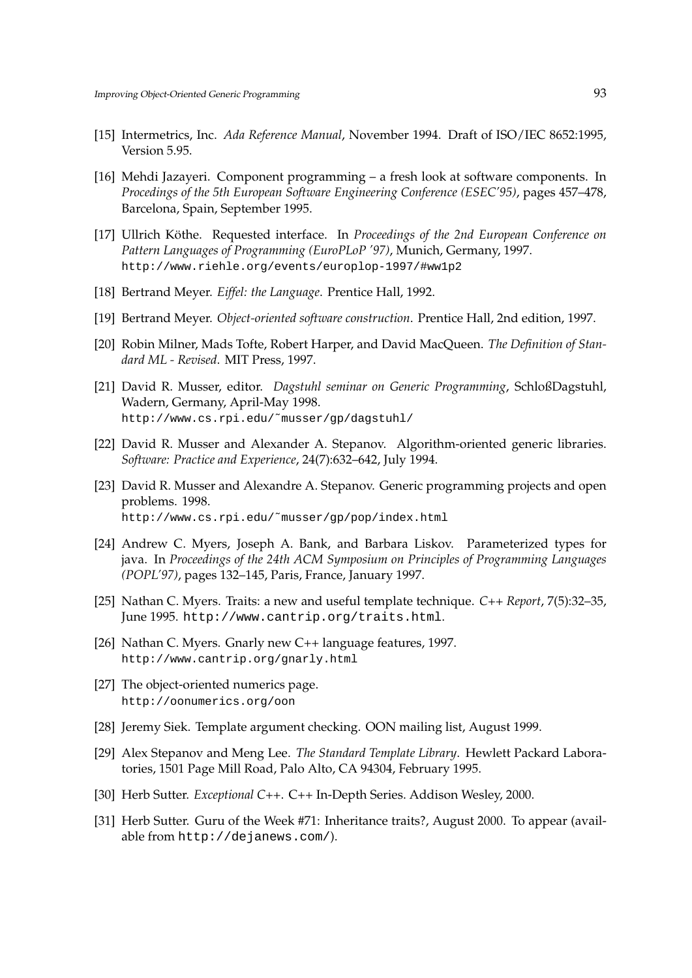- [15] Intermetrics, Inc. *Ada Reference Manual*, November 1994. Draft of ISO/IEC 8652:1995, Version 5.95.
- [16] Mehdi Jazayeri. Component programming a fresh look at software components. In *Procedings of the 5th European Software Engineering Conference (ESEC'95)*, pages 457–478, Barcelona, Spain, September 1995.
- [17] Ullrich Köthe. Requested interface. In Proceedings of the 2nd European Conference on *Pattern Languages of Programming (EuroPLoP '97)*, Munich, Germany, 1997. http://www.riehle.org/events/europlop-1997/#ww1p2
- [18] Bertrand Meyer. *Eiffel: the Language*. Prentice Hall, 1992.
- [19] Bertrand Meyer. *Object-oriented software construction*. Prentice Hall, 2nd edition, 1997.
- [20] Robin Milner, Mads Tofte, Robert Harper, and David MacQueen. *The Definition of Standard ML - Revised*. MIT Press, 1997.
- [21] David R. Musser, editor. *Dagstuhl seminar on Generic Programming*, SchloßDagstuhl, Wadern, Germany, April-May 1998. http://www.cs.rpi.edu/˜musser/gp/dagstuhl/
- [22] David R. Musser and Alexander A. Stepanov. Algorithm-oriented generic libraries. *Software: Practice and Experience*, 24(7):632–642, July 1994.
- [23] David R. Musser and Alexandre A. Stepanov. Generic programming projects and open problems. 1998. http://www.cs.rpi.edu/˜musser/gp/pop/index.html
- [24] Andrew C. Myers, Joseph A. Bank, and Barbara Liskov. Parameterized types for java. In *Proceedings of the 24th ACM Symposium on Principles of Programming Languages (POPL'97)*, pages 132–145, Paris, France, January 1997.
- [25] Nathan C. Myers. Traits: a new and useful template technique. *C++ Report*, 7(5):32–35, June 1995. http://www.cantrip.org/traits.html.
- [26] Nathan C. Myers. Gnarly new C++ language features, 1997. http://www.cantrip.org/gnarly.html
- [27] The object-oriented numerics page. http://oonumerics.org/oon
- [28] Jeremy Siek. Template argument checking. OON mailing list, August 1999.
- [29] Alex Stepanov and Meng Lee. *The Standard Template Library*. Hewlett Packard Laboratories, 1501 Page Mill Road, Palo Alto, CA 94304, February 1995.
- [30] Herb Sutter. *Exceptional C++*. C++ In-Depth Series. Addison Wesley, 2000.
- [31] Herb Sutter. Guru of the Week #71: Inheritance traits?, August 2000. To appear (available from http://dejanews.com/).